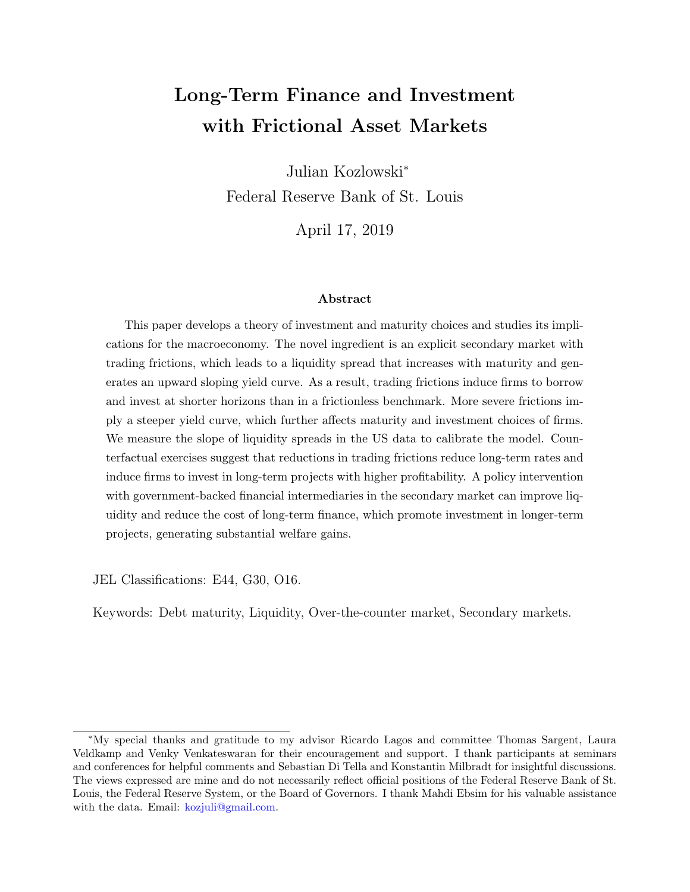# Long-Term Finance and Investment with Frictional Asset Markets

Julian Kozlowski<sup>∗</sup> Federal Reserve Bank of St. Louis

April 17, 2019

#### Abstract

This paper develops a theory of investment and maturity choices and studies its implications for the macroeconomy. The novel ingredient is an explicit secondary market with trading frictions, which leads to a liquidity spread that increases with maturity and generates an upward sloping yield curve. As a result, trading frictions induce firms to borrow and invest at shorter horizons than in a frictionless benchmark. More severe frictions imply a steeper yield curve, which further affects maturity and investment choices of firms. We measure the slope of liquidity spreads in the US data to calibrate the model. Counterfactual exercises suggest that reductions in trading frictions reduce long-term rates and induce firms to invest in long-term projects with higher profitability. A policy intervention with government-backed financial intermediaries in the secondary market can improve liquidity and reduce the cost of long-term finance, which promote investment in longer-term projects, generating substantial welfare gains.

JEL Classifications: E44, G30, O16.

Keywords: Debt maturity, Liquidity, Over-the-counter market, Secondary markets.

<sup>∗</sup>My special thanks and gratitude to my advisor Ricardo Lagos and committee Thomas Sargent, Laura Veldkamp and Venky Venkateswaran for their encouragement and support. I thank participants at seminars and conferences for helpful comments and Sebastian Di Tella and Konstantin Milbradt for insightful discussions. The views expressed are mine and do not necessarily reflect official positions of the Federal Reserve Bank of St. Louis, the Federal Reserve System, or the Board of Governors. I thank Mahdi Ebsim for his valuable assistance with the data. Email: [kozjuli@gmail.com.](mailto:kozjuli@gmail.com)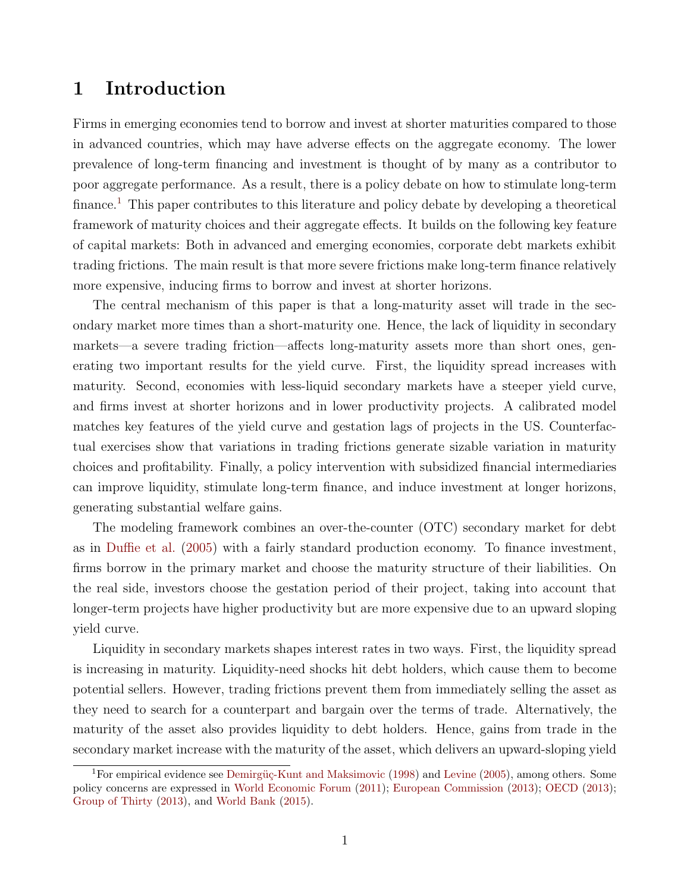# 1 Introduction

Firms in emerging economies tend to borrow and invest at shorter maturities compared to those in advanced countries, which may have adverse effects on the aggregate economy. The lower prevalence of long-term financing and investment is thought of by many as a contributor to poor aggregate performance. As a result, there is a policy debate on how to stimulate long-term finance.<sup>[1](#page-1-0)</sup> This paper contributes to this literature and policy debate by developing a theoretical framework of maturity choices and their aggregate effects. It builds on the following key feature of capital markets: Both in advanced and emerging economies, corporate debt markets exhibit trading frictions. The main result is that more severe frictions make long-term finance relatively more expensive, inducing firms to borrow and invest at shorter horizons.

The central mechanism of this paper is that a long-maturity asset will trade in the secondary market more times than a short-maturity one. Hence, the lack of liquidity in secondary markets—a severe trading friction—affects long-maturity assets more than short ones, generating two important results for the yield curve. First, the liquidity spread increases with maturity. Second, economies with less-liquid secondary markets have a steeper yield curve, and firms invest at shorter horizons and in lower productivity projects. A calibrated model matches key features of the yield curve and gestation lags of projects in the US. Counterfactual exercises show that variations in trading frictions generate sizable variation in maturity choices and profitability. Finally, a policy intervention with subsidized financial intermediaries can improve liquidity, stimulate long-term finance, and induce investment at longer horizons, generating substantial welfare gains.

The modeling framework combines an over-the-counter (OTC) secondary market for debt as in [Duffie et al.](#page-49-0) [\(2005\)](#page-49-0) with a fairly standard production economy. To finance investment, firms borrow in the primary market and choose the maturity structure of their liabilities. On the real side, investors choose the gestation period of their project, taking into account that longer-term projects have higher productivity but are more expensive due to an upward sloping yield curve.

Liquidity in secondary markets shapes interest rates in two ways. First, the liquidity spread is increasing in maturity. Liquidity-need shocks hit debt holders, which cause them to become potential sellers. However, trading frictions prevent them from immediately selling the asset as they need to search for a counterpart and bargain over the terms of trade. Alternatively, the maturity of the asset also provides liquidity to debt holders. Hence, gains from trade in the secondary market increase with the maturity of the asset, which delivers an upward-sloping yield

<span id="page-1-0"></span><sup>&</sup>lt;sup>1</sup>For empirical evidence see Demirgüç-Kunt and Maksimovic [\(1998\)](#page-49-1) and [Levine](#page-51-0) [\(2005\)](#page-51-0), among others. Some policy concerns are expressed in [World Economic Forum](#page-52-0) [\(2011\)](#page-52-0); [European Commission](#page-49-2) [\(2013\)](#page-49-2); [OECD](#page-52-1) [\(2013\)](#page-52-1); [Group of Thirty](#page-50-0) [\(2013\)](#page-50-0), and [World Bank](#page-52-2) [\(2015\)](#page-52-2).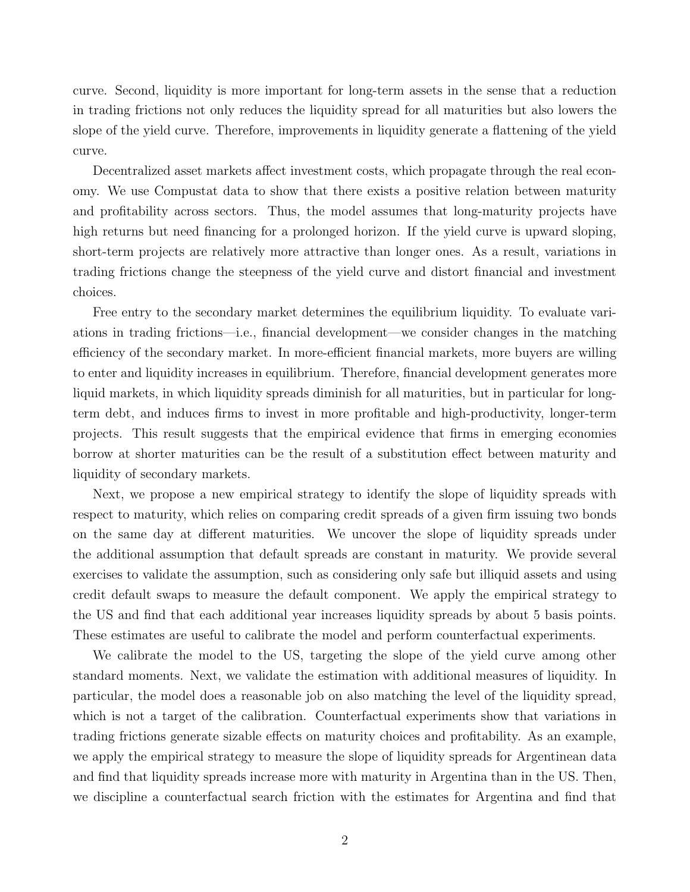curve. Second, liquidity is more important for long-term assets in the sense that a reduction in trading frictions not only reduces the liquidity spread for all maturities but also lowers the slope of the yield curve. Therefore, improvements in liquidity generate a flattening of the yield curve.

Decentralized asset markets affect investment costs, which propagate through the real economy. We use Compustat data to show that there exists a positive relation between maturity and profitability across sectors. Thus, the model assumes that long-maturity projects have high returns but need financing for a prolonged horizon. If the yield curve is upward sloping, short-term projects are relatively more attractive than longer ones. As a result, variations in trading frictions change the steepness of the yield curve and distort financial and investment choices.

Free entry to the secondary market determines the equilibrium liquidity. To evaluate variations in trading frictions—i.e., financial development—we consider changes in the matching efficiency of the secondary market. In more-efficient financial markets, more buyers are willing to enter and liquidity increases in equilibrium. Therefore, financial development generates more liquid markets, in which liquidity spreads diminish for all maturities, but in particular for longterm debt, and induces firms to invest in more profitable and high-productivity, longer-term projects. This result suggests that the empirical evidence that firms in emerging economies borrow at shorter maturities can be the result of a substitution effect between maturity and liquidity of secondary markets.

Next, we propose a new empirical strategy to identify the slope of liquidity spreads with respect to maturity, which relies on comparing credit spreads of a given firm issuing two bonds on the same day at different maturities. We uncover the slope of liquidity spreads under the additional assumption that default spreads are constant in maturity. We provide several exercises to validate the assumption, such as considering only safe but illiquid assets and using credit default swaps to measure the default component. We apply the empirical strategy to the US and find that each additional year increases liquidity spreads by about 5 basis points. These estimates are useful to calibrate the model and perform counterfactual experiments.

We calibrate the model to the US, targeting the slope of the yield curve among other standard moments. Next, we validate the estimation with additional measures of liquidity. In particular, the model does a reasonable job on also matching the level of the liquidity spread, which is not a target of the calibration. Counterfactual experiments show that variations in trading frictions generate sizable effects on maturity choices and profitability. As an example, we apply the empirical strategy to measure the slope of liquidity spreads for Argentinean data and find that liquidity spreads increase more with maturity in Argentina than in the US. Then, we discipline a counterfactual search friction with the estimates for Argentina and find that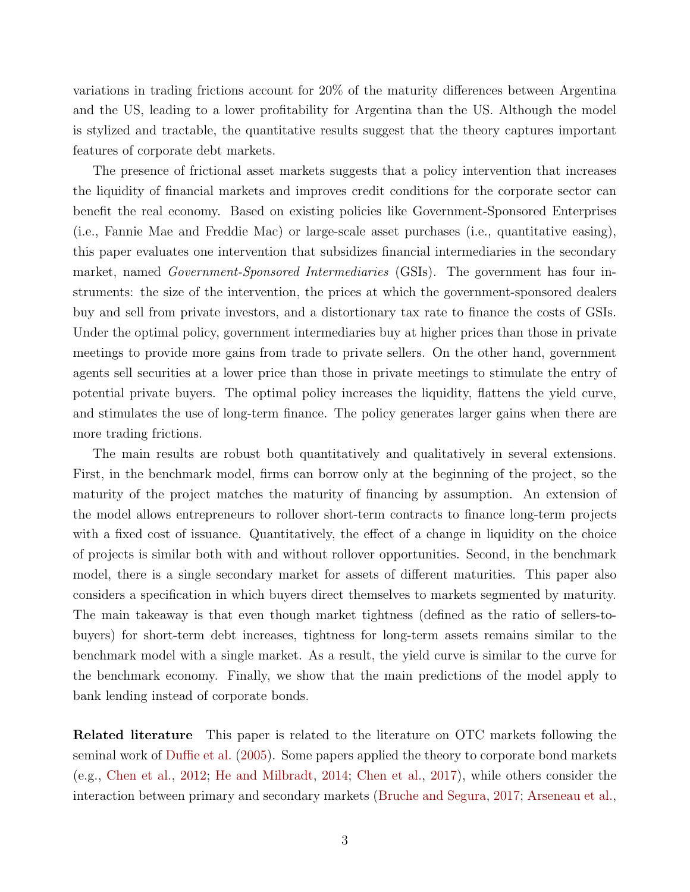variations in trading frictions account for 20% of the maturity differences between Argentina and the US, leading to a lower profitability for Argentina than the US. Although the model is stylized and tractable, the quantitative results suggest that the theory captures important features of corporate debt markets.

The presence of frictional asset markets suggests that a policy intervention that increases the liquidity of financial markets and improves credit conditions for the corporate sector can benefit the real economy. Based on existing policies like Government-Sponsored Enterprises (i.e., Fannie Mae and Freddie Mac) or large-scale asset purchases (i.e., quantitative easing), this paper evaluates one intervention that subsidizes financial intermediaries in the secondary market, named *Government-Sponsored Intermediaries* (GSIs). The government has four instruments: the size of the intervention, the prices at which the government-sponsored dealers buy and sell from private investors, and a distortionary tax rate to finance the costs of GSIs. Under the optimal policy, government intermediaries buy at higher prices than those in private meetings to provide more gains from trade to private sellers. On the other hand, government agents sell securities at a lower price than those in private meetings to stimulate the entry of potential private buyers. The optimal policy increases the liquidity, flattens the yield curve, and stimulates the use of long-term finance. The policy generates larger gains when there are more trading frictions.

The main results are robust both quantitatively and qualitatively in several extensions. First, in the benchmark model, firms can borrow only at the beginning of the project, so the maturity of the project matches the maturity of financing by assumption. An extension of the model allows entrepreneurs to rollover short-term contracts to finance long-term projects with a fixed cost of issuance. Quantitatively, the effect of a change in liquidity on the choice of projects is similar both with and without rollover opportunities. Second, in the benchmark model, there is a single secondary market for assets of different maturities. This paper also considers a specification in which buyers direct themselves to markets segmented by maturity. The main takeaway is that even though market tightness (defined as the ratio of sellers-tobuyers) for short-term debt increases, tightness for long-term assets remains similar to the benchmark model with a single market. As a result, the yield curve is similar to the curve for the benchmark economy. Finally, we show that the main predictions of the model apply to bank lending instead of corporate bonds.

Related literature This paper is related to the literature on OTC markets following the seminal work of [Duffie et al.](#page-49-0) [\(2005\)](#page-49-0). Some papers applied the theory to corporate bond markets (e.g., [Chen et al.,](#page-48-0) [2012;](#page-48-0) [He and Milbradt,](#page-50-1) [2014;](#page-50-1) [Chen et al.,](#page-48-1) [2017\)](#page-48-1), while others consider the interaction between primary and secondary markets [\(Bruche and Segura,](#page-48-2) [2017;](#page-48-2) [Arseneau et al.,](#page-48-3)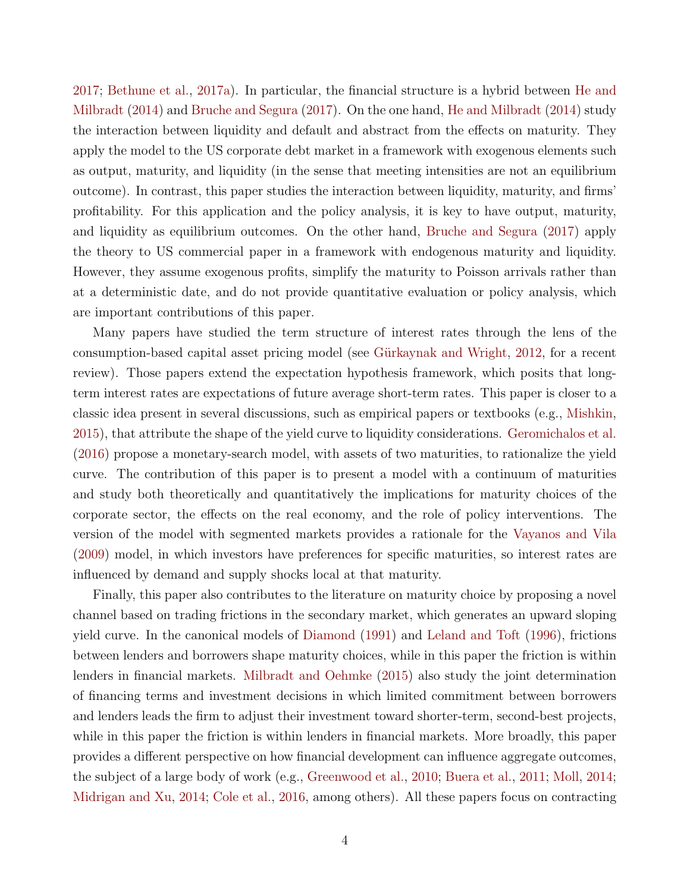[2017;](#page-48-3) [Bethune et al.,](#page-48-4) [2017a\)](#page-48-4). In particular, the financial structure is a hybrid between [He and](#page-50-1) [Milbradt](#page-50-1) [\(2014\)](#page-50-1) and [Bruche and Segura](#page-48-2) [\(2017\)](#page-48-2). On the one hand, [He and Milbradt](#page-50-1) [\(2014\)](#page-50-1) study the interaction between liquidity and default and abstract from the effects on maturity. They apply the model to the US corporate debt market in a framework with exogenous elements such as output, maturity, and liquidity (in the sense that meeting intensities are not an equilibrium outcome). In contrast, this paper studies the interaction between liquidity, maturity, and firms' profitability. For this application and the policy analysis, it is key to have output, maturity, and liquidity as equilibrium outcomes. On the other hand, [Bruche and Segura](#page-48-2) [\(2017\)](#page-48-2) apply the theory to US commercial paper in a framework with endogenous maturity and liquidity. However, they assume exogenous profits, simplify the maturity to Poisson arrivals rather than at a deterministic date, and do not provide quantitative evaluation or policy analysis, which are important contributions of this paper.

Many papers have studied the term structure of interest rates through the lens of the consumption-based capital asset pricing model (see Gürkaynak and Wright, [2012,](#page-50-2) for a recent review). Those papers extend the expectation hypothesis framework, which posits that longterm interest rates are expectations of future average short-term rates. This paper is closer to a classic idea present in several discussions, such as empirical papers or textbooks (e.g., [Mishkin,](#page-51-1) [2015\)](#page-51-1), that attribute the shape of the yield curve to liquidity considerations. [Geromichalos et al.](#page-50-3) [\(2016\)](#page-50-3) propose a monetary-search model, with assets of two maturities, to rationalize the yield curve. The contribution of this paper is to present a model with a continuum of maturities and study both theoretically and quantitatively the implications for maturity choices of the corporate sector, the effects on the real economy, and the role of policy interventions. The version of the model with segmented markets provides a rationale for the [Vayanos and Vila](#page-52-3) [\(2009\)](#page-52-3) model, in which investors have preferences for specific maturities, so interest rates are influenced by demand and supply shocks local at that maturity.

Finally, this paper also contributes to the literature on maturity choice by proposing a novel channel based on trading frictions in the secondary market, which generates an upward sloping yield curve. In the canonical models of [Diamond](#page-49-3) [\(1991\)](#page-49-3) and [Leland and Toft](#page-51-2) [\(1996\)](#page-51-2), frictions between lenders and borrowers shape maturity choices, while in this paper the friction is within lenders in financial markets. [Milbradt and Oehmke](#page-51-3) [\(2015\)](#page-51-3) also study the joint determination of financing terms and investment decisions in which limited commitment between borrowers and lenders leads the firm to adjust their investment toward shorter-term, second-best projects, while in this paper the friction is within lenders in financial markets. More broadly, this paper provides a different perspective on how financial development can influence aggregate outcomes, the subject of a large body of work (e.g., [Greenwood et al.,](#page-50-4) [2010;](#page-50-4) [Buera et al.,](#page-48-5) [2011;](#page-48-5) [Moll,](#page-51-4) [2014;](#page-51-4) [Midrigan and Xu,](#page-51-5) [2014;](#page-51-5) [Cole et al.,](#page-49-4) [2016,](#page-49-4) among others). All these papers focus on contracting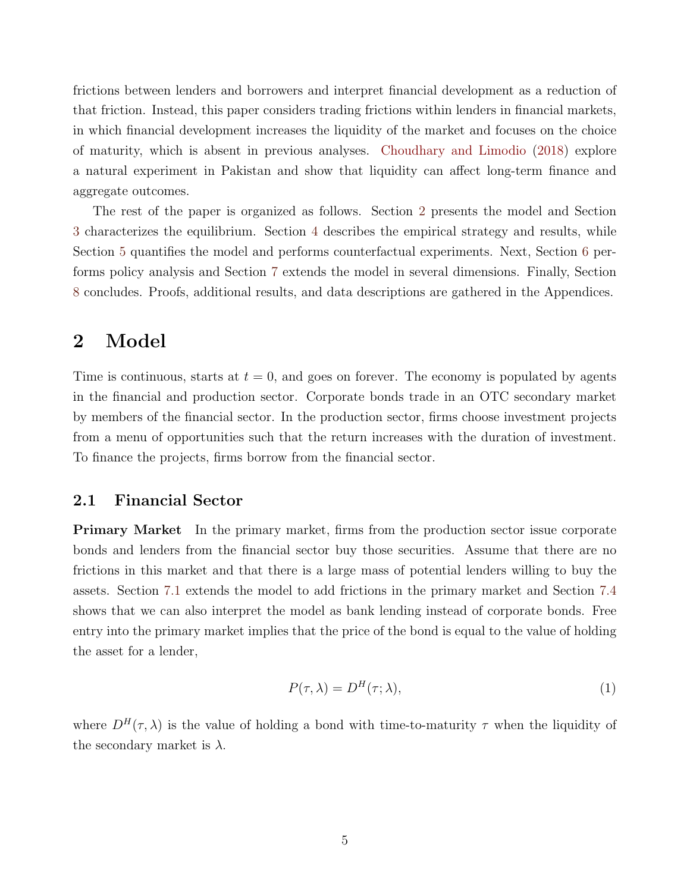frictions between lenders and borrowers and interpret financial development as a reduction of that friction. Instead, this paper considers trading frictions within lenders in financial markets, in which financial development increases the liquidity of the market and focuses on the choice of maturity, which is absent in previous analyses. [Choudhary and Limodio](#page-49-5) [\(2018\)](#page-49-5) explore a natural experiment in Pakistan and show that liquidity can affect long-term finance and aggregate outcomes.

The rest of the paper is organized as follows. Section [2](#page-5-0) presents the model and Section [3](#page-8-0) characterizes the equilibrium. Section [4](#page-18-0) describes the empirical strategy and results, while Section [5](#page-24-0) quantifies the model and performs counterfactual experiments. Next, Section [6](#page-30-0) performs policy analysis and Section [7](#page-38-0) extends the model in several dimensions. Finally, Section [8](#page-47-0) concludes. Proofs, additional results, and data descriptions are gathered in the Appendices.

# <span id="page-5-0"></span>2 Model

Time is continuous, starts at  $t = 0$ , and goes on forever. The economy is populated by agents in the financial and production sector. Corporate bonds trade in an OTC secondary market by members of the financial sector. In the production sector, firms choose investment projects from a menu of opportunities such that the return increases with the duration of investment. To finance the projects, firms borrow from the financial sector.

#### 2.1 Financial Sector

**Primary Market** In the primary market, firms from the production sector issue corporate bonds and lenders from the financial sector buy those securities. Assume that there are no frictions in this market and that there is a large mass of potential lenders willing to buy the assets. Section [7.1](#page-39-0) extends the model to add frictions in the primary market and Section [7.4](#page-46-0) shows that we can also interpret the model as bank lending instead of corporate bonds. Free entry into the primary market implies that the price of the bond is equal to the value of holding the asset for a lender,

<span id="page-5-1"></span>
$$
P(\tau, \lambda) = D^H(\tau; \lambda), \tag{1}
$$

where  $D^{H}(\tau,\lambda)$  is the value of holding a bond with time-to-maturity  $\tau$  when the liquidity of the secondary market is  $\lambda$ .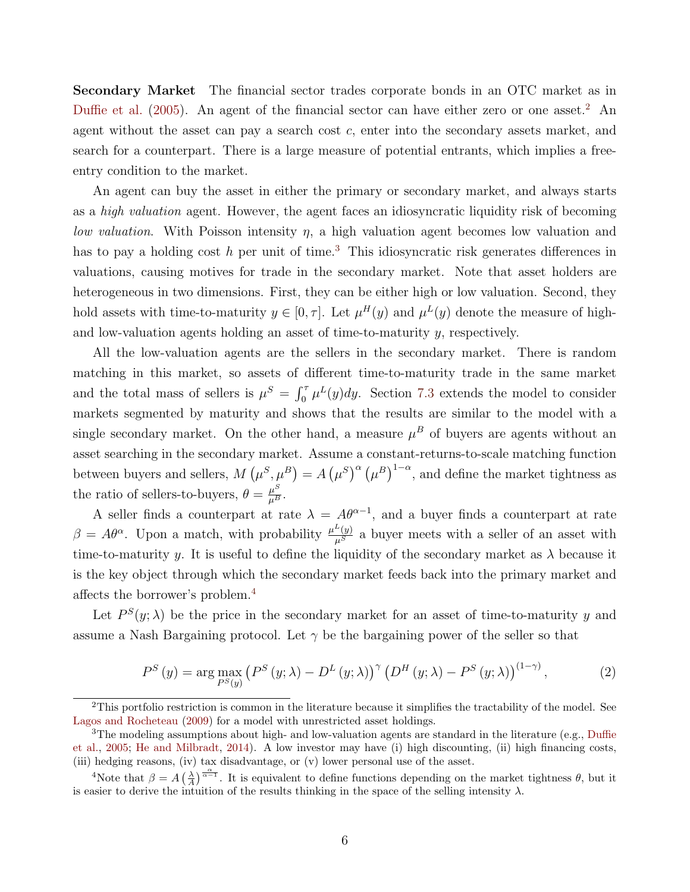Secondary Market The financial sector trades corporate bonds in an OTC market as in [Duffie et al.](#page-49-0)  $(2005)$ . An agent of the financial sector can have either zero or one asset.<sup>[2](#page-6-0)</sup> An agent without the asset can pay a search cost  $c$ , enter into the secondary assets market, and search for a counterpart. There is a large measure of potential entrants, which implies a freeentry condition to the market.

An agent can buy the asset in either the primary or secondary market, and always starts as a *high valuation* agent. However, the agent faces an idiosyncratic liquidity risk of becoming *low valuation*. With Poisson intensity  $\eta$ , a high valuation agent becomes low valuation and has to pay a holding cost h per unit of time.<sup>[3](#page-6-1)</sup> This idiosyncratic risk generates differences in valuations, causing motives for trade in the secondary market. Note that asset holders are heterogeneous in two dimensions. First, they can be either high or low valuation. Second, they hold assets with time-to-maturity  $y \in [0, \tau]$ . Let  $\mu^{H}(y)$  and  $\mu^{L}(y)$  denote the measure of highand low-valuation agents holding an asset of time-to-maturity y, respectively.

All the low-valuation agents are the sellers in the secondary market. There is random matching in this market, so assets of different time-to-maturity trade in the same market and the total mass of sellers is  $\mu^S = \int_0^{\tau} \mu^L(y) dy$ . Section [7.3](#page-43-0) extends the model to consider markets segmented by maturity and shows that the results are similar to the model with a single secondary market. On the other hand, a measure  $\mu^B$  of buyers are agents without an asset searching in the secondary market. Assume a constant-returns-to-scale matching function between buyers and sellers,  $M(\mu^S, \mu^B) = A(\mu^S)^{\alpha} (\mu^B)^{1-\alpha}$ , and define the market tightness as the ratio of sellers-to-buyers,  $\theta = \frac{\mu^S}{\mu^B}$ .

A seller finds a counterpart at rate  $\lambda = A\theta^{\alpha-1}$ , and a buyer finds a counterpart at rate  $\beta = A\theta^{\alpha}$ . Upon a match, with probability  $\frac{\mu^L(y)}{\mu^S}$  a buyer meets with a seller of an asset with time-to-maturity y. It is useful to define the liquidity of the secondary market as  $\lambda$  because it is the key object through which the secondary market feeds back into the primary market and affects the borrower's problem.<sup>[4](#page-6-2)</sup>

Let  $P^{S}(y; \lambda)$  be the price in the secondary market for an asset of time-to-maturity y and assume a Nash Bargaining protocol. Let  $\gamma$  be the bargaining power of the seller so that

<span id="page-6-3"></span>
$$
P^{S}\left(y\right) = \arg\max_{P^{S}\left(y\right)} \left(P^{S}\left(y;\lambda\right) - D^{L}\left(y;\lambda\right)\right)^{\gamma} \left(D^{H}\left(y;\lambda\right) - P^{S}\left(y;\lambda\right)\right)^{\left(1-\gamma\right)},\tag{2}
$$

<span id="page-6-0"></span> $2$ This portfolio restriction is common in the literature because it simplifies the tractability of the model. See [Lagos and Rocheteau](#page-51-6) [\(2009\)](#page-51-6) for a model with unrestricted asset holdings.

<span id="page-6-1"></span><sup>&</sup>lt;sup>3</sup>The modeling assumptions about high- and low-valuation agents are standard in the literature (e.g., [Duffie](#page-49-0) [et al.,](#page-49-0) [2005;](#page-49-0) [He and Milbradt,](#page-50-1) [2014\)](#page-50-1). A low investor may have (i) high discounting, (ii) high financing costs, (iii) hedging reasons, (iv) tax disadvantage, or (v) lower personal use of the asset.

<span id="page-6-2"></span><sup>&</sup>lt;sup>4</sup>Note that  $\beta = A\left(\frac{\lambda}{A}\right)^{\frac{\alpha}{\alpha-1}}$ . It is equivalent to define functions depending on the market tightness  $\theta$ , but it is easier to derive the intuition of the results thinking in the space of the selling intensity  $\lambda$ .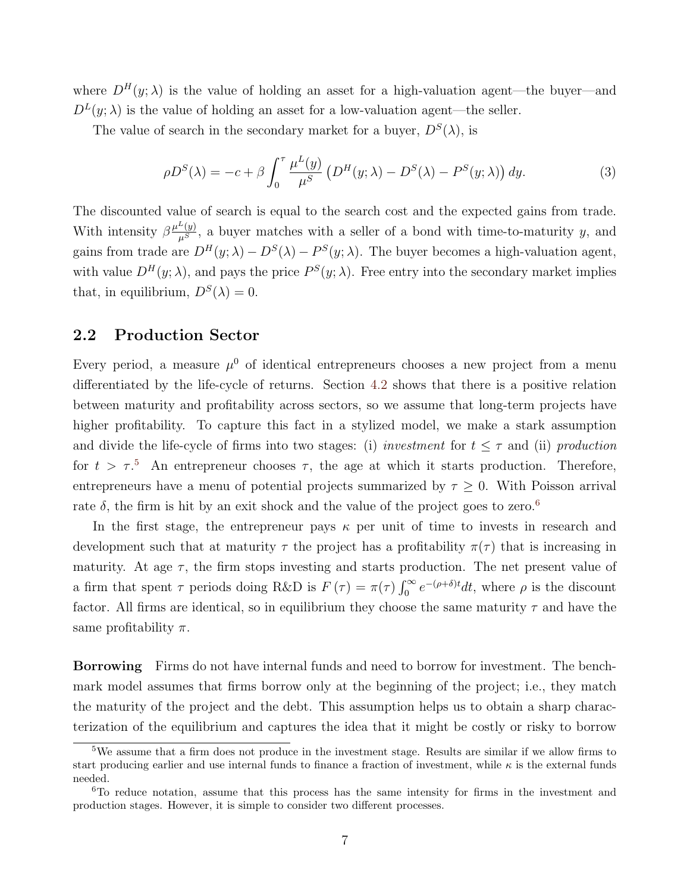where  $D^{H}(y; \lambda)$  is the value of holding an asset for a high-valuation agent—the buyer—and  $D^{L}(y; \lambda)$  is the value of holding an asset for a low-valuation agent—the seller.

The value of search in the secondary market for a buyer,  $D^{S}(\lambda)$ , is

<span id="page-7-2"></span>
$$
\rho D^{S}(\lambda) = -c + \beta \int_0^{\tau} \frac{\mu^L(y)}{\mu^S} \left( D^{H}(y; \lambda) - D^{S}(\lambda) - P^{S}(y; \lambda) \right) dy.
$$
 (3)

The discounted value of search is equal to the search cost and the expected gains from trade. With intensity  $\beta \frac{\mu^L(y)}{\mu^S}$ , a buyer matches with a seller of a bond with time-to-maturity y, and gains from trade are  $D^{H}(y; \lambda) - D^{S}(\lambda) - P^{S}(y; \lambda)$ . The buyer becomes a high-valuation agent, with value  $D^{H}(y; \lambda)$ , and pays the price  $P^{S}(y; \lambda)$ . Free entry into the secondary market implies that, in equilibrium,  $D^{S}(\lambda) = 0$ .

#### 2.2 Production Sector

Every period, a measure  $\mu^0$  of identical entrepreneurs chooses a new project from a menu differentiated by the life-cycle of returns. Section [4.2](#page-23-0) shows that there is a positive relation between maturity and profitability across sectors, so we assume that long-term projects have higher profitability. To capture this fact in a stylized model, we make a stark assumption and divide the life-cycle of firms into two stages: (i) *investment* for  $t \leq \tau$  and (ii) production for  $t > \tau$ <sup>[5](#page-7-0)</sup>. An entrepreneur chooses  $\tau$ , the age at which it starts production. Therefore, entrepreneurs have a menu of potential projects summarized by  $\tau \geq 0$ . With Poisson arrival rate  $\delta$ , the firm is hit by an exit shock and the value of the project goes to zero.<sup>[6](#page-7-1)</sup>

In the first stage, the entrepreneur pays  $\kappa$  per unit of time to invests in research and development such that at maturity  $\tau$  the project has a profitability  $\pi(\tau)$  that is increasing in maturity. At age  $\tau$ , the firm stops investing and starts production. The net present value of a firm that spent  $\tau$  periods doing R&D is  $F(\tau) = \pi(\tau) \int_0^{\infty} e^{-(\rho+\delta)t} dt$ , where  $\rho$  is the discount factor. All firms are identical, so in equilibrium they choose the same maturity  $\tau$  and have the same profitability  $\pi$ .

Borrowing Firms do not have internal funds and need to borrow for investment. The benchmark model assumes that firms borrow only at the beginning of the project; i.e., they match the maturity of the project and the debt. This assumption helps us to obtain a sharp characterization of the equilibrium and captures the idea that it might be costly or risky to borrow

<span id="page-7-0"></span> $5$ We assume that a firm does not produce in the investment stage. Results are similar if we allow firms to start producing earlier and use internal funds to finance a fraction of investment, while  $\kappa$  is the external funds needed.

<span id="page-7-1"></span> $6T<sub>0</sub>$  reduce notation, assume that this process has the same intensity for firms in the investment and production stages. However, it is simple to consider two different processes.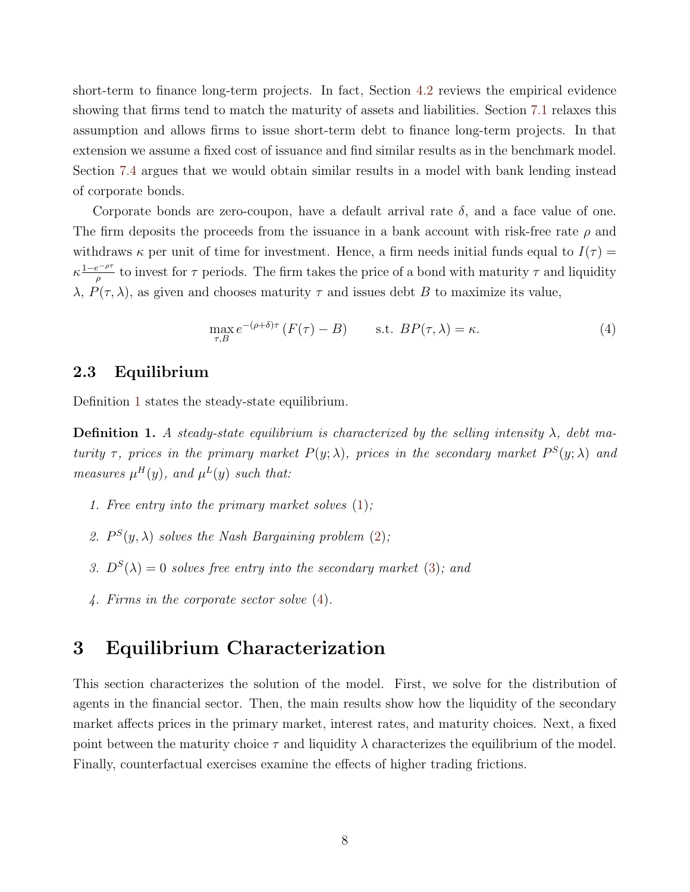short-term to finance long-term projects. In fact, Section [4.2](#page-23-0) reviews the empirical evidence showing that firms tend to match the maturity of assets and liabilities. Section [7.1](#page-39-0) relaxes this assumption and allows firms to issue short-term debt to finance long-term projects. In that extension we assume a fixed cost of issuance and find similar results as in the benchmark model. Section [7.4](#page-46-0) argues that we would obtain similar results in a model with bank lending instead of corporate bonds.

Corporate bonds are zero-coupon, have a default arrival rate  $\delta$ , and a face value of one. The firm deposits the proceeds from the issuance in a bank account with risk-free rate  $\rho$  and withdraws  $\kappa$  per unit of time for investment. Hence, a firm needs initial funds equal to  $I(\tau)$  =  $\kappa \frac{1-e^{-\rho \tau}}{a}$  $\frac{e^{-\mu r}}{\rho}$  to invest for  $\tau$  periods. The firm takes the price of a bond with maturity  $\tau$  and liquidity  $\lambda$ ,  $P(\tau, \lambda)$ , as given and chooses maturity  $\tau$  and issues debt B to maximize its value,

<span id="page-8-2"></span>
$$
\max_{\tau,B} e^{-(\rho+\delta)\tau} \left( F(\tau) - B \right) \qquad \text{s.t. } BP(\tau,\lambda) = \kappa. \tag{4}
$$

#### 2.3 Equilibrium

Definition [1](#page-8-1) states the steady-state equilibrium.

<span id="page-8-1"></span>**Definition 1.** A steady-state equilibrium is characterized by the selling intensity  $\lambda$ , debt maturity  $\tau$ , prices in the primary market  $P(y; \lambda)$ , prices in the secondary market  $P^{S}(y; \lambda)$  and measures  $\mu^{H}(y)$ , and  $\mu^{L}(y)$  such that:

- 1. Free entry into the primary market solves [\(1\)](#page-5-1);
- 2.  $P^{S}(y, \lambda)$  solves the Nash Bargaining problem [\(2\)](#page-6-3);
- 3.  $D^{S}(\lambda) = 0$  solves free entry into the secondary market [\(3\)](#page-7-2); and
- 4. Firms in the corporate sector solve [\(4\)](#page-8-2).

# <span id="page-8-0"></span>3 Equilibrium Characterization

This section characterizes the solution of the model. First, we solve for the distribution of agents in the financial sector. Then, the main results show how the liquidity of the secondary market affects prices in the primary market, interest rates, and maturity choices. Next, a fixed point between the maturity choice  $\tau$  and liquidity  $\lambda$  characterizes the equilibrium of the model. Finally, counterfactual exercises examine the effects of higher trading frictions.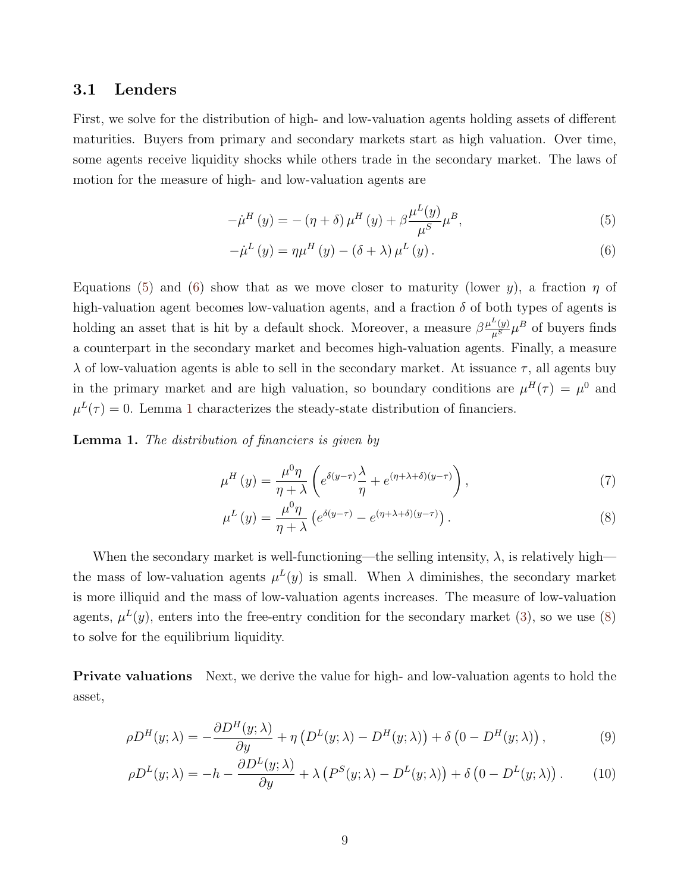#### 3.1 Lenders

First, we solve for the distribution of high- and low-valuation agents holding assets of different maturities. Buyers from primary and secondary markets start as high valuation. Over time, some agents receive liquidity shocks while others trade in the secondary market. The laws of motion for the measure of high- and low-valuation agents are

<span id="page-9-0"></span>
$$
-\dot{\mu}^{H}\left(y\right) = -\left(\eta + \delta\right)\mu^{H}\left(y\right) + \beta \frac{\mu^{L}\left(y\right)}{\mu^{S}}\mu^{B},\tag{5}
$$

<span id="page-9-1"></span>
$$
-\dot{\mu}^{L}(y) = \eta \mu^{H}(y) - (\delta + \lambda) \mu^{L}(y).
$$
\n(6)

Equations [\(5\)](#page-9-0) and [\(6\)](#page-9-1) show that as we move closer to maturity (lower y), a fraction  $\eta$  of high-valuation agent becomes low-valuation agents, and a fraction  $\delta$  of both types of agents is holding an asset that is hit by a default shock. Moreover, a measure  $\beta \frac{\mu^L(y)}{\mu^S} \mu^B$  of buyers finds a counterpart in the secondary market and becomes high-valuation agents. Finally, a measure  $\lambda$  of low-valuation agents is able to sell in the secondary market. At issuance  $\tau$ , all agents buy in the primary market and are high valuation, so boundary conditions are  $\mu^H(\tau) = \mu^0$  and  $\mu^L(\tau) = 0$ . Lemma [1](#page-9-2) characterizes the steady-state distribution of financiers.

<span id="page-9-2"></span>Lemma 1. The distribution of financiers is given by

$$
\mu^H(y) = \frac{\mu^0 \eta}{\eta + \lambda} \left( e^{\delta(y-\tau)} \frac{\lambda}{\eta} + e^{(\eta + \lambda + \delta)(y-\tau)} \right),\tag{7}
$$

<span id="page-9-5"></span><span id="page-9-4"></span><span id="page-9-3"></span>
$$
\mu^{L}(y) = \frac{\mu^{0}\eta}{\eta + \lambda} \left( e^{\delta(y-\tau)} - e^{(\eta + \lambda + \delta)(y-\tau)} \right).
$$
\n(8)

When the secondary market is well-functioning—the selling intensity,  $\lambda$ , is relatively high the mass of low-valuation agents  $\mu^L(y)$  is small. When  $\lambda$  diminishes, the secondary market is more illiquid and the mass of low-valuation agents increases. The measure of low-valuation agents,  $\mu^L(y)$ , enters into the free-entry condition for the secondary market [\(3\)](#page-7-2), so we use [\(8\)](#page-9-3) to solve for the equilibrium liquidity.

Private valuations Next, we derive the value for high- and low-valuation agents to hold the asset,

$$
\rho D^{H}(y;\lambda) = -\frac{\partial D^{H}(y;\lambda)}{\partial y} + \eta \left( D^{L}(y;\lambda) - D^{H}(y;\lambda) \right) + \delta \left( 0 - D^{H}(y;\lambda) \right), \tag{9}
$$

$$
\rho D^{L}(y;\lambda) = -h - \frac{\partial D^{L}(y;\lambda)}{\partial y} + \lambda \left( P^{S}(y;\lambda) - D^{L}(y;\lambda) \right) + \delta \left( 0 - D^{L}(y;\lambda) \right). \tag{10}
$$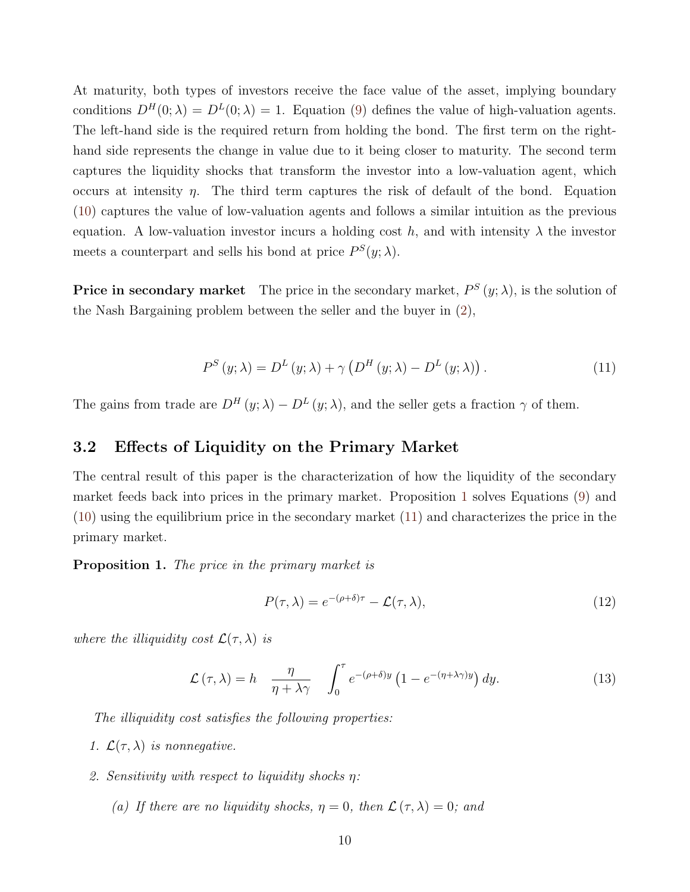At maturity, both types of investors receive the face value of the asset, implying boundary conditions  $D^{H}(0; \lambda) = D^{L}(0; \lambda) = 1$ . Equation [\(9\)](#page-9-4) defines the value of high-valuation agents. The left-hand side is the required return from holding the bond. The first term on the righthand side represents the change in value due to it being closer to maturity. The second term captures the liquidity shocks that transform the investor into a low-valuation agent, which occurs at intensity  $\eta$ . The third term captures the risk of default of the bond. Equation [\(10\)](#page-9-5) captures the value of low-valuation agents and follows a similar intuition as the previous equation. A low-valuation investor incurs a holding cost h, and with intensity  $\lambda$  the investor meets a counterpart and sells his bond at price  $P^{S}(y; \lambda)$ .

**Price in secondary market** The price in the secondary market,  $P^{S}(y; \lambda)$ , is the solution of the Nash Bargaining problem between the seller and the buyer in [\(2\)](#page-6-3),

<span id="page-10-1"></span>
$$
P^{S}(y; \lambda) = D^{L}(y; \lambda) + \gamma \left( D^{H}(y; \lambda) - D^{L}(y; \lambda) \right). \tag{11}
$$

The gains from trade are  $D^H(y; \lambda) - D^L(y; \lambda)$ , and the seller gets a fraction  $\gamma$  of them.

#### 3.2 Effects of Liquidity on the Primary Market

The central result of this paper is the characterization of how the liquidity of the secondary market feeds back into prices in the primary market. Proposition [1](#page-10-0) solves Equations [\(9\)](#page-9-4) and [\(10\)](#page-9-5) using the equilibrium price in the secondary market [\(11\)](#page-10-1) and characterizes the price in the primary market.

<span id="page-10-0"></span>Proposition 1. The price in the primary market is

<span id="page-10-2"></span>
$$
P(\tau,\lambda) = e^{-(\rho+\delta)\tau} - \mathcal{L}(\tau,\lambda),\tag{12}
$$

where the illiquidity cost  $\mathcal{L}(\tau,\lambda)$  is

$$
\mathcal{L}(\tau,\lambda) = h \frac{\eta}{\eta + \lambda \gamma} \int_0^{\tau} e^{-(\rho+\delta)y} \left(1 - e^{-(\eta+\lambda\gamma)y}\right) dy.
$$
 (13)

The illiquidity cost satisfies the following properties:

- 1.  $\mathcal{L}(\tau,\lambda)$  is nonnegative.
- 2. Sensitivity with respect to liquidity shocks  $\eta$ :
	- (a) If there are no liquidity shocks,  $\eta = 0$ , then  $\mathcal{L}(\tau, \lambda) = 0$ ; and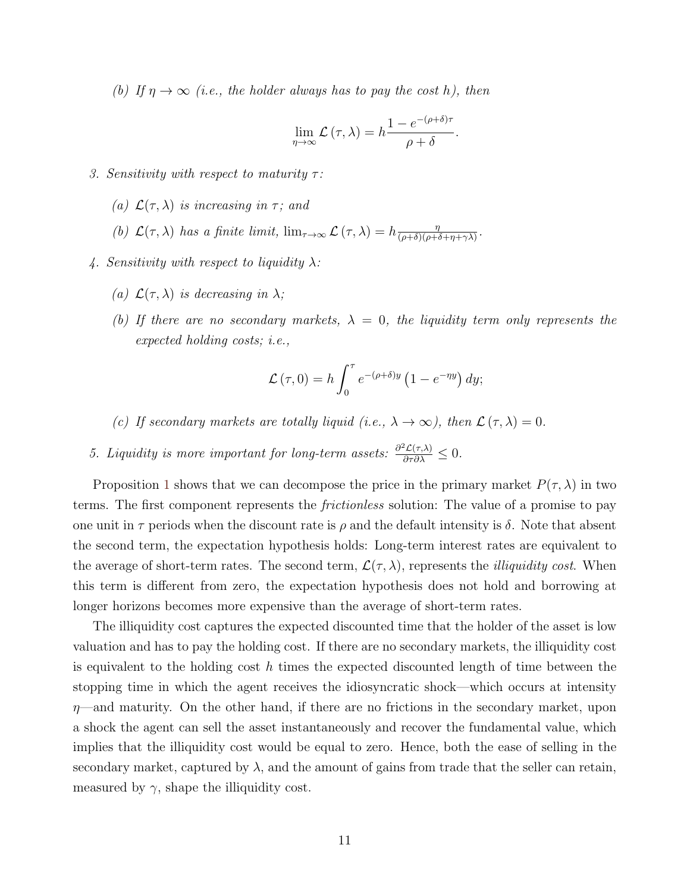(b) If  $\eta \to \infty$  (i.e., the holder always has to pay the cost h), then

$$
\lim_{\eta \to \infty} \mathcal{L}(\tau, \lambda) = h \frac{1 - e^{-(\rho + \delta)\tau}}{\rho + \delta}.
$$

- 3. Sensitivity with respect to maturity  $\tau$ :
	- (a)  $\mathcal{L}(\tau, \lambda)$  is increasing in  $\tau$ ; and
	- (b)  $\mathcal{L}(\tau,\lambda)$  has a finite limit,  $\lim_{\tau\to\infty} \mathcal{L}(\tau,\lambda) = h \frac{\eta}{(\rho+\delta)(\rho+\epsilon)}$  $\frac{\eta}{(\rho+\delta)(\rho+\delta+\eta+\gamma\lambda)}$ .
- 4. Sensitivity with respect to liquidity  $\lambda$ :
	- (a)  $\mathcal{L}(\tau, \lambda)$  is decreasing in  $\lambda$ ;
	- (b) If there are no secondary markets,  $\lambda = 0$ , the liquidity term only represents the expected holding costs; i.e.,

$$
\mathcal{L}(\tau,0) = h \int_0^{\tau} e^{-(\rho+\delta)y} \left(1 - e^{-\eta y}\right) dy;
$$

- (c) If secondary markets are totally liquid (i.e.,  $\lambda \to \infty$ ), then  $\mathcal{L}(\tau, \lambda) = 0$ .
- 5. Liquidity is more important for long-term assets:  $\frac{\partial^2 \mathcal{L}(\tau,\lambda)}{\partial \tau \partial \lambda} \leq 0$ .

Proposition [1](#page-10-0) shows that we can decompose the price in the primary market  $P(\tau, \lambda)$  in two terms. The first component represents the *frictionless* solution: The value of a promise to pay one unit in  $\tau$  periods when the discount rate is  $\rho$  and the default intensity is  $\delta$ . Note that absent the second term, the expectation hypothesis holds: Long-term interest rates are equivalent to the average of short-term rates. The second term,  $\mathcal{L}(\tau,\lambda)$ , represents the *illiquidity cost*. When this term is different from zero, the expectation hypothesis does not hold and borrowing at longer horizons becomes more expensive than the average of short-term rates.

The illiquidity cost captures the expected discounted time that the holder of the asset is low valuation and has to pay the holding cost. If there are no secondary markets, the illiquidity cost is equivalent to the holding cost h times the expected discounted length of time between the stopping time in which the agent receives the idiosyncratic shock—which occurs at intensity  $\eta$ —and maturity. On the other hand, if there are no frictions in the secondary market, upon a shock the agent can sell the asset instantaneously and recover the fundamental value, which implies that the illiquidity cost would be equal to zero. Hence, both the ease of selling in the secondary market, captured by  $\lambda$ , and the amount of gains from trade that the seller can retain, measured by  $\gamma$ , shape the illiquidity cost.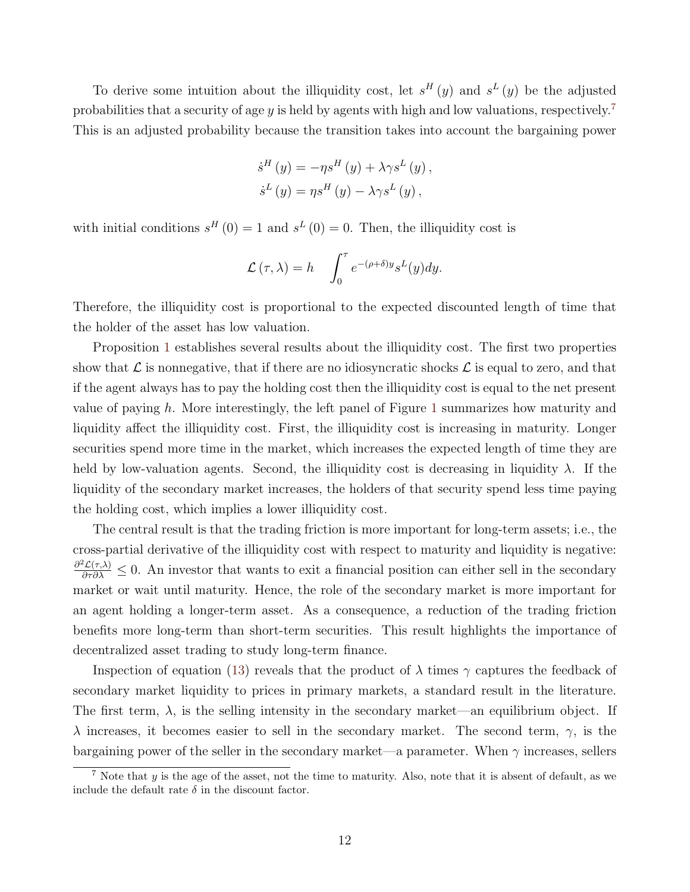To derive some intuition about the illiquidity cost, let  $s^H(y)$  and  $s^L(y)$  be the adjusted probabilities that a security of age y is held by agents with high and low valuations, respectively.<sup>[7](#page-12-0)</sup> This is an adjusted probability because the transition takes into account the bargaining power

$$
\dot{s}^{H} (y) = -\eta s^{H} (y) + \lambda \gamma s^{L} (y) ,
$$

$$
\dot{s}^{L} (y) = \eta s^{H} (y) - \lambda \gamma s^{L} (y) ,
$$

with initial conditions  $s^H(0) = 1$  and  $s^L(0) = 0$ . Then, the illiquidity cost is

$$
\mathcal{L}(\tau,\lambda) = h \int_0^{\tau} e^{-(\rho+\delta)y} s^L(y) dy.
$$

Therefore, the illiquidity cost is proportional to the expected discounted length of time that the holder of the asset has low valuation.

Proposition [1](#page-10-0) establishes several results about the illiquidity cost. The first two properties show that  $\mathcal L$  is nonnegative, that if there are no idiosyncratic shocks  $\mathcal L$  is equal to zero, and that if the agent always has to pay the holding cost then the illiquidity cost is equal to the net present value of paying h. More interestingly, the left panel of Figure [1](#page-13-0) summarizes how maturity and liquidity affect the illiquidity cost. First, the illiquidity cost is increasing in maturity. Longer securities spend more time in the market, which increases the expected length of time they are held by low-valuation agents. Second, the illiquidity cost is decreasing in liquidity  $\lambda$ . If the liquidity of the secondary market increases, the holders of that security spend less time paying the holding cost, which implies a lower illiquidity cost.

The central result is that the trading friction is more important for long-term assets; i.e., the cross-partial derivative of the illiquidity cost with respect to maturity and liquidity is negative:  $\frac{\partial^2 \mathcal{L}(\tau,\lambda)}{\partial \tau \partial \lambda} \leq 0$ . An investor that wants to exit a financial position can either sell in the secondary market or wait until maturity. Hence, the role of the secondary market is more important for an agent holding a longer-term asset. As a consequence, a reduction of the trading friction benefits more long-term than short-term securities. This result highlights the importance of decentralized asset trading to study long-term finance.

Inspection of equation [\(13\)](#page-10-2) reveals that the product of  $\lambda$  times  $\gamma$  captures the feedback of secondary market liquidity to prices in primary markets, a standard result in the literature. The first term,  $\lambda$ , is the selling intensity in the secondary market—an equilibrium object. If  $\lambda$  increases, it becomes easier to sell in the secondary market. The second term,  $\gamma$ , is the bargaining power of the seller in the secondary market—a parameter. When  $\gamma$  increases, sellers

<span id="page-12-0"></span><sup>&</sup>lt;sup>7</sup> Note that  $y$  is the age of the asset, not the time to maturity. Also, note that it is absent of default, as we include the default rate  $\delta$  in the discount factor.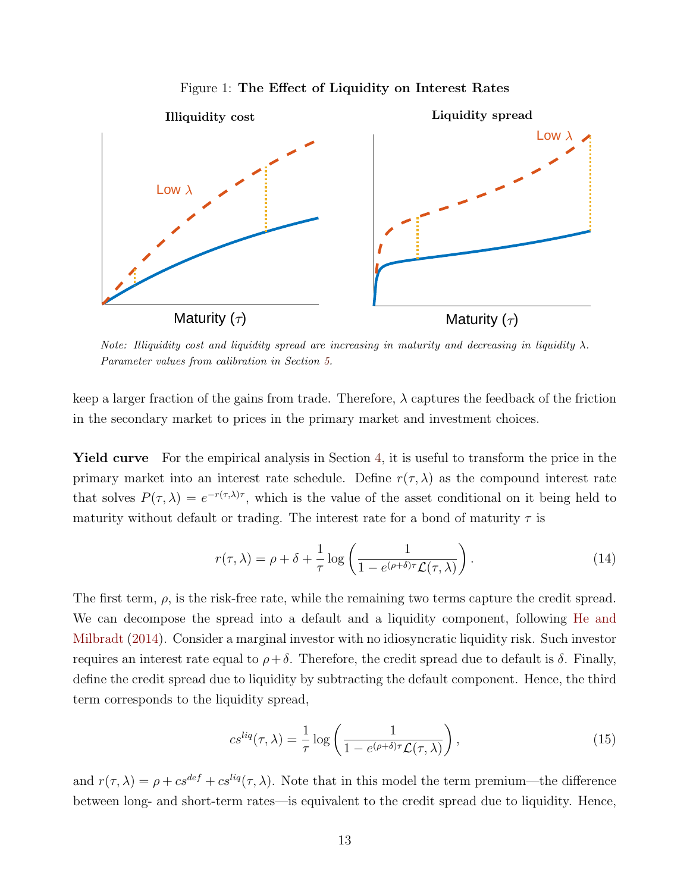<span id="page-13-0"></span>

Figure 1: The Effect of Liquidity on Interest Rates

Note: Illiquidity cost and liquidity spread are increasing in maturity and decreasing in liquidity  $\lambda$ . Parameter values from calibration in Section [5.](#page-24-0)

keep a larger fraction of the gains from trade. Therefore,  $\lambda$  captures the feedback of the friction in the secondary market to prices in the primary market and investment choices.

Yield curve For the empirical analysis in Section [4,](#page-18-0) it is useful to transform the price in the primary market into an interest rate schedule. Define  $r(\tau, \lambda)$  as the compound interest rate that solves  $P(\tau,\lambda) = e^{-r(\tau,\lambda)\tau}$ , which is the value of the asset conditional on it being held to maturity without default or trading. The interest rate for a bond of maturity  $\tau$  is

$$
r(\tau,\lambda) = \rho + \delta + \frac{1}{\tau} \log \left( \frac{1}{1 - e^{(\rho + \delta)\tau} \mathcal{L}(\tau,\lambda)} \right). \tag{14}
$$

The first term,  $\rho$ , is the risk-free rate, while the remaining two terms capture the credit spread. We can decompose the spread into a default and a liquidity component, following [He and](#page-50-1) [Milbradt](#page-50-1) [\(2014\)](#page-50-1). Consider a marginal investor with no idiosyncratic liquidity risk. Such investor requires an interest rate equal to  $ρ + δ$ . Therefore, the credit spread due to default is δ. Finally, define the credit spread due to liquidity by subtracting the default component. Hence, the third term corresponds to the liquidity spread,

$$
cs^{liq}(\tau,\lambda) = \frac{1}{\tau} \log \left( \frac{1}{1 - e^{(\rho+\delta)\tau} \mathcal{L}(\tau,\lambda)} \right),\tag{15}
$$

and  $r(\tau, \lambda) = \rho + c s^{def} + c s^{liq}(\tau, \lambda)$ . Note that in this model the term premium—the difference between long- and short-term rates—is equivalent to the credit spread due to liquidity. Hence,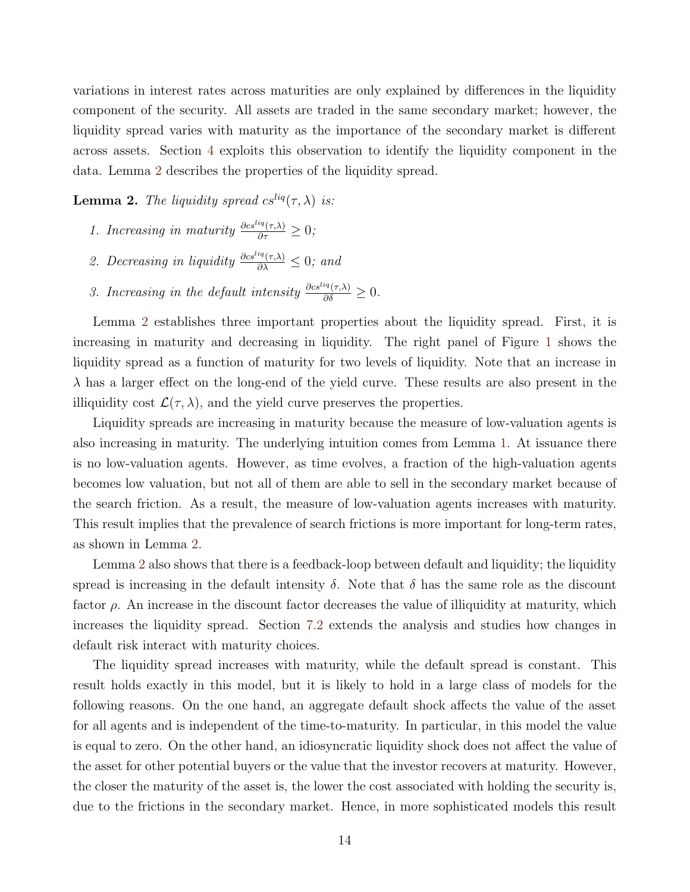variations in interest rates across maturities are only explained by differences in the liquidity component of the security. All assets are traded in the same secondary market; however, the liquidity spread varies with maturity as the importance of the secondary market is different across assets. Section [4](#page-18-0) exploits this observation to identify the liquidity component in the data. Lemma [2](#page-14-0) describes the properties of the liquidity spread.

<span id="page-14-0"></span>**Lemma 2.** The liquidity spread  $cs^{liq}(\tau, \lambda)$  is:

- 1. Increasing in maturity  $\frac{\partial cs^{liq}(\tau,\lambda)}{\partial \tau} \geq 0;$
- 2. Decreasing in liquidity  $\frac{\partial c s^{liq}(\tau,\lambda)}{\partial \lambda} \leq 0$ ; and
- 3. Increasing in the default intensity  $\frac{\partial cs^{liq}(\tau,\lambda)}{\partial \delta} \geq 0$ .

Lemma [2](#page-14-0) establishes three important properties about the liquidity spread. First, it is increasing in maturity and decreasing in liquidity. The right panel of Figure [1](#page-13-0) shows the liquidity spread as a function of maturity for two levels of liquidity. Note that an increase in  $\lambda$  has a larger effect on the long-end of the yield curve. These results are also present in the illiquidity cost  $\mathcal{L}(\tau,\lambda)$ , and the yield curve preserves the properties.

Liquidity spreads are increasing in maturity because the measure of low-valuation agents is also increasing in maturity. The underlying intuition comes from Lemma [1.](#page-9-2) At issuance there is no low-valuation agents. However, as time evolves, a fraction of the high-valuation agents becomes low valuation, but not all of them are able to sell in the secondary market because of the search friction. As a result, the measure of low-valuation agents increases with maturity. This result implies that the prevalence of search frictions is more important for long-term rates, as shown in Lemma [2.](#page-14-0)

Lemma [2](#page-14-0) also shows that there is a feedback-loop between default and liquidity; the liquidity spread is increasing in the default intensity  $\delta$ . Note that  $\delta$  has the same role as the discount factor  $\rho$ . An increase in the discount factor decreases the value of illiquidity at maturity, which increases the liquidity spread. Section [7.2](#page-43-1) extends the analysis and studies how changes in default risk interact with maturity choices.

The liquidity spread increases with maturity, while the default spread is constant. This result holds exactly in this model, but it is likely to hold in a large class of models for the following reasons. On the one hand, an aggregate default shock affects the value of the asset for all agents and is independent of the time-to-maturity. In particular, in this model the value is equal to zero. On the other hand, an idiosyncratic liquidity shock does not affect the value of the asset for other potential buyers or the value that the investor recovers at maturity. However, the closer the maturity of the asset is, the lower the cost associated with holding the security is, due to the frictions in the secondary market. Hence, in more sophisticated models this result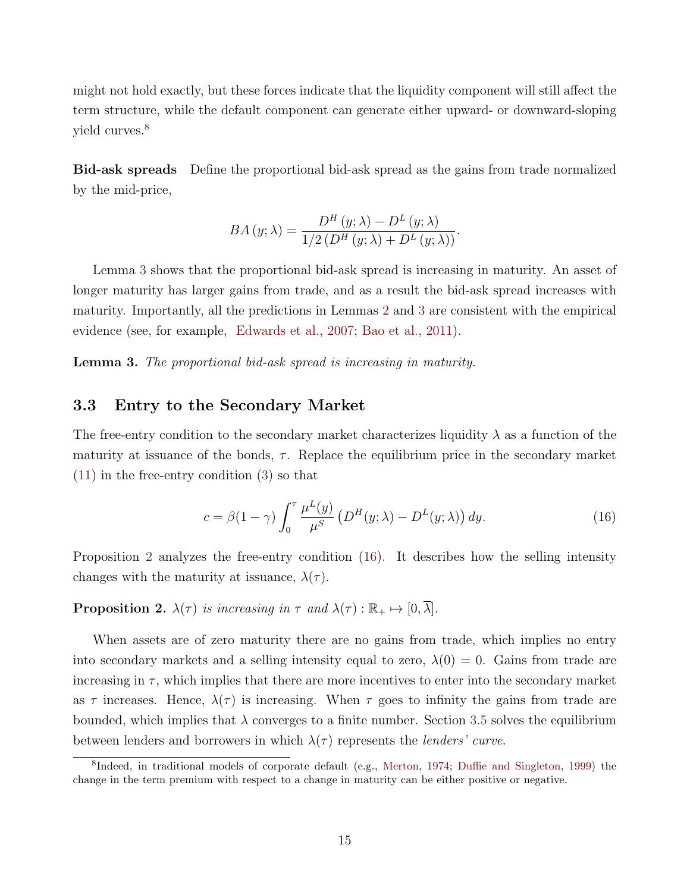might not hold exactly, but these forces indicate that the liquidity component will still affect the term structure, while the default component can generate either upward- or downward-sloping yield curves.<sup>[8](#page-15-0)</sup>

Bid-ask spreads Define the proportional bid-ask spread as the gains from trade normalized by the mid-price,

$$
BA(y; \lambda) = \frac{D^H(y; \lambda) - D^L(y; \lambda)}{1/2(D^H(y; \lambda) + D^L(y; \lambda))}.
$$

Lemma [3](#page-15-1) shows that the proportional bid-ask spread is increasing in maturity. An asset of longer maturity has larger gains from trade, and as a result the bid-ask spread increases with maturity. Importantly, all the predictions in Lemmas [2](#page-14-0) and [3](#page-15-1) are consistent with the empirical evidence (see, for example, [Edwards et al.,](#page-49-6) [2007;](#page-49-6) [Bao et al.,](#page-48-6) [2011\)](#page-48-6).

<span id="page-15-1"></span>Lemma 3. The proportional bid-ask spread is increasing in maturity.

### 3.3 Entry to the Secondary Market

The free-entry condition to the secondary market characterizes liquidity  $\lambda$  as a function of the maturity at issuance of the bonds,  $\tau$ . Replace the equilibrium price in the secondary market [\(11\)](#page-10-1) in the free-entry condition [\(3\)](#page-7-2) so that

<span id="page-15-3"></span>
$$
c = \beta(1 - \gamma) \int_0^\tau \frac{\mu^L(y)}{\mu^S} \left( D^H(y; \lambda) - D^L(y; \lambda) \right) dy.
$$
 (16)

Proposition [2](#page-15-2) analyzes the free-entry condition [\(16\)](#page-15-3). It describes how the selling intensity changes with the maturity at issuance,  $\lambda(\tau)$ .

<span id="page-15-2"></span>**Proposition 2.**  $\lambda(\tau)$  is increasing in  $\tau$  and  $\lambda(\tau) : \mathbb{R}_+ \mapsto [0, \overline{\lambda}]$ .

When assets are of zero maturity there are no gains from trade, which implies no entry into secondary markets and a selling intensity equal to zero,  $\lambda(0) = 0$ . Gains from trade are increasing in  $\tau$ , which implies that there are more incentives to enter into the secondary market as  $\tau$  increases. Hence,  $\lambda(\tau)$  is increasing. When  $\tau$  goes to infinity the gains from trade are bounded, which implies that  $\lambda$  converges to a finite number. Section [3.5](#page-16-0) solves the equilibrium between lenders and borrowers in which  $\lambda(\tau)$  represents the *lenders' curve*.

<span id="page-15-0"></span><sup>&</sup>lt;sup>8</sup>Indeed, in traditional models of corporate default (e.g., [Merton,](#page-51-7) [1974;](#page-51-7) [Duffie and Singleton,](#page-49-7) [1999\)](#page-49-7) the change in the term premium with respect to a change in maturity can be either positive or negative.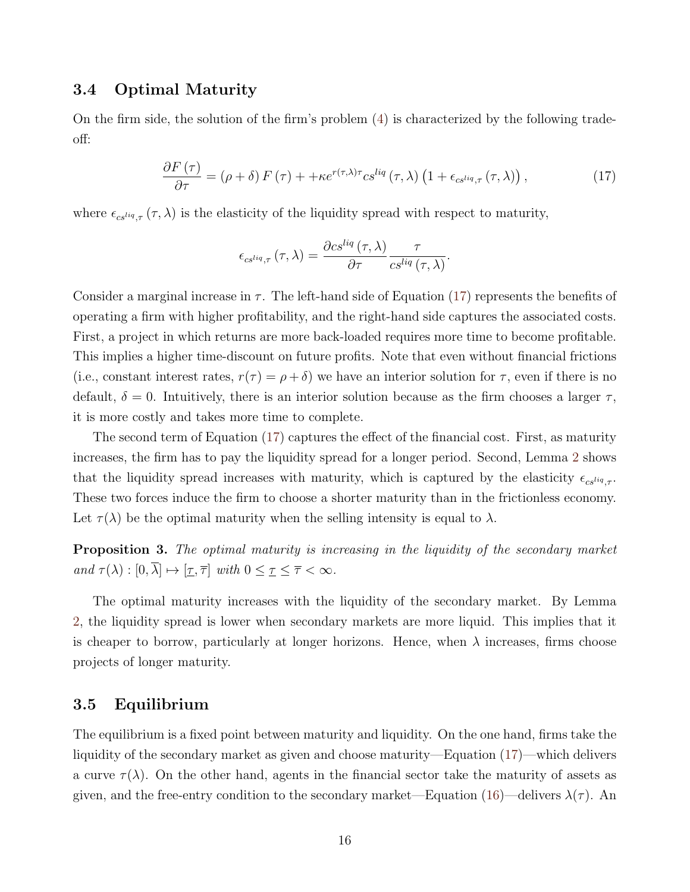### 3.4 Optimal Maturity

On the firm side, the solution of the firm's problem [\(4\)](#page-8-2) is characterized by the following tradeoff:

$$
\frac{\partial F\left(\tau\right)}{\partial \tau} = \left(\rho + \delta\right) F\left(\tau\right) + + \kappa e^{r(\tau,\lambda)\tau} c s^{liq} \left(\tau, \lambda\right) \left(1 + \epsilon_{c s^{liq}, \tau} \left(\tau, \lambda\right)\right),\tag{17}
$$

<span id="page-16-1"></span>.

where  $\epsilon_{cs^{liq},\tau}(\tau,\lambda)$  is the elasticity of the liquidity spread with respect to maturity,

$$
\epsilon_{cs^{liq},\tau}(\tau,\lambda) = \frac{\partial cs^{liq}(\tau,\lambda)}{\partial \tau} \frac{\tau}{cs^{liq}(\tau,\lambda)}
$$

Consider a marginal increase in  $\tau$ . The left-hand side of Equation [\(17\)](#page-16-1) represents the benefits of operating a firm with higher profitability, and the right-hand side captures the associated costs. First, a project in which returns are more back-loaded requires more time to become profitable. This implies a higher time-discount on future profits. Note that even without financial frictions (i.e., constant interest rates,  $r(\tau) = \rho + \delta$ ) we have an interior solution for  $\tau$ , even if there is no default,  $\delta = 0$ . Intuitively, there is an interior solution because as the firm chooses a larger  $\tau$ , it is more costly and takes more time to complete.

The second term of Equation [\(17\)](#page-16-1) captures the effect of the financial cost. First, as maturity increases, the firm has to pay the liquidity spread for a longer period. Second, Lemma [2](#page-14-0) shows that the liquidity spread increases with maturity, which is captured by the elasticity  $\epsilon_{c s^{liq}}$ . These two forces induce the firm to choose a shorter maturity than in the frictionless economy. Let  $\tau(\lambda)$  be the optimal maturity when the selling intensity is equal to  $\lambda$ .

<span id="page-16-2"></span>**Proposition 3.** The optimal maturity is increasing in the liquidity of the secondary market and  $\tau(\lambda) : [0, \overline{\lambda}] \mapsto [\underline{\tau}, \overline{\tau}]$  with  $0 \leq \underline{\tau} \leq \overline{\tau} < \infty$ .

The optimal maturity increases with the liquidity of the secondary market. By Lemma [2,](#page-14-0) the liquidity spread is lower when secondary markets are more liquid. This implies that it is cheaper to borrow, particularly at longer horizons. Hence, when  $\lambda$  increases, firms choose projects of longer maturity.

### <span id="page-16-0"></span>3.5 Equilibrium

The equilibrium is a fixed point between maturity and liquidity. On the one hand, firms take the liquidity of the secondary market as given and choose maturity—Equation [\(17\)](#page-16-1)—which delivers a curve  $\tau(\lambda)$ . On the other hand, agents in the financial sector take the maturity of assets as given, and the free-entry condition to the secondary market—Equation [\(16\)](#page-15-3)—delivers  $\lambda(\tau)$ . An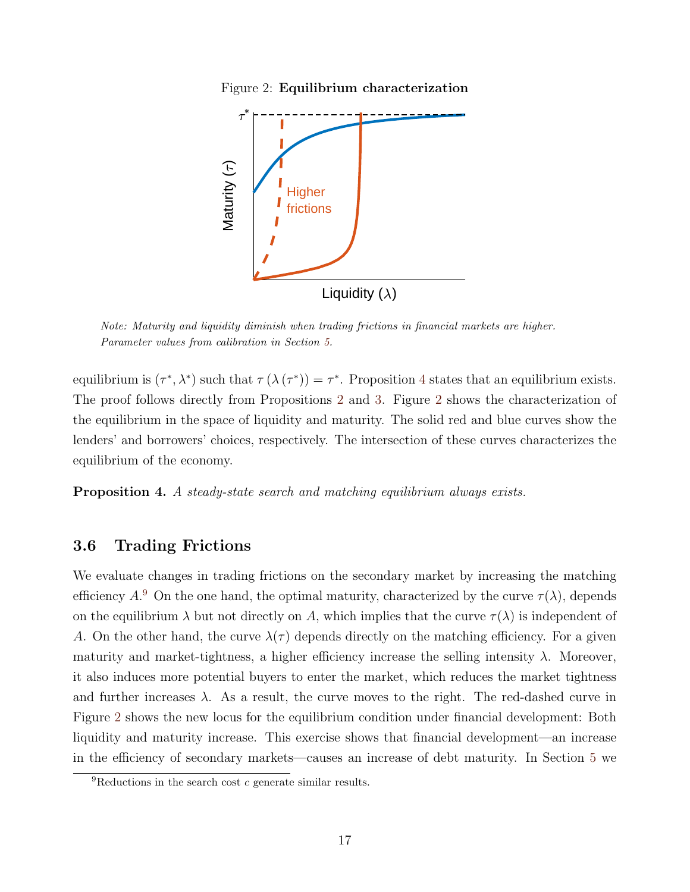Figure 2: Equilibrium characterization

<span id="page-17-1"></span>

Note: Maturity and liquidity diminish when trading frictions in financial markets are higher. Parameter values from calibration in Section [5.](#page-24-0)

equilibrium is  $(\tau^*, \lambda^*)$  such that  $\tau(\lambda(\tau^*)) = \tau^*$ . Proposition [4](#page-17-0) states that an equilibrium exists. The proof follows directly from Propositions [2](#page-15-2) and [3.](#page-16-2) Figure [2](#page-17-1) shows the characterization of the equilibrium in the space of liquidity and maturity. The solid red and blue curves show the lenders' and borrowers' choices, respectively. The intersection of these curves characterizes the equilibrium of the economy.

<span id="page-17-0"></span>Proposition 4. A steady-state search and matching equilibrium always exists.

### 3.6 Trading Frictions

We evaluate changes in trading frictions on the secondary market by increasing the matching efficiency  $A<sup>9</sup>$  $A<sup>9</sup>$  $A<sup>9</sup>$  On the one hand, the optimal maturity, characterized by the curve  $\tau(\lambda)$ , depends on the equilibrium  $\lambda$  but not directly on A, which implies that the curve  $\tau(\lambda)$  is independent of A. On the other hand, the curve  $\lambda(\tau)$  depends directly on the matching efficiency. For a given maturity and market-tightness, a higher efficiency increase the selling intensity  $\lambda$ . Moreover, it also induces more potential buyers to enter the market, which reduces the market tightness and further increases  $\lambda$ . As a result, the curve moves to the right. The red-dashed curve in Figure [2](#page-17-1) shows the new locus for the equilibrium condition under financial development: Both liquidity and maturity increase. This exercise shows that financial development—an increase in the efficiency of secondary markets—causes an increase of debt maturity. In Section [5](#page-24-0) we

<span id="page-17-2"></span> ${}^{9}$ Reductions in the search cost c generate similar results.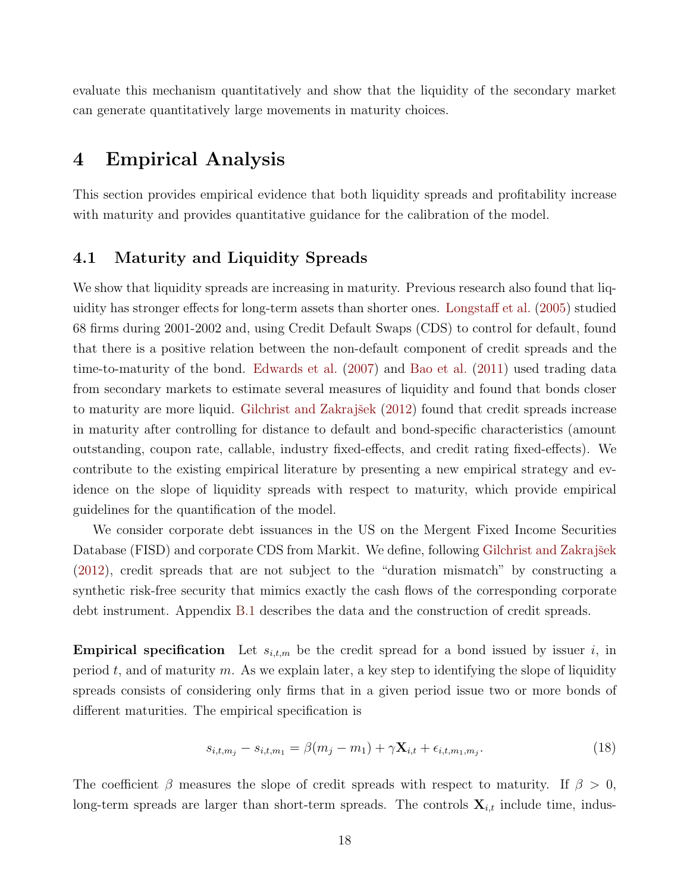evaluate this mechanism quantitatively and show that the liquidity of the secondary market can generate quantitatively large movements in maturity choices.

# <span id="page-18-0"></span>4 Empirical Analysis

This section provides empirical evidence that both liquidity spreads and profitability increase with maturity and provides quantitative guidance for the calibration of the model.

### 4.1 Maturity and Liquidity Spreads

We show that liquidity spreads are increasing in maturity. Previous research also found that liquidity has stronger effects for long-term assets than shorter ones. [Longstaff et al.](#page-51-8) [\(2005\)](#page-51-8) studied 68 firms during 2001-2002 and, using Credit Default Swaps (CDS) to control for default, found that there is a positive relation between the non-default component of credit spreads and the time-to-maturity of the bond. [Edwards et al.](#page-49-6) [\(2007\)](#page-49-6) and [Bao et al.](#page-48-6) [\(2011\)](#page-48-6) used trading data from secondary markets to estimate several measures of liquidity and found that bonds closer to maturity are more liquid. Gilchrist and Zakrajšek [\(2012\)](#page-50-5) found that credit spreads increase in maturity after controlling for distance to default and bond-specific characteristics (amount outstanding, coupon rate, callable, industry fixed-effects, and credit rating fixed-effects). We contribute to the existing empirical literature by presenting a new empirical strategy and evidence on the slope of liquidity spreads with respect to maturity, which provide empirical guidelines for the quantification of the model.

We consider corporate debt issuances in the US on the Mergent Fixed Income Securities Database (FISD) and corporate CDS from Markit. We define, following Gilchrist and Zakrajšek [\(2012\)](#page-50-5), credit spreads that are not subject to the "duration mismatch" by constructing a synthetic risk-free security that mimics exactly the cash flows of the corresponding corporate debt instrument. Appendix [B.1](#page-64-0) describes the data and the construction of credit spreads.

**Empirical specification** Let  $s_{i,t,m}$  be the credit spread for a bond issued by issuer i, in period t, and of maturity m. As we explain later, a key step to identifying the slope of liquidity spreads consists of considering only firms that in a given period issue two or more bonds of different maturities. The empirical specification is

<span id="page-18-1"></span>
$$
s_{i,t,m_j} - s_{i,t,m_1} = \beta(m_j - m_1) + \gamma \mathbf{X}_{i,t} + \epsilon_{i,t,m_1,m_j}.
$$
\n(18)

The coefficient  $\beta$  measures the slope of credit spreads with respect to maturity. If  $\beta > 0$ , long-term spreads are larger than short-term spreads. The controls  $\mathbf{X}_{i,t}$  include time, indus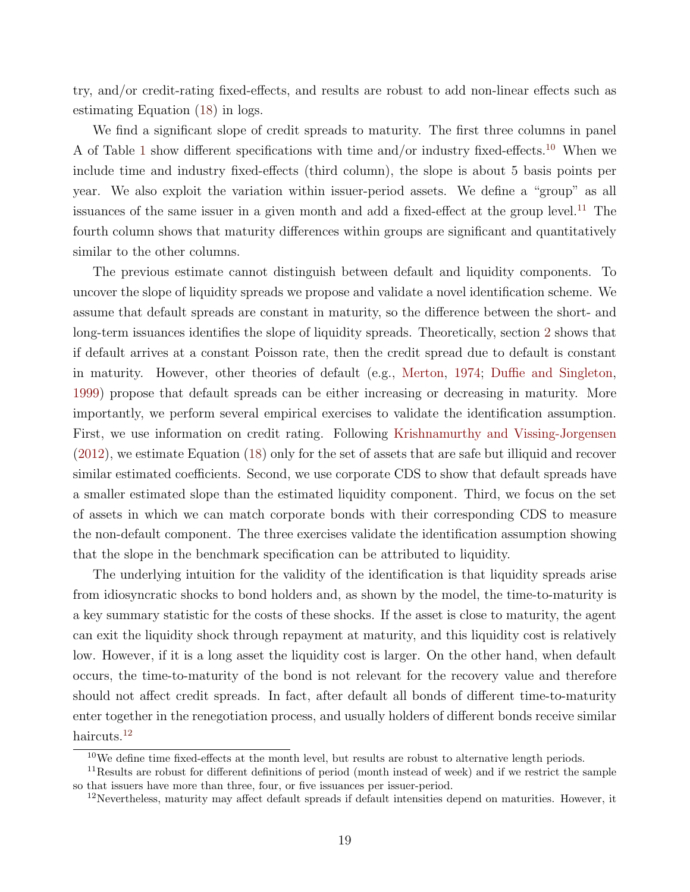try, and/or credit-rating fixed-effects, and results are robust to add non-linear effects such as estimating Equation [\(18\)](#page-18-1) in logs.

We find a significant slope of credit spreads to maturity. The first three columns in panel A of Table [1](#page-21-0) show different specifications with time and/or industry fixed-effects.[10](#page-19-0) When we include time and industry fixed-effects (third column), the slope is about 5 basis points per year. We also exploit the variation within issuer-period assets. We define a "group" as all issuances of the same issuer in a given month and add a fixed-effect at the group level.<sup>[11](#page-19-1)</sup> The fourth column shows that maturity differences within groups are significant and quantitatively similar to the other columns.

The previous estimate cannot distinguish between default and liquidity components. To uncover the slope of liquidity spreads we propose and validate a novel identification scheme. We assume that default spreads are constant in maturity, so the difference between the short- and long-term issuances identifies the slope of liquidity spreads. Theoretically, section [2](#page-5-0) shows that if default arrives at a constant Poisson rate, then the credit spread due to default is constant in maturity. However, other theories of default (e.g., [Merton,](#page-51-7) [1974;](#page-51-7) [Duffie and Singleton,](#page-49-7) [1999\)](#page-49-7) propose that default spreads can be either increasing or decreasing in maturity. More importantly, we perform several empirical exercises to validate the identification assumption. First, we use information on credit rating. Following [Krishnamurthy and Vissing-Jorgensen](#page-51-9) [\(2012\)](#page-51-9), we estimate Equation [\(18\)](#page-18-1) only for the set of assets that are safe but illiquid and recover similar estimated coefficients. Second, we use corporate CDS to show that default spreads have a smaller estimated slope than the estimated liquidity component. Third, we focus on the set of assets in which we can match corporate bonds with their corresponding CDS to measure the non-default component. The three exercises validate the identification assumption showing that the slope in the benchmark specification can be attributed to liquidity.

The underlying intuition for the validity of the identification is that liquidity spreads arise from idiosyncratic shocks to bond holders and, as shown by the model, the time-to-maturity is a key summary statistic for the costs of these shocks. If the asset is close to maturity, the agent can exit the liquidity shock through repayment at maturity, and this liquidity cost is relatively low. However, if it is a long asset the liquidity cost is larger. On the other hand, when default occurs, the time-to-maturity of the bond is not relevant for the recovery value and therefore should not affect credit spreads. In fact, after default all bonds of different time-to-maturity enter together in the renegotiation process, and usually holders of different bonds receive similar haircuts.<sup>[12](#page-19-2)</sup>

<span id="page-19-1"></span><span id="page-19-0"></span> $10$ We define time fixed-effects at the month level, but results are robust to alternative length periods.

<sup>&</sup>lt;sup>11</sup>Results are robust for different definitions of period (month instead of week) and if we restrict the sample so that issuers have more than three, four, or five issuances per issuer-period.

<span id="page-19-2"></span><sup>12</sup>Nevertheless, maturity may affect default spreads if default intensities depend on maturities. However, it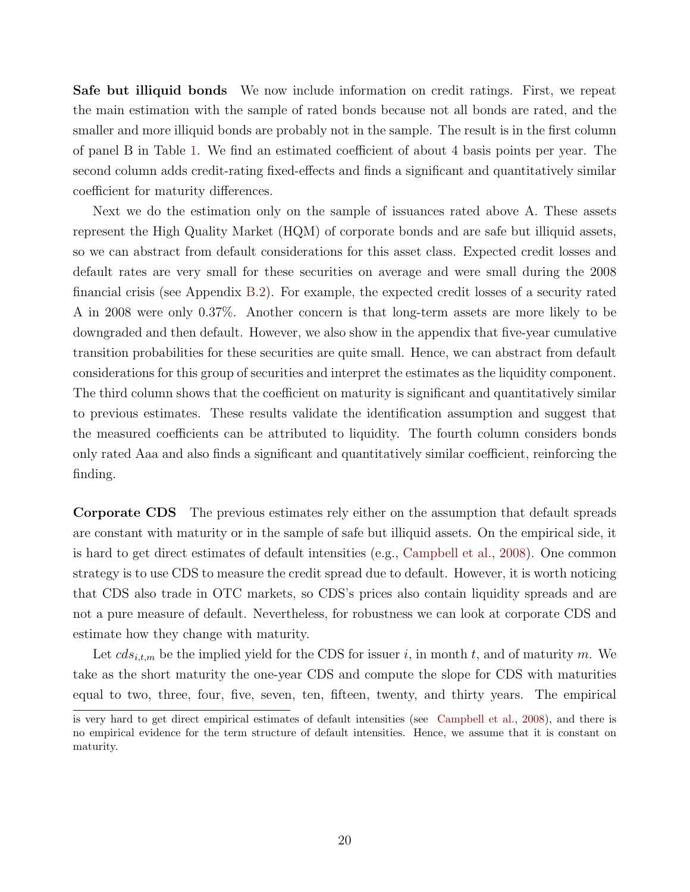Safe but illiquid bonds We now include information on credit ratings. First, we repeat the main estimation with the sample of rated bonds because not all bonds are rated, and the smaller and more illiquid bonds are probably not in the sample. The result is in the first column of panel B in Table [1.](#page-21-0) We find an estimated coefficient of about 4 basis points per year. The second column adds credit-rating fixed-effects and finds a significant and quantitatively similar coefficient for maturity differences.

Next we do the estimation only on the sample of issuances rated above A. These assets represent the High Quality Market (HQM) of corporate bonds and are safe but illiquid assets, so we can abstract from default considerations for this asset class. Expected credit losses and default rates are very small for these securities on average and were small during the 2008 financial crisis (see Appendix [B.2\)](#page-64-1). For example, the expected credit losses of a security rated A in 2008 were only 0.37%. Another concern is that long-term assets are more likely to be downgraded and then default. However, we also show in the appendix that five-year cumulative transition probabilities for these securities are quite small. Hence, we can abstract from default considerations for this group of securities and interpret the estimates as the liquidity component. The third column shows that the coefficient on maturity is significant and quantitatively similar to previous estimates. These results validate the identification assumption and suggest that the measured coefficients can be attributed to liquidity. The fourth column considers bonds only rated Aaa and also finds a significant and quantitatively similar coefficient, reinforcing the finding.

Corporate CDS The previous estimates rely either on the assumption that default spreads are constant with maturity or in the sample of safe but illiquid assets. On the empirical side, it is hard to get direct estimates of default intensities (e.g., [Campbell et al.,](#page-48-7) [2008\)](#page-48-7). One common strategy is to use CDS to measure the credit spread due to default. However, it is worth noticing that CDS also trade in OTC markets, so CDS's prices also contain liquidity spreads and are not a pure measure of default. Nevertheless, for robustness we can look at corporate CDS and estimate how they change with maturity.

Let  $cds_{i,t,m}$  be the implied yield for the CDS for issuer i, in month t, and of maturity m. We take as the short maturity the one-year CDS and compute the slope for CDS with maturities equal to two, three, four, five, seven, ten, fifteen, twenty, and thirty years. The empirical

is very hard to get direct empirical estimates of default intensities (see [Campbell et al.,](#page-48-7) [2008\)](#page-48-7), and there is no empirical evidence for the term structure of default intensities. Hence, we assume that it is constant on maturity.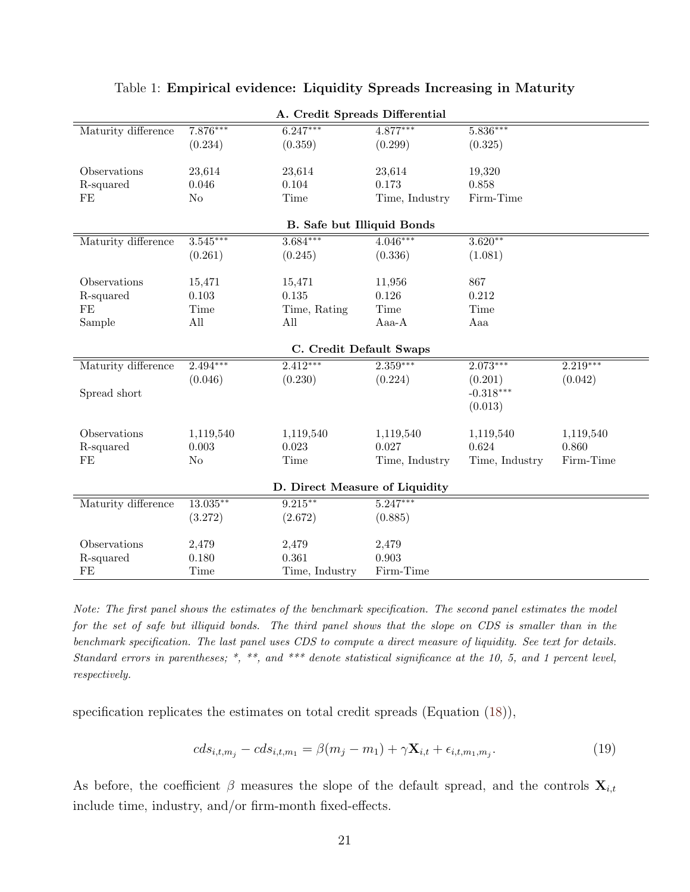<span id="page-21-0"></span>

| A. Credit Spreads Differential |             |                                |                |                |            |  |
|--------------------------------|-------------|--------------------------------|----------------|----------------|------------|--|
| Maturity difference            | $7.876***$  | $6.247***$                     | $4.877***$     | $5.836***$     |            |  |
|                                | (0.234)     | (0.359)                        | (0.299)        | (0.325)        |            |  |
|                                |             |                                |                |                |            |  |
| Observations                   | 23,614      | 23,614                         | 23,614         | 19,320         |            |  |
| R-squared                      | 0.046       | 0.104                          | 0.173          | 0.858          |            |  |
| $\rm FE$                       | No          | Time                           | Time, Industry | Firm-Time      |            |  |
|                                |             | B. Safe but Illiquid Bonds     |                |                |            |  |
| Maturity difference            | $3.545***$  | $3.684***$                     | $4.046***$     | $3.620**$      |            |  |
|                                | (0.261)     | (0.245)                        | (0.336)        | (1.081)        |            |  |
|                                |             |                                |                |                |            |  |
| Observations                   | 15,471      | 15,471                         | 11,956         | 867            |            |  |
| R-squared                      | 0.103       | 0.135                          | 0.126          | 0.212          |            |  |
| $\rm FE$                       | Time        | Time, Rating                   | Time           | Time           |            |  |
| Sample                         | All         | All                            | Aaa-A          | Aaa            |            |  |
|                                |             |                                |                |                |            |  |
|                                |             | C. Credit Default Swaps        |                |                |            |  |
| Maturity difference            | $2.494***$  | $2.412***$                     | $2.359***$     | $2.073***$     | $2.219***$ |  |
|                                | (0.046)     | (0.230)                        | (0.224)        | (0.201)        | (0.042)    |  |
| Spread short                   |             |                                |                | $-0.318***$    |            |  |
|                                |             |                                |                | (0.013)        |            |  |
|                                |             |                                |                |                |            |  |
| Observations                   | 1,119,540   | 1,119,540                      | 1,119,540      | 1,119,540      | 1,119,540  |  |
| R-squared                      | 0.003       | 0.023                          | 0.027          | 0.624          | 0.860      |  |
| $\rm FE$                       | No          | Time                           | Time, Industry | Time, Industry | Firm-Time  |  |
|                                |             |                                |                |                |            |  |
|                                |             | D. Direct Measure of Liquidity |                |                |            |  |
| Maturity difference            | $13.035***$ | $9.215***$                     | $5.247***$     |                |            |  |
|                                | (3.272)     | (2.672)                        | (0.885)        |                |            |  |
|                                |             |                                |                |                |            |  |
| Observations                   | 2,479       | 2,479<br>0.361                 | 2,479<br>0.903 |                |            |  |
| R-squared                      | 0.180       |                                |                |                |            |  |
| FE                             | Time        | Time, Industry                 | Firm-Time      |                |            |  |

#### Table 1: Empirical evidence: Liquidity Spreads Increasing in Maturity

Note: The first panel shows the estimates of the benchmark specification. The second panel estimates the model for the set of safe but illiquid bonds. The third panel shows that the slope on CDS is smaller than in the benchmark specification. The last panel uses CDS to compute a direct measure of liquidity. See text for details. Standard errors in parentheses; \*, \*\*, and \*\*\* denote statistical significance at the 10, 5, and 1 percent level, respectively.

specification replicates the estimates on total credit spreads (Equation [\(18\)](#page-18-1)),

$$
cds_{i,t,m_j} - cds_{i,t,m_1} = \beta(m_j - m_1) + \gamma \mathbf{X}_{i,t} + \epsilon_{i,t,m_1,m_j}.
$$
\n(19)

As before, the coefficient  $\beta$  measures the slope of the default spread, and the controls  $\mathbf{X}_{i,t}$ include time, industry, and/or firm-month fixed-effects.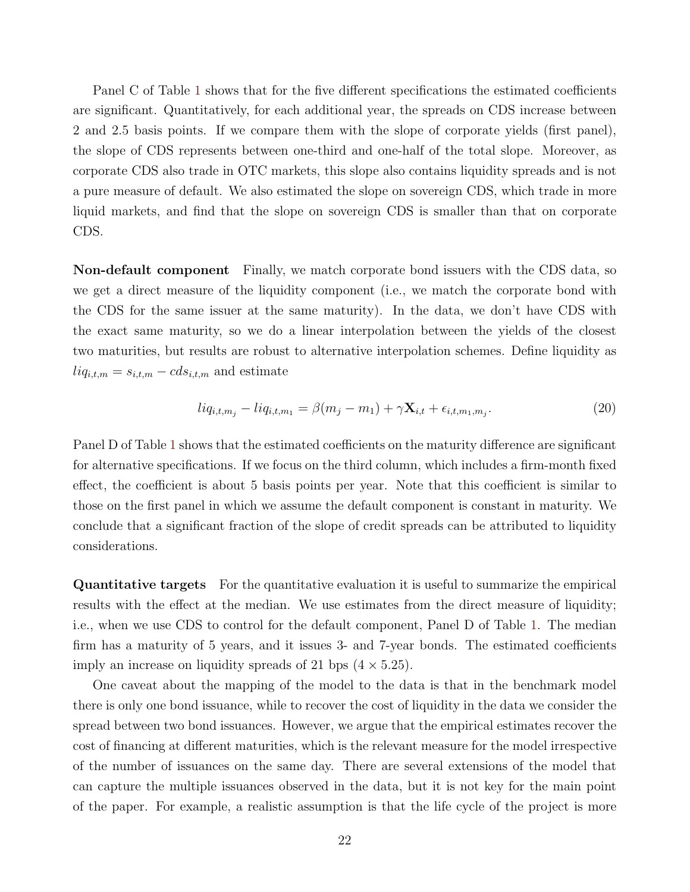Panel C of Table [1](#page-21-0) shows that for the five different specifications the estimated coefficients are significant. Quantitatively, for each additional year, the spreads on CDS increase between 2 and 2.5 basis points. If we compare them with the slope of corporate yields (first panel), the slope of CDS represents between one-third and one-half of the total slope. Moreover, as corporate CDS also trade in OTC markets, this slope also contains liquidity spreads and is not a pure measure of default. We also estimated the slope on sovereign CDS, which trade in more liquid markets, and find that the slope on sovereign CDS is smaller than that on corporate CDS.

Non-default component Finally, we match corporate bond issuers with the CDS data, so we get a direct measure of the liquidity component (i.e., we match the corporate bond with the CDS for the same issuer at the same maturity). In the data, we don't have CDS with the exact same maturity, so we do a linear interpolation between the yields of the closest two maturities, but results are robust to alternative interpolation schemes. Define liquidity as  $liq_{i,t,m} = s_{i,t,m} - cds_{i,t,m}$  and estimate

$$
liq_{i,t,m_j} - liq_{i,t,m_1} = \beta(m_j - m_1) + \gamma \mathbf{X}_{i,t} + \epsilon_{i,t,m_1,m_j}.
$$
\n(20)

Panel D of Table [1](#page-21-0) shows that the estimated coefficients on the maturity difference are significant for alternative specifications. If we focus on the third column, which includes a firm-month fixed effect, the coefficient is about 5 basis points per year. Note that this coefficient is similar to those on the first panel in which we assume the default component is constant in maturity. We conclude that a significant fraction of the slope of credit spreads can be attributed to liquidity considerations.

Quantitative targets For the quantitative evaluation it is useful to summarize the empirical results with the effect at the median. We use estimates from the direct measure of liquidity; i.e., when we use CDS to control for the default component, Panel D of Table [1.](#page-21-0) The median firm has a maturity of 5 years, and it issues 3- and 7-year bonds. The estimated coefficients imply an increase on liquidity spreads of 21 bps  $(4 \times 5.25)$ .

One caveat about the mapping of the model to the data is that in the benchmark model there is only one bond issuance, while to recover the cost of liquidity in the data we consider the spread between two bond issuances. However, we argue that the empirical estimates recover the cost of financing at different maturities, which is the relevant measure for the model irrespective of the number of issuances on the same day. There are several extensions of the model that can capture the multiple issuances observed in the data, but it is not key for the main point of the paper. For example, a realistic assumption is that the life cycle of the project is more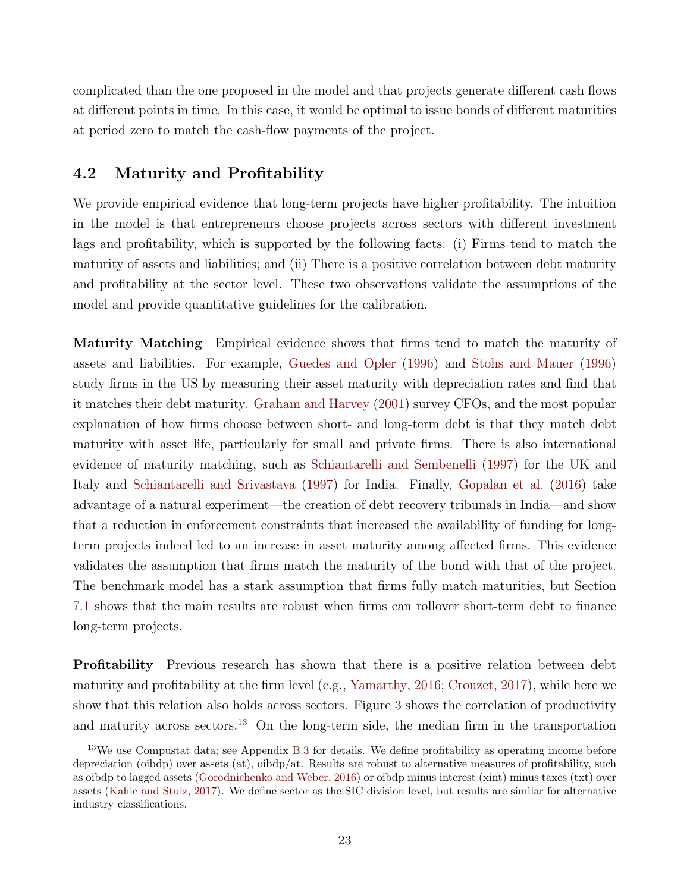complicated than the one proposed in the model and that projects generate different cash flows at different points in time. In this case, it would be optimal to issue bonds of different maturities at period zero to match the cash-flow payments of the project.

# <span id="page-23-0"></span>4.2 Maturity and Profitability

We provide empirical evidence that long-term projects have higher profitability. The intuition in the model is that entrepreneurs choose projects across sectors with different investment lags and profitability, which is supported by the following facts: (i) Firms tend to match the maturity of assets and liabilities; and (ii) There is a positive correlation between debt maturity and profitability at the sector level. These two observations validate the assumptions of the model and provide quantitative guidelines for the calibration.

Maturity Matching Empirical evidence shows that firms tend to match the maturity of assets and liabilities. For example, [Guedes and Opler](#page-50-6) [\(1996\)](#page-50-6) and [Stohs and Mauer](#page-52-4) [\(1996\)](#page-52-4) study firms in the US by measuring their asset maturity with depreciation rates and find that it matches their debt maturity. [Graham and Harvey](#page-50-7) [\(2001\)](#page-50-7) survey CFOs, and the most popular explanation of how firms choose between short- and long-term debt is that they match debt maturity with asset life, particularly for small and private firms. There is also international evidence of maturity matching, such as [Schiantarelli and Sembenelli](#page-52-5) [\(1997\)](#page-52-5) for the UK and Italy and [Schiantarelli and Srivastava](#page-52-6) [\(1997\)](#page-52-6) for India. Finally, [Gopalan et al.](#page-50-8) [\(2016\)](#page-50-8) take advantage of a natural experiment—the creation of debt recovery tribunals in India—and show that a reduction in enforcement constraints that increased the availability of funding for longterm projects indeed led to an increase in asset maturity among affected firms. This evidence validates the assumption that firms match the maturity of the bond with that of the project. The benchmark model has a stark assumption that firms fully match maturities, but Section [7.1](#page-39-0) shows that the main results are robust when firms can rollover short-term debt to finance long-term projects.

Profitability Previous research has shown that there is a positive relation between debt maturity and profitability at the firm level (e.g., [Yamarthy,](#page-52-7) [2016;](#page-52-7) [Crouzet,](#page-49-8) [2017\)](#page-49-8), while here we show that this relation also holds across sectors. Figure [3](#page-24-1) shows the correlation of productivity and maturity across sectors.<sup>[13](#page-23-1)</sup> On the long-term side, the median firm in the transportation

<span id="page-23-1"></span> $13\text{We}$  use Compustat data; see Appendix [B.3](#page-65-0) for details. We define profitability as operating income before depreciation (oibdp) over assets (at), oibdp/at. Results are robust to alternative measures of profitability, such as oibdp to lagged assets [\(Gorodnichenko and Weber,](#page-50-9) [2016\)](#page-50-9) or oibdp minus interest (xint) minus taxes (txt) over assets [\(Kahle and Stulz,](#page-51-10) [2017\)](#page-51-10). We define sector as the SIC division level, but results are similar for alternative industry classifications.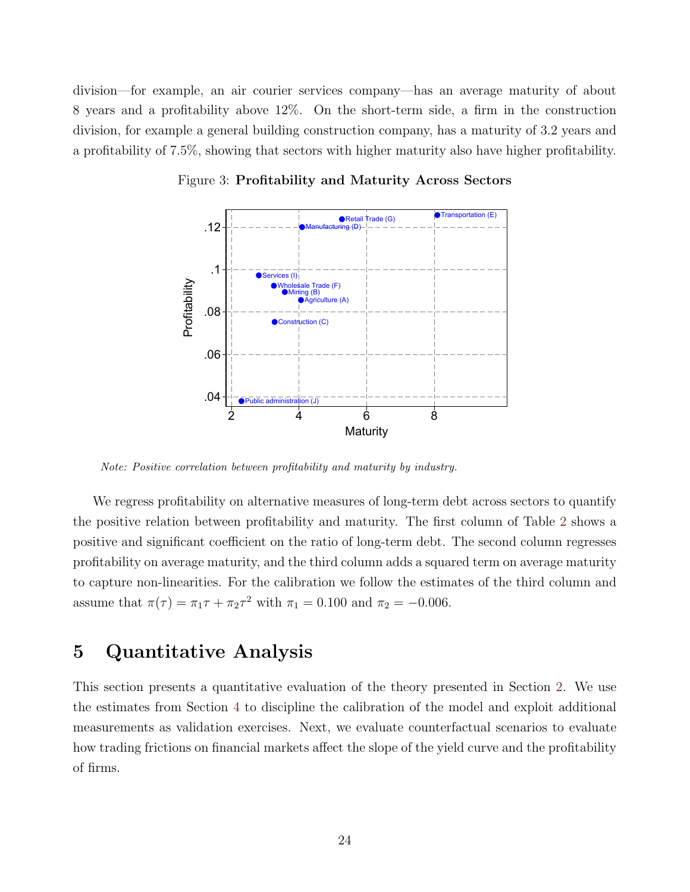<span id="page-24-1"></span>division—for example, an air courier services company—has an average maturity of about 8 years and a profitability above 12%. On the short-term side, a firm in the construction division, for example a general building construction company, has a maturity of 3.2 years and a profitability of 7.5%, showing that sectors with higher maturity also have higher profitability.



Figure 3: Profitability and Maturity Across Sectors

Note: Positive correlation between profitability and maturity by industry.

We regress profitability on alternative measures of long-term debt across sectors to quantify the positive relation between profitability and maturity. The first column of Table [2](#page-25-0) shows a positive and significant coefficient on the ratio of long-term debt. The second column regresses profitability on average maturity, and the third column adds a squared term on average maturity to capture non-linearities. For the calibration we follow the estimates of the third column and assume that  $\pi(\tau) = \pi_1 \tau + \pi_2 \tau^2$  with  $\pi_1 = 0.100$  and  $\pi_2 = -0.006$ .

# <span id="page-24-0"></span>5 Quantitative Analysis

This section presents a quantitative evaluation of the theory presented in Section [2.](#page-5-0) We use the estimates from Section [4](#page-18-0) to discipline the calibration of the model and exploit additional measurements as validation exercises. Next, we evaluate counterfactual scenarios to evaluate how trading frictions on financial markets affect the slope of the yield curve and the profitability of firms.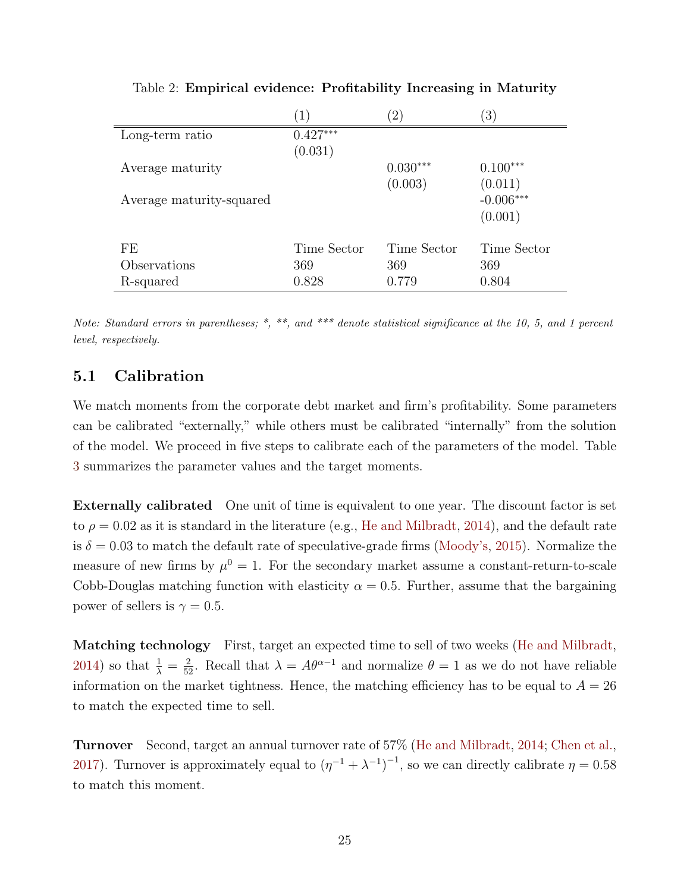<span id="page-25-0"></span>

|                          | $\left  \right $ | $\left( 2\right)$ | $\left(3\right)$ |
|--------------------------|------------------|-------------------|------------------|
| Long-term ratio          | $0.427***$       |                   |                  |
|                          | (0.031)          |                   |                  |
| Average maturity         |                  | $0.030***$        | $0.100***$       |
|                          |                  | (0.003)           | (0.011)          |
| Average maturity-squared |                  |                   | $-0.006***$      |
|                          |                  |                   | (0.001)          |
|                          |                  |                   |                  |
| FE                       | Time Sector      | Time Sector       | Time Sector      |
| Observations             | 369              | 369               | 369              |
| R-squared                | 0.828            | 0.779             | 0.804            |

Table 2: Empirical evidence: Profitability Increasing in Maturity

Note: Standard errors in parentheses; \*, \*\*, and \*\*\* denote statistical significance at the 10, 5, and 1 percent level, respectively.

# 5.1 Calibration

We match moments from the corporate debt market and firm's profitability. Some parameters can be calibrated "externally," while others must be calibrated "internally" from the solution of the model. We proceed in five steps to calibrate each of the parameters of the model. Table [3](#page-26-0) summarizes the parameter values and the target moments.

Externally calibrated One unit of time is equivalent to one year. The discount factor is set to  $\rho = 0.02$  as it is standard in the literature (e.g., [He and Milbradt,](#page-50-1) [2014\)](#page-50-1), and the default rate is  $\delta = 0.03$  to match the default rate of speculative-grade firms [\(Moody's,](#page-52-8) [2015\)](#page-52-8). Normalize the measure of new firms by  $\mu^0 = 1$ . For the secondary market assume a constant-return-to-scale Cobb-Douglas matching function with elasticity  $\alpha = 0.5$ . Further, assume that the bargaining power of sellers is  $\gamma = 0.5$ .

Matching technology First, target an expected time to sell of two weeks [\(He and Milbradt,](#page-50-1) [2014\)](#page-50-1) so that  $\frac{1}{\lambda} = \frac{2}{52}$ . Recall that  $\lambda = A\theta^{\alpha-1}$  and normalize  $\theta = 1$  as we do not have reliable information on the market tightness. Hence, the matching efficiency has to be equal to  $A = 26$ to match the expected time to sell.

Turnover Second, target an annual turnover rate of 57% [\(He and Milbradt,](#page-50-1) [2014;](#page-50-1) [Chen et al.,](#page-48-1) [2017\)](#page-48-1). Turnover is approximately equal to  $(\eta^{-1} + \lambda^{-1})^{-1}$ , so we can directly calibrate  $\eta = 0.58$ to match this moment.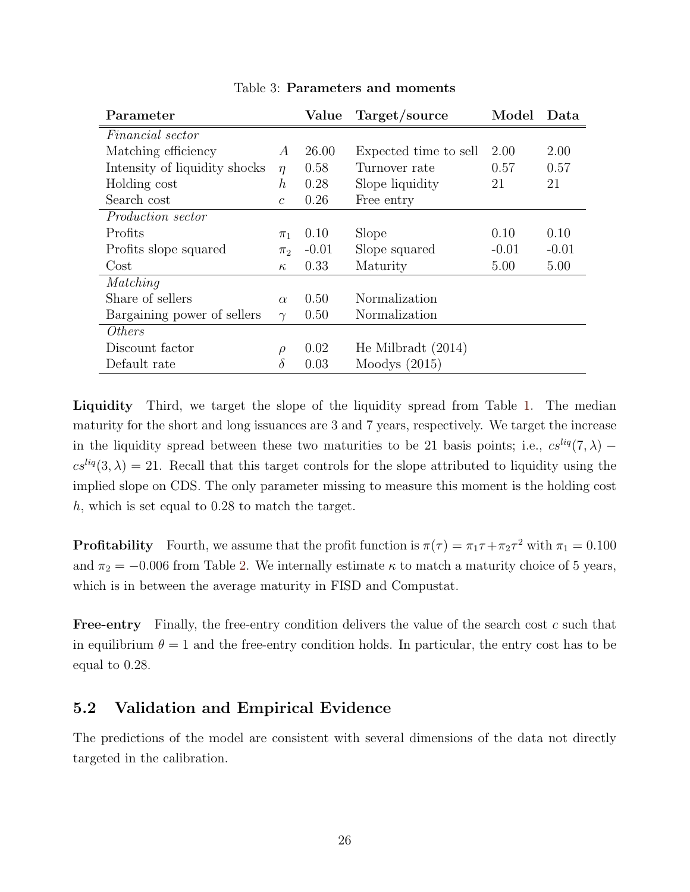<span id="page-26-0"></span>

|                  | Value   | Target/source         | Model   | Data    |
|------------------|---------|-----------------------|---------|---------|
|                  |         |                       |         |         |
| $\overline{A}$   | 26.00   | Expected time to sell | 2.00    | 2.00    |
| $\eta$           | 0.58    | Turnover rate         | 0.57    | 0.57    |
| $\boldsymbol{h}$ | 0.28    | Slope liquidity       | 21      | 21      |
| $\mathcal{C}$    | 0.26    | Free entry            |         |         |
|                  |         |                       |         |         |
| $\pi_1$          | 0.10    | Slope                 | 0.10    | 0.10    |
| $\pi_2$          | $-0.01$ | Slope squared         | $-0.01$ | $-0.01$ |
| $\kappa$         | 0.33    | Maturity              | 5.00    | 5.00    |
|                  |         |                       |         |         |
| $\alpha$         | 0.50    | Normalization         |         |         |
| $\gamma$         | 0.50    | Normalization         |         |         |
|                  |         |                       |         |         |
| $\rho$           | 0.02    | He Milbradt $(2014)$  |         |         |
| $\delta$         | 0.03    | Moodys $(2015)$       |         |         |
|                  |         |                       |         |         |

Table 3: Parameters and moments

Liquidity Third, we target the slope of the liquidity spread from Table [1.](#page-21-0) The median maturity for the short and long issuances are 3 and 7 years, respectively. We target the increase in the liquidity spread between these two maturities to be 21 basis points; i.e.,  $cs^{liq}(7, \lambda)$  –  $cs^{liq}(3,\lambda) = 21$ . Recall that this target controls for the slope attributed to liquidity using the implied slope on CDS. The only parameter missing to measure this moment is the holding cost h, which is set equal to 0.28 to match the target.

**Profitability** Fourth, we assume that the profit function is  $\pi(\tau) = \pi_1 \tau + \pi_2 \tau^2$  with  $\pi_1 = 0.100$ and  $\pi_2 = -0.006$  from Table [2.](#page-25-0) We internally estimate  $\kappa$  to match a maturity choice of 5 years, which is in between the average maturity in FISD and Compustat.

Free-entry Finally, the free-entry condition delivers the value of the search cost c such that in equilibrium  $\theta = 1$  and the free-entry condition holds. In particular, the entry cost has to be equal to 0.28.

### 5.2 Validation and Empirical Evidence

The predictions of the model are consistent with several dimensions of the data not directly targeted in the calibration.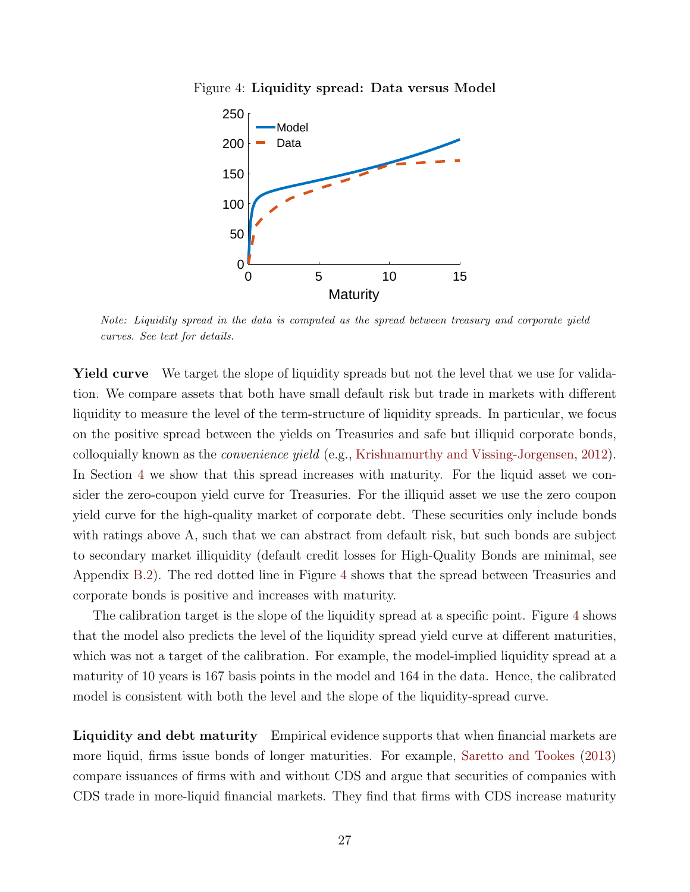<span id="page-27-0"></span>Figure 4: Liquidity spread: Data versus Model



Note: Liquidity spread in the data is computed as the spread between treasury and corporate yield curves. See text for details.

Yield curve We target the slope of liquidity spreads but not the level that we use for validation. We compare assets that both have small default risk but trade in markets with different liquidity to measure the level of the term-structure of liquidity spreads. In particular, we focus on the positive spread between the yields on Treasuries and safe but illiquid corporate bonds, colloquially known as the convenience yield (e.g., [Krishnamurthy and Vissing-Jorgensen,](#page-51-9) [2012\)](#page-51-9). In Section [4](#page-18-0) we show that this spread increases with maturity. For the liquid asset we consider the zero-coupon yield curve for Treasuries. For the illiquid asset we use the zero coupon yield curve for the high-quality market of corporate debt. These securities only include bonds with ratings above A, such that we can abstract from default risk, but such bonds are subject to secondary market illiquidity (default credit losses for High-Quality Bonds are minimal, see Appendix [B.2\)](#page-64-1). The red dotted line in Figure [4](#page-27-0) shows that the spread between Treasuries and corporate bonds is positive and increases with maturity.

The calibration target is the slope of the liquidity spread at a specific point. Figure [4](#page-27-0) shows that the model also predicts the level of the liquidity spread yield curve at different maturities, which was not a target of the calibration. For example, the model-implied liquidity spread at a maturity of 10 years is 167 basis points in the model and 164 in the data. Hence, the calibrated model is consistent with both the level and the slope of the liquidity-spread curve.

Liquidity and debt maturity Empirical evidence supports that when financial markets are more liquid, firms issue bonds of longer maturities. For example, [Saretto and Tookes](#page-52-9) [\(2013\)](#page-52-9) compare issuances of firms with and without CDS and argue that securities of companies with CDS trade in more-liquid financial markets. They find that firms with CDS increase maturity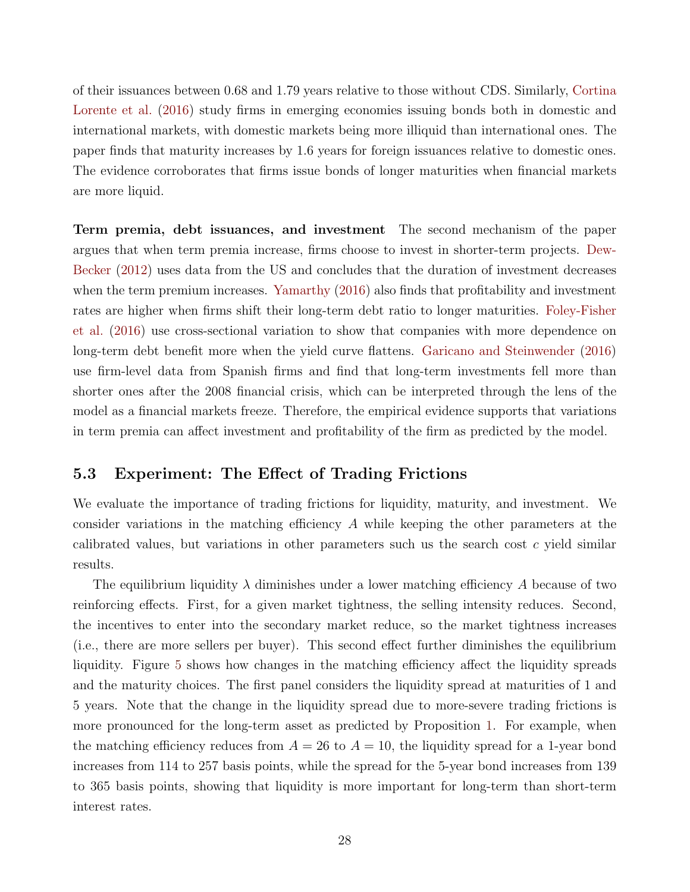of their issuances between 0.68 and 1.79 years relative to those without CDS. Similarly, [Cortina](#page-49-9) [Lorente et al.](#page-49-9) [\(2016\)](#page-49-9) study firms in emerging economies issuing bonds both in domestic and international markets, with domestic markets being more illiquid than international ones. The paper finds that maturity increases by 1.6 years for foreign issuances relative to domestic ones. The evidence corroborates that firms issue bonds of longer maturities when financial markets are more liquid.

Term premia, debt issuances, and investment The second mechanism of the paper argues that when term premia increase, firms choose to invest in shorter-term projects. [Dew-](#page-49-10)[Becker](#page-49-10) [\(2012\)](#page-49-10) uses data from the US and concludes that the duration of investment decreases when the term premium increases. [Yamarthy](#page-52-7)  $(2016)$  also finds that profitability and investment rates are higher when firms shift their long-term debt ratio to longer maturities. [Foley-Fisher](#page-49-11) [et al.](#page-49-11) [\(2016\)](#page-49-11) use cross-sectional variation to show that companies with more dependence on long-term debt benefit more when the yield curve flattens. [Garicano and Steinwender](#page-50-10) [\(2016\)](#page-50-10) use firm-level data from Spanish firms and find that long-term investments fell more than shorter ones after the 2008 financial crisis, which can be interpreted through the lens of the model as a financial markets freeze. Therefore, the empirical evidence supports that variations in term premia can affect investment and profitability of the firm as predicted by the model.

#### 5.3 Experiment: The Effect of Trading Frictions

We evaluate the importance of trading frictions for liquidity, maturity, and investment. We consider variations in the matching efficiency A while keeping the other parameters at the calibrated values, but variations in other parameters such us the search cost  $c$  yield similar results.

The equilibrium liquidity  $\lambda$  diminishes under a lower matching efficiency A because of two reinforcing effects. First, for a given market tightness, the selling intensity reduces. Second, the incentives to enter into the secondary market reduce, so the market tightness increases (i.e., there are more sellers per buyer). This second effect further diminishes the equilibrium liquidity. Figure [5](#page-29-0) shows how changes in the matching efficiency affect the liquidity spreads and the maturity choices. The first panel considers the liquidity spread at maturities of 1 and 5 years. Note that the change in the liquidity spread due to more-severe trading frictions is more pronounced for the long-term asset as predicted by Proposition [1.](#page-10-0) For example, when the matching efficiency reduces from  $A = 26$  to  $A = 10$ , the liquidity spread for a 1-year bond increases from 114 to 257 basis points, while the spread for the 5-year bond increases from 139 to 365 basis points, showing that liquidity is more important for long-term than short-term interest rates.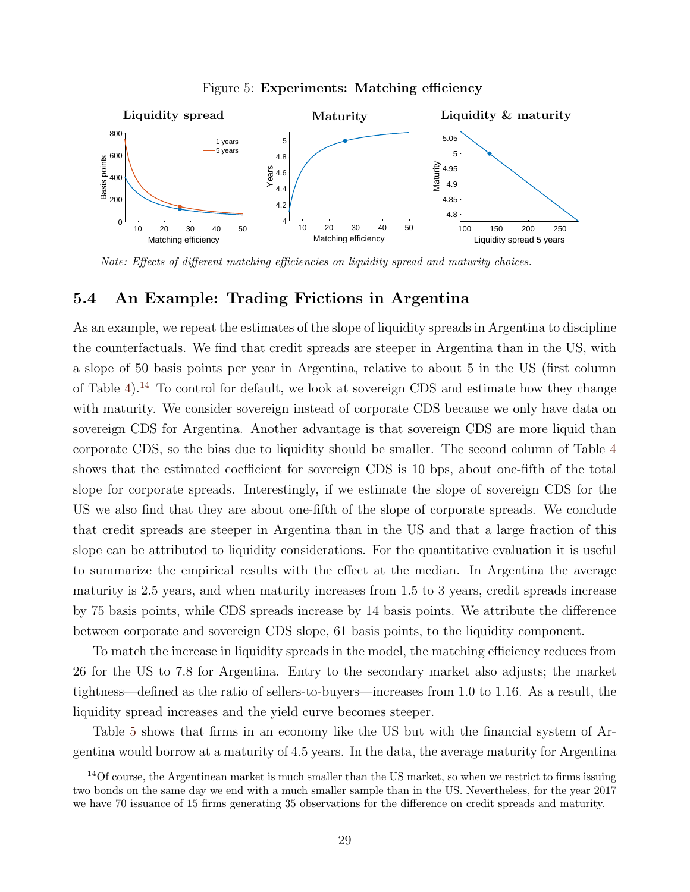<span id="page-29-0"></span>

Figure 5: Experiments: Matching efficiency

Note: Effects of different matching efficiencies on liquidity spread and maturity choices.

#### 5.4 An Example: Trading Frictions in Argentina

As an example, we repeat the estimates of the slope of liquidity spreads in Argentina to discipline the counterfactuals. We find that credit spreads are steeper in Argentina than in the US, with a slope of 50 basis points per year in Argentina, relative to about 5 in the US (first column of Table [4\)](#page-30-1).[14](#page-29-1) To control for default, we look at sovereign CDS and estimate how they change with maturity. We consider sovereign instead of corporate CDS because we only have data on sovereign CDS for Argentina. Another advantage is that sovereign CDS are more liquid than corporate CDS, so the bias due to liquidity should be smaller. The second column of Table [4](#page-30-1) shows that the estimated coefficient for sovereign CDS is 10 bps, about one-fifth of the total slope for corporate spreads. Interestingly, if we estimate the slope of sovereign CDS for the US we also find that they are about one-fifth of the slope of corporate spreads. We conclude that credit spreads are steeper in Argentina than in the US and that a large fraction of this slope can be attributed to liquidity considerations. For the quantitative evaluation it is useful to summarize the empirical results with the effect at the median. In Argentina the average maturity is 2.5 years, and when maturity increases from 1.5 to 3 years, credit spreads increase by 75 basis points, while CDS spreads increase by 14 basis points. We attribute the difference between corporate and sovereign CDS slope, 61 basis points, to the liquidity component.

To match the increase in liquidity spreads in the model, the matching efficiency reduces from 26 for the US to 7.8 for Argentina. Entry to the secondary market also adjusts; the market tightness—defined as the ratio of sellers-to-buyers—increases from 1.0 to 1.16. As a result, the liquidity spread increases and the yield curve becomes steeper.

Table [5](#page-31-0) shows that firms in an economy like the US but with the financial system of Argentina would borrow at a maturity of 4.5 years. In the data, the average maturity for Argentina

<span id="page-29-1"></span> $14$ Of course, the Argentinean market is much smaller than the US market, so when we restrict to firms issuing two bonds on the same day we end with a much smaller sample than in the US. Nevertheless, for the year 2017 we have 70 issuance of 15 firms generating 35 observations for the difference on credit spreads and maturity.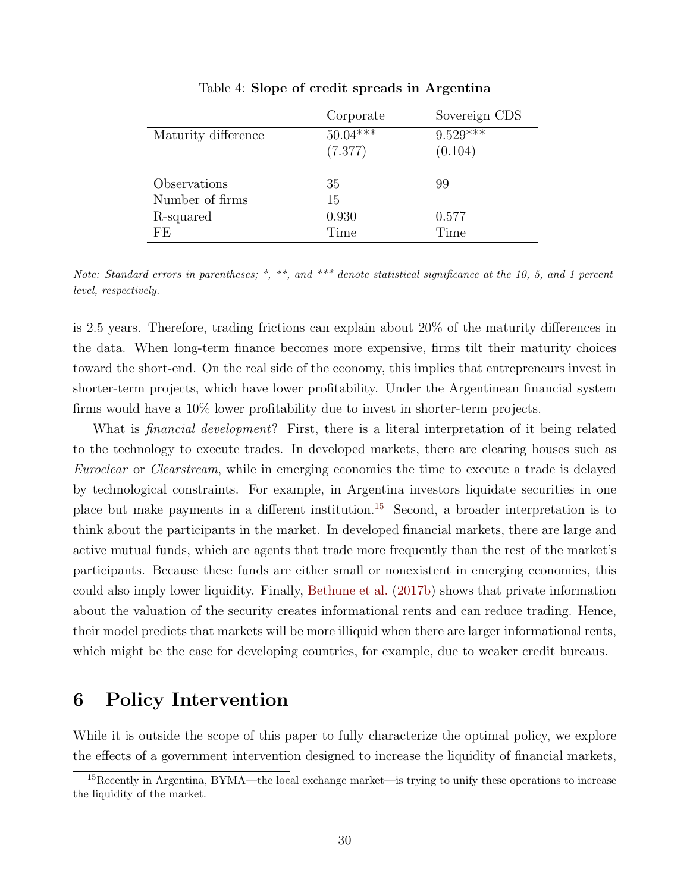<span id="page-30-1"></span>

|                     | Corporate  | Sovereign CDS |
|---------------------|------------|---------------|
| Maturity difference | $50.04***$ | $9.529***$    |
|                     | (7.377)    | (0.104)       |
| Observations        | 35         | 99            |
| Number of firms     | 15         |               |
| R-squared           | 0.930      | 0.577         |
| FF.                 | Time       | Time          |

Table 4: Slope of credit spreads in Argentina

Note: Standard errors in parentheses; \*, \*\*, and \*\*\* denote statistical significance at the 10, 5, and 1 percent level, respectively.

is 2.5 years. Therefore, trading frictions can explain about 20% of the maturity differences in the data. When long-term finance becomes more expensive, firms tilt their maturity choices toward the short-end. On the real side of the economy, this implies that entrepreneurs invest in shorter-term projects, which have lower profitability. Under the Argentinean financial system firms would have a 10% lower profitability due to invest in shorter-term projects.

What is *financial development*? First, there is a literal interpretation of it being related to the technology to execute trades. In developed markets, there are clearing houses such as Euroclear or Clearstream, while in emerging economies the time to execute a trade is delayed by technological constraints. For example, in Argentina investors liquidate securities in one place but make payments in a different institution.[15](#page-30-2) Second, a broader interpretation is to think about the participants in the market. In developed financial markets, there are large and active mutual funds, which are agents that trade more frequently than the rest of the market's participants. Because these funds are either small or nonexistent in emerging economies, this could also imply lower liquidity. Finally, [Bethune et al.](#page-48-8) [\(2017b\)](#page-48-8) shows that private information about the valuation of the security creates informational rents and can reduce trading. Hence, their model predicts that markets will be more illiquid when there are larger informational rents, which might be the case for developing countries, for example, due to weaker credit bureaus.

# <span id="page-30-0"></span>6 Policy Intervention

While it is outside the scope of this paper to fully characterize the optimal policy, we explore the effects of a government intervention designed to increase the liquidity of financial markets,

<span id="page-30-2"></span><sup>15</sup>Recently in Argentina, BYMA—the local exchange market—is trying to unify these operations to increase the liquidity of the market.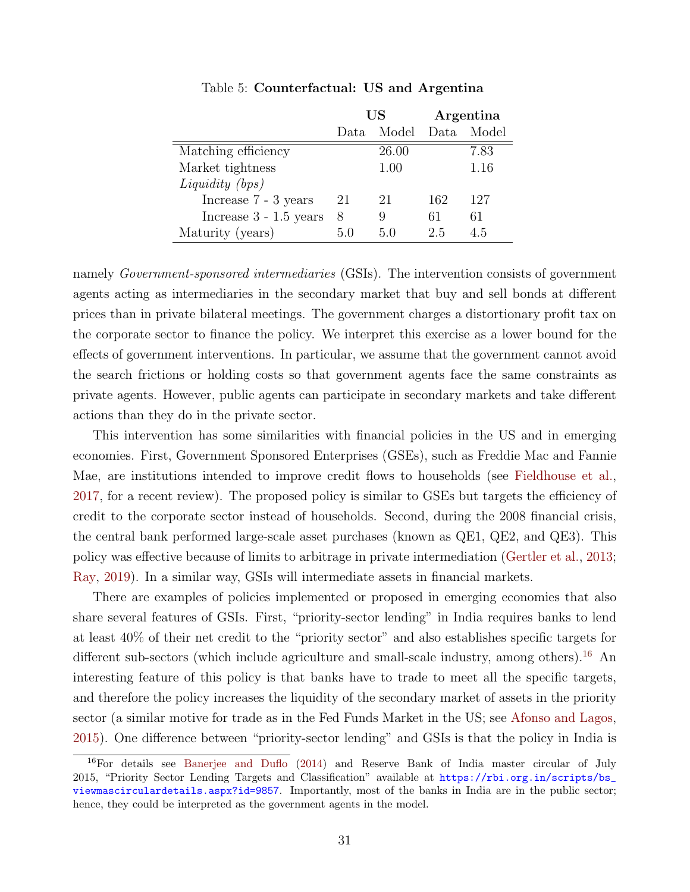<span id="page-31-0"></span>

|                          | US   |       |       | Argentina |
|--------------------------|------|-------|-------|-----------|
|                          | Data | Model | Data. | Model     |
| Matching efficiency      |      | 26.00 |       | 7.83      |
| Market tightness         |      | 1.00  |       | 1.16      |
| Liquidity (bps)          |      |       |       |           |
| Increase 7 - 3 years     | 21   | 21    | 162   | 127       |
| Increase $3 - 1.5$ years | 8    | 9     | 61    | 61        |
| Maturity (years)         | 50   | 5(    | 2.5   | 45        |

Table 5: Counterfactual: US and Argentina

namely *Government-sponsored intermediaries* (GSIs). The intervention consists of government agents acting as intermediaries in the secondary market that buy and sell bonds at different prices than in private bilateral meetings. The government charges a distortionary profit tax on the corporate sector to finance the policy. We interpret this exercise as a lower bound for the effects of government interventions. In particular, we assume that the government cannot avoid the search frictions or holding costs so that government agents face the same constraints as private agents. However, public agents can participate in secondary markets and take different actions than they do in the private sector.

This intervention has some similarities with financial policies in the US and in emerging economies. First, Government Sponsored Enterprises (GSEs), such as Freddie Mac and Fannie Mae, are institutions intended to improve credit flows to households (see [Fieldhouse et al.,](#page-49-12) [2017,](#page-49-12) for a recent review). The proposed policy is similar to GSEs but targets the efficiency of credit to the corporate sector instead of households. Second, during the 2008 financial crisis, the central bank performed large-scale asset purchases (known as QE1, QE2, and QE3). This policy was effective because of limits to arbitrage in private intermediation [\(Gertler et al.,](#page-50-11) [2013;](#page-50-11) [Ray,](#page-52-10) [2019\)](#page-52-10). In a similar way, GSIs will intermediate assets in financial markets.

There are examples of policies implemented or proposed in emerging economies that also share several features of GSIs. First, "priority-sector lending" in India requires banks to lend at least 40% of their net credit to the "priority sector" and also establishes specific targets for different sub-sectors (which include agriculture and small-scale industry, among others).<sup>[16](#page-31-1)</sup> An interesting feature of this policy is that banks have to trade to meet all the specific targets, and therefore the policy increases the liquidity of the secondary market of assets in the priority sector (a similar motive for trade as in the Fed Funds Market in the US; see [Afonso and Lagos,](#page-48-9) [2015\)](#page-48-9). One difference between "priority-sector lending" and GSIs is that the policy in India is

<span id="page-31-1"></span><sup>16</sup>For details see [Banerjee and Duflo](#page-48-10) [\(2014\)](#page-48-10) and Reserve Bank of India master circular of July 2015, "Priority Sector Lending Targets and Classification" available at [https://rbi.org.in/scripts/bs\\_](https://rbi.org.in/scripts/bs_viewmascirculardetails.aspx?id=9857) [viewmascirculardetails.aspx?id=9857](https://rbi.org.in/scripts/bs_viewmascirculardetails.aspx?id=9857). Importantly, most of the banks in India are in the public sector; hence, they could be interpreted as the government agents in the model.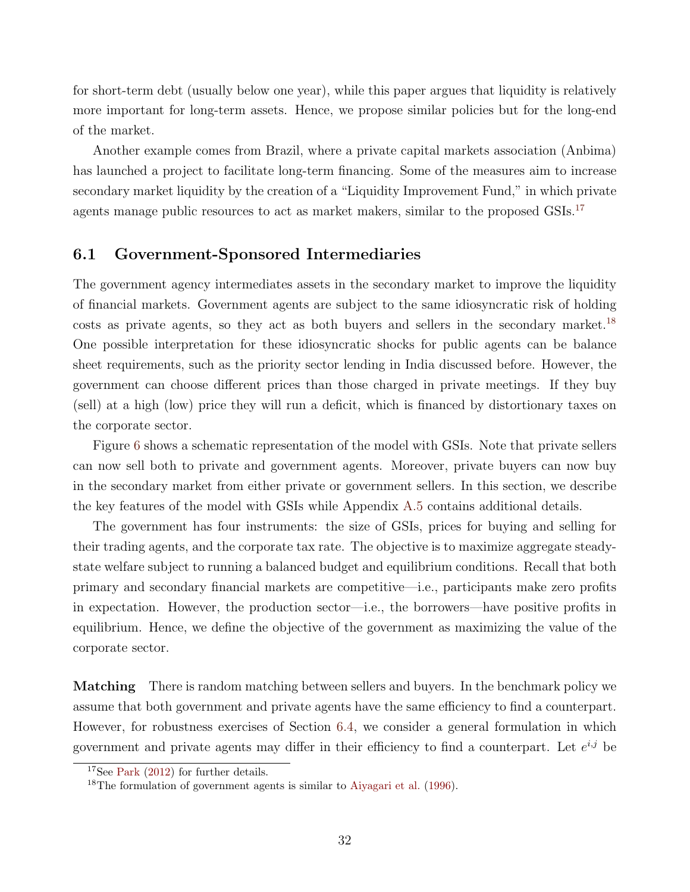for short-term debt (usually below one year), while this paper argues that liquidity is relatively more important for long-term assets. Hence, we propose similar policies but for the long-end of the market.

Another example comes from Brazil, where a private capital markets association (Anbima) has launched a project to facilitate long-term financing. Some of the measures aim to increase secondary market liquidity by the creation of a "Liquidity Improvement Fund," in which private agents manage public resources to act as market makers, similar to the proposed  $\text{G}$ SIs.<sup>[17](#page-32-0)</sup>

### 6.1 Government-Sponsored Intermediaries

The government agency intermediates assets in the secondary market to improve the liquidity of financial markets. Government agents are subject to the same idiosyncratic risk of holding costs as private agents, so they act as both buyers and sellers in the secondary market.<sup>[18](#page-32-1)</sup> One possible interpretation for these idiosyncratic shocks for public agents can be balance sheet requirements, such as the priority sector lending in India discussed before. However, the government can choose different prices than those charged in private meetings. If they buy (sell) at a high (low) price they will run a deficit, which is financed by distortionary taxes on the corporate sector.

Figure [6](#page-33-0) shows a schematic representation of the model with GSIs. Note that private sellers can now sell both to private and government agents. Moreover, private buyers can now buy in the secondary market from either private or government sellers. In this section, we describe the key features of the model with GSIs while Appendix [A.5](#page-63-0) contains additional details.

The government has four instruments: the size of GSIs, prices for buying and selling for their trading agents, and the corporate tax rate. The objective is to maximize aggregate steadystate welfare subject to running a balanced budget and equilibrium conditions. Recall that both primary and secondary financial markets are competitive—i.e., participants make zero profits in expectation. However, the production sector—i.e., the borrowers—have positive profits in equilibrium. Hence, we define the objective of the government as maximizing the value of the corporate sector.

**Matching** There is random matching between sellers and buyers. In the benchmark policy we assume that both government and private agents have the same efficiency to find a counterpart. However, for robustness exercises of Section [6.4,](#page-37-0) we consider a general formulation in which government and private agents may differ in their efficiency to find a counterpart. Let  $e^{i,j}$  be

<span id="page-32-0"></span><sup>&</sup>lt;sup>17</sup>See [Park](#page-52-11) [\(2012\)](#page-52-11) for further details.

<span id="page-32-1"></span><sup>18</sup>The formulation of government agents is similar to [Aiyagari et al.](#page-48-11) [\(1996\)](#page-48-11).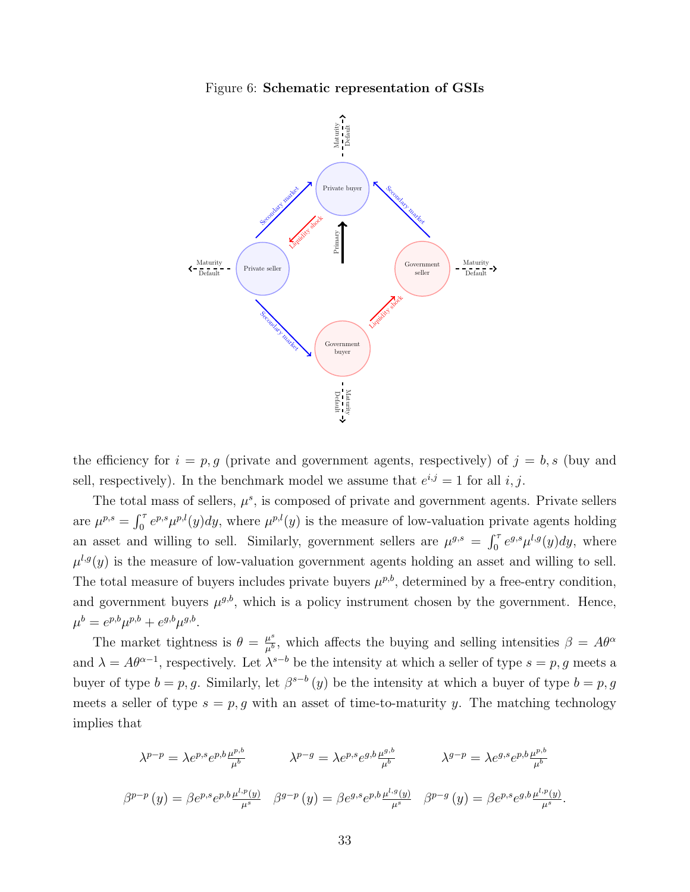

<span id="page-33-0"></span>

the efficiency for  $i = p, g$  (private and government agents, respectively) of  $j = b, s$  (buy and sell, respectively). In the benchmark model we assume that  $e^{i,j} = 1$  for all i, j.

The total mass of sellers,  $\mu^s$ , is composed of private and government agents. Private sellers are  $\mu^{p,s} = \int_0^{\tau} e^{p,s} \mu^{p,l}(y) dy$ , where  $\mu^{p,l}(y)$  is the measure of low-valuation private agents holding an asset and willing to sell. Similarly, government sellers are  $\mu^{g,s} = \int_0^{\tau} e^{g,s} \mu^{l,g}(y) dy$ , where  $\mu^{l,g}(y)$  is the measure of low-valuation government agents holding an asset and willing to sell. The total measure of buyers includes private buyers  $\mu^{p,b}$ , determined by a free-entry condition, and government buyers  $\mu^{g,b}$ , which is a policy instrument chosen by the government. Hence,  $\mu^{b} = e^{p,b}\mu^{p,b} + e^{g,b}\mu^{g,b}.$ 

The market tightness is  $\theta = \frac{\mu^s}{\mu^b}$  $\frac{\mu^s}{\mu^b}$ , which affects the buying and selling intensities  $\beta = A\theta^{\alpha}$ and  $\lambda = A\theta^{\alpha-1}$ , respectively. Let  $\lambda^{s-b}$  be the intensity at which a seller of type  $s = p$ , g meets a buyer of type  $b = p, g$ . Similarly, let  $\beta^{s-b}(y)$  be the intensity at which a buyer of type  $b = p, g$ meets a seller of type  $s = p, g$  with an asset of time-to-maturity y. The matching technology implies that

$$
\lambda^{p-p} = \lambda e^{p,s} e^{p,b} \frac{\mu^{p,b}}{\mu^b} \qquad \lambda^{p-g} = \lambda e^{p,s} e^{g,b} \frac{\mu^{g,b}}{\mu^b} \qquad \lambda^{g-p} = \lambda e^{g,s} e^{p,b} \frac{\mu^{p,b}}{\mu^b}
$$

$$
\beta^{p-p}(y) = \beta e^{p,s} e^{p,b} \frac{\mu^{l,p}(y)}{\mu^s} \qquad \beta^{g-p}(y) = \beta e^{g,s} e^{p,b} \frac{\mu^{l,g}(y)}{\mu^s} \qquad \beta^{p-g}(y) = \beta e^{p,s} e^{g,b} \frac{\mu^{l,p}(y)}{\mu^s}.
$$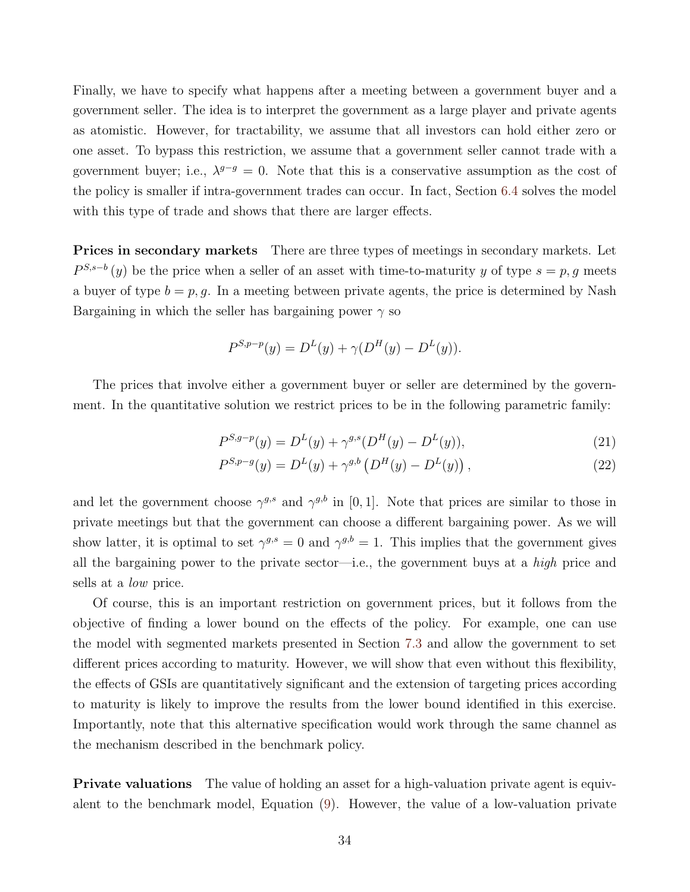Finally, we have to specify what happens after a meeting between a government buyer and a government seller. The idea is to interpret the government as a large player and private agents as atomistic. However, for tractability, we assume that all investors can hold either zero or one asset. To bypass this restriction, we assume that a government seller cannot trade with a government buyer; i.e.,  $\lambda^{g-g} = 0$ . Note that this is a conservative assumption as the cost of the policy is smaller if intra-government trades can occur. In fact, Section [6.4](#page-37-0) solves the model with this type of trade and shows that there are larger effects.

**Prices in secondary markets** There are three types of meetings in secondary markets. Let  $P^{S,s-b}(y)$  be the price when a seller of an asset with time-to-maturity y of type  $s = p, g$  meets a buyer of type  $b = p, g$ . In a meeting between private agents, the price is determined by Nash Bargaining in which the seller has bargaining power  $\gamma$  so

<span id="page-34-0"></span>
$$
P^{S,p-p}(y) = D^{L}(y) + \gamma(D^{H}(y) - D^{L}(y)).
$$

The prices that involve either a government buyer or seller are determined by the government. In the quantitative solution we restrict prices to be in the following parametric family:

$$
P^{S,g-p}(y) = D^{L}(y) + \gamma^{g,s}(D^{H}(y) - D^{L}(y)),
$$
\n(21)

$$
P^{S,p-g}(y) = D^{L}(y) + \gamma^{g,b} \left( D^{H}(y) - D^{L}(y) \right), \qquad (22)
$$

and let the government choose  $\gamma^{g,s}$  and  $\gamma^{g,b}$  in [0, 1]. Note that prices are similar to those in private meetings but that the government can choose a different bargaining power. As we will show latter, it is optimal to set  $\gamma^{g,s} = 0$  and  $\gamma^{g,b} = 1$ . This implies that the government gives all the bargaining power to the private sector—i.e., the government buys at a high price and sells at a low price.

Of course, this is an important restriction on government prices, but it follows from the objective of finding a lower bound on the effects of the policy. For example, one can use the model with segmented markets presented in Section [7.3](#page-43-0) and allow the government to set different prices according to maturity. However, we will show that even without this flexibility, the effects of GSIs are quantitatively significant and the extension of targeting prices according to maturity is likely to improve the results from the lower bound identified in this exercise. Importantly, note that this alternative specification would work through the same channel as the mechanism described in the benchmark policy.

**Private valuations** The value of holding an asset for a high-valuation private agent is equivalent to the benchmark model, Equation [\(9\)](#page-9-4). However, the value of a low-valuation private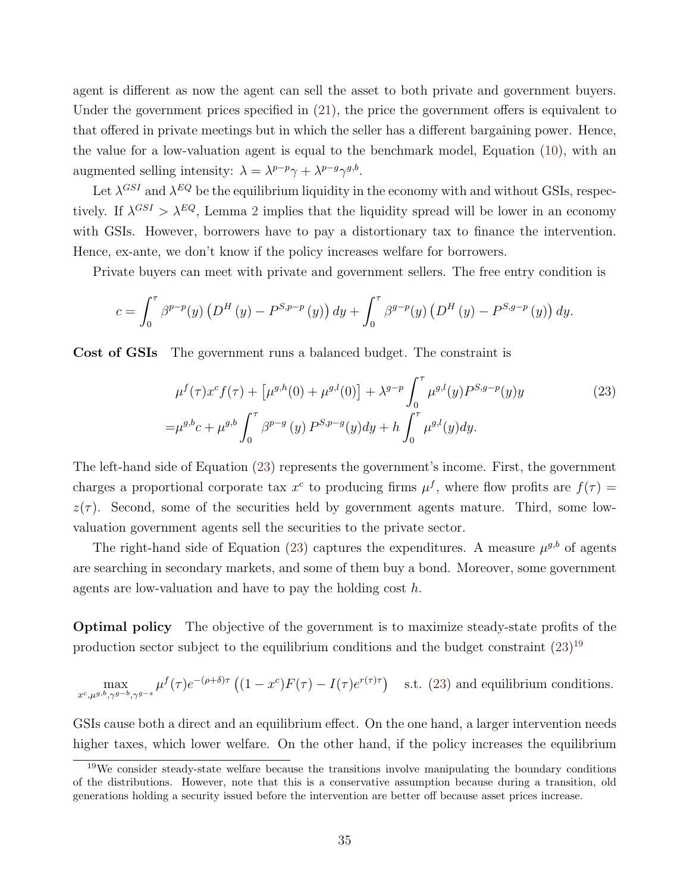agent is different as now the agent can sell the asset to both private and government buyers. Under the government prices specified in [\(21\)](#page-34-0), the price the government offers is equivalent to that offered in private meetings but in which the seller has a different bargaining power. Hence, the value for a low-valuation agent is equal to the benchmark model, Equation [\(10\)](#page-9-5), with an augmented selling intensity:  $\lambda = \lambda^{p-p}\gamma + \lambda^{p-q}\gamma^{g,b}$ .

Let  $\lambda^{GSI}$  and  $\lambda^{EQ}$  be the equilibrium liquidity in the economy with and without GSIs, respectively. If  $\lambda^{GSI} > \lambda^{EQ}$ , Lemma [2](#page-14-0) implies that the liquidity spread will be lower in an economy with GSIs. However, borrowers have to pay a distortionary tax to finance the intervention. Hence, ex-ante, we don't know if the policy increases welfare for borrowers.

Private buyers can meet with private and government sellers. The free entry condition is

$$
c = \int_0^{\tau} \beta^{p-p}(y) \left( D^H(y) - P^{S,p-p}(y) \right) dy + \int_0^{\tau} \beta^{g-p}(y) \left( D^H(y) - P^{S,g-p}(y) \right) dy.
$$

Cost of GSIs The government runs a balanced budget. The constraint is

<span id="page-35-0"></span>
$$
\mu^{f}(\tau)x^{c}f(\tau) + \left[\mu^{g,h}(0) + \mu^{g,l}(0)\right] + \lambda^{g-p} \int_{0}^{\tau} \mu^{g,l}(y)P^{S,g-p}(y)y
$$
\n
$$
= \mu^{g,b}c + \mu^{g,b} \int_{0}^{\tau} \beta^{p-g}(y)P^{S,p-g}(y)dy + h \int_{0}^{\tau} \mu^{g,l}(y)dy.
$$
\n(23)

The left-hand side of Equation [\(23\)](#page-35-0) represents the government's income. First, the government charges a proportional corporate tax  $x^c$  to producing firms  $\mu^f$ , where flow profits are  $f(\tau) =$  $z(\tau)$ . Second, some of the securities held by government agents mature. Third, some lowvaluation government agents sell the securities to the private sector.

The right-hand side of Equation [\(23\)](#page-35-0) captures the expenditures. A measure  $\mu^{g,b}$  of agents are searching in secondary markets, and some of them buy a bond. Moreover, some government agents are low-valuation and have to pay the holding cost  $h$ .

Optimal policy The objective of the government is to maximize steady-state profits of the production sector subject to the equilibrium conditions and the budget constraint  $(23)^{19}$  $(23)^{19}$  $(23)^{19}$  $(23)^{19}$ 

$$
\max_{x^c, \mu^{g,b}, \gamma^{g-b}, \gamma^{g-s}} \mu^f(\tau) e^{-(\rho+\delta)\tau} \left( (1-x^c) F(\tau) - I(\tau) e^{r(\tau)\tau} \right) \quad \text{s.t. (23) and equilibrium conditions.}
$$

GSIs cause both a direct and an equilibrium effect. On the one hand, a larger intervention needs higher taxes, which lower welfare. On the other hand, if the policy increases the equilibrium

<span id="page-35-1"></span><sup>&</sup>lt;sup>19</sup>We consider steady-state welfare because the transitions involve manipulating the boundary conditions of the distributions. However, note that this is a conservative assumption because during a transition, old generations holding a security issued before the intervention are better off because asset prices increase.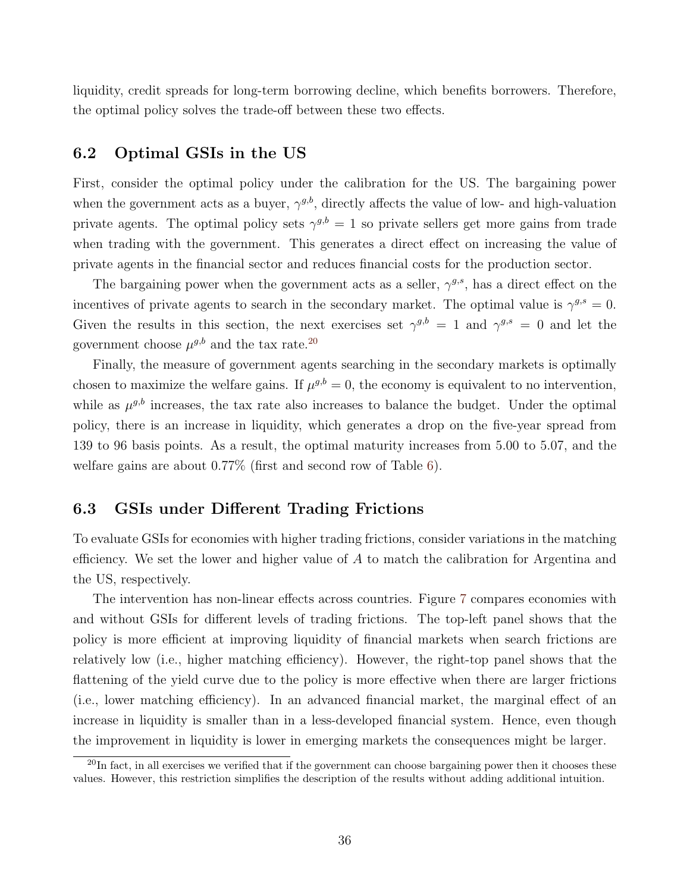liquidity, credit spreads for long-term borrowing decline, which benefits borrowers. Therefore, the optimal policy solves the trade-off between these two effects.

### 6.2 Optimal GSIs in the US

First, consider the optimal policy under the calibration for the US. The bargaining power when the government acts as a buyer,  $\gamma^{g,b}$ , directly affects the value of low- and high-valuation private agents. The optimal policy sets  $\gamma^{g,b} = 1$  so private sellers get more gains from trade when trading with the government. This generates a direct effect on increasing the value of private agents in the financial sector and reduces financial costs for the production sector.

The bargaining power when the government acts as a seller,  $\gamma^{g,s}$ , has a direct effect on the incentives of private agents to search in the secondary market. The optimal value is  $\gamma^{g,s} = 0$ . Given the results in this section, the next exercises set  $\gamma^{g,b} = 1$  and  $\gamma^{g,s} = 0$  and let the government choose  $\mu^{g,b}$  and the tax rate.<sup>[20](#page-36-0)</sup>

Finally, the measure of government agents searching in the secondary markets is optimally chosen to maximize the welfare gains. If  $\mu^{g,b} = 0$ , the economy is equivalent to no intervention, while as  $\mu^{g,b}$  increases, the tax rate also increases to balance the budget. Under the optimal policy, there is an increase in liquidity, which generates a drop on the five-year spread from 139 to 96 basis points. As a result, the optimal maturity increases from 5.00 to 5.07, and the welfare gains are about 0.77% (first and second row of Table [6\)](#page-38-1).

# 6.3 GSIs under Different Trading Frictions

To evaluate GSIs for economies with higher trading frictions, consider variations in the matching efficiency. We set the lower and higher value of  $A$  to match the calibration for Argentina and the US, respectively.

The intervention has non-linear effects across countries. Figure [7](#page-37-1) compares economies with and without GSIs for different levels of trading frictions. The top-left panel shows that the policy is more efficient at improving liquidity of financial markets when search frictions are relatively low (i.e., higher matching efficiency). However, the right-top panel shows that the flattening of the yield curve due to the policy is more effective when there are larger frictions (i.e., lower matching efficiency). In an advanced financial market, the marginal effect of an increase in liquidity is smaller than in a less-developed financial system. Hence, even though the improvement in liquidity is lower in emerging markets the consequences might be larger.

<span id="page-36-0"></span> $\overline{^{20}\text{In fact, in all exercises we verified that if the government can choose bargaining power then it chooses these}$ values. However, this restriction simplifies the description of the results without adding additional intuition.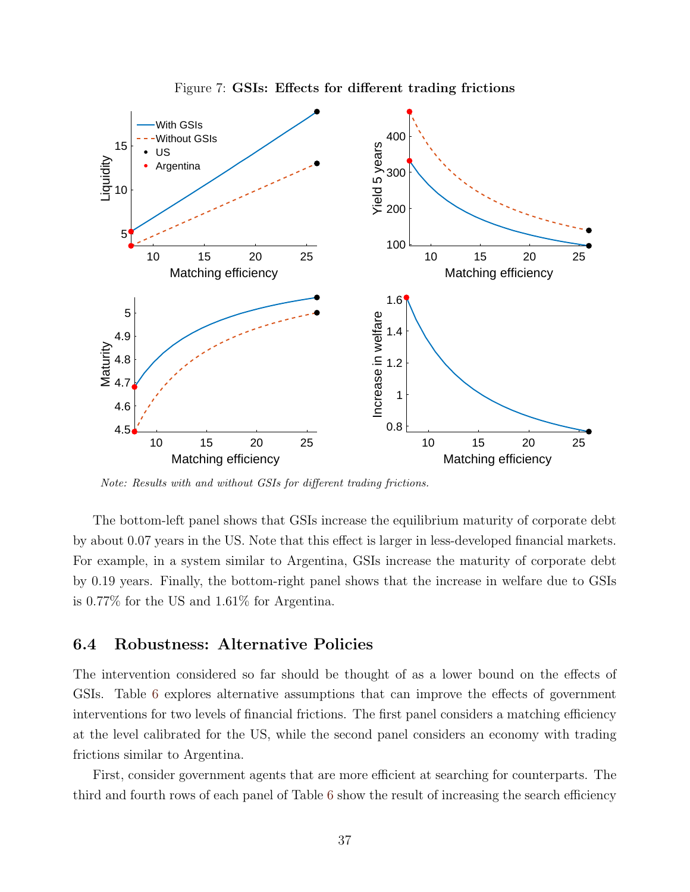<span id="page-37-1"></span>

Figure 7: GSIs: Effects for different trading frictions

Note: Results with and without GSIs for different trading frictions.

The bottom-left panel shows that GSIs increase the equilibrium maturity of corporate debt by about 0.07 years in the US. Note that this effect is larger in less-developed financial markets. For example, in a system similar to Argentina, GSIs increase the maturity of corporate debt by 0.19 years. Finally, the bottom-right panel shows that the increase in welfare due to GSIs is 0.77% for the US and 1.61% for Argentina.

#### <span id="page-37-0"></span>6.4 Robustness: Alternative Policies

The intervention considered so far should be thought of as a lower bound on the effects of GSIs. Table [6](#page-38-1) explores alternative assumptions that can improve the effects of government interventions for two levels of financial frictions. The first panel considers a matching efficiency at the level calibrated for the US, while the second panel considers an economy with trading frictions similar to Argentina.

First, consider government agents that are more efficient at searching for counterparts. The third and fourth rows of each panel of Table [6](#page-38-1) show the result of increasing the search efficiency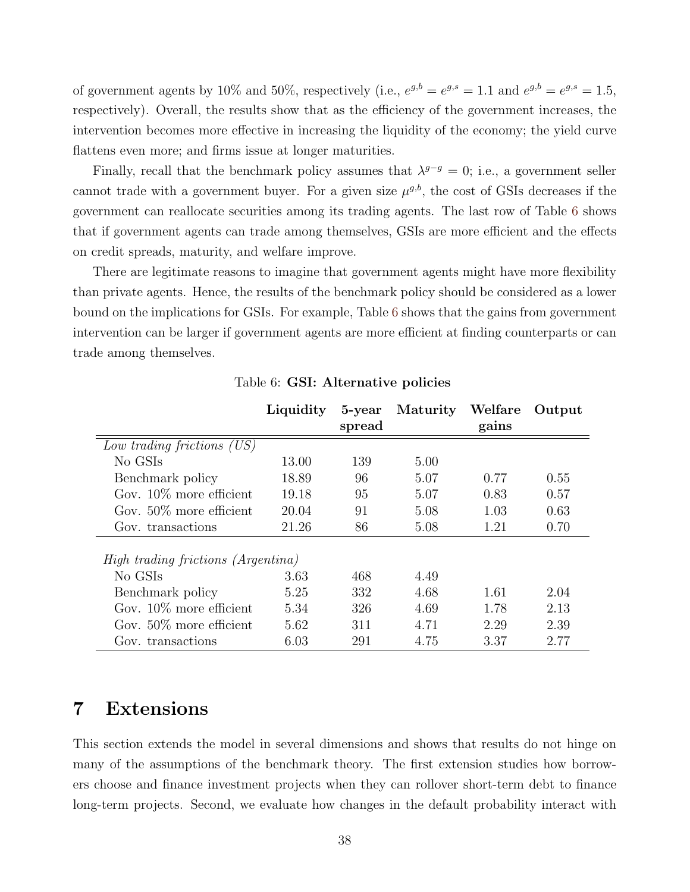of government agents by 10% and 50%, respectively (i.e.,  $e^{g,b} = e^{g,s} = 1.1$  and  $e^{g,b} = e^{g,s} = 1.5$ , respectively). Overall, the results show that as the efficiency of the government increases, the intervention becomes more effective in increasing the liquidity of the economy; the yield curve flattens even more; and firms issue at longer maturities.

Finally, recall that the benchmark policy assumes that  $\lambda^{g-g} = 0$ ; i.e., a government seller cannot trade with a government buyer. For a given size  $\mu^{g,b}$ , the cost of GSIs decreases if the government can reallocate securities among its trading agents. The last row of Table [6](#page-38-1) shows that if government agents can trade among themselves, GSIs are more efficient and the effects on credit spreads, maturity, and welfare improve.

There are legitimate reasons to imagine that government agents might have more flexibility than private agents. Hence, the results of the benchmark policy should be considered as a lower bound on the implications for GSIs. For example, Table [6](#page-38-1) shows that the gains from government intervention can be larger if government agents are more efficient at finding counterparts or can trade among themselves.

<span id="page-38-1"></span>

|                                           | Liquidity | 5-year<br>spread | Maturity Welfare | gains | Output |
|-------------------------------------------|-----------|------------------|------------------|-------|--------|
| Low trading frictions (US)                |           |                  |                  |       |        |
| No GSIs                                   | 13.00     | 139              | 5.00             |       |        |
| Benchmark policy                          | 18.89     | 96               | 5.07             | 0.77  | 0.55   |
| Gov. $10\%$ more efficient                | 19.18     | 95               | 5.07             | 0.83  | 0.57   |
| Gov. $50\%$ more efficient                | 20.04     | 91               | 5.08             | 1.03  | 0.63   |
| Gov. transactions                         | 21.26     | 86               | 5.08             | 1.21  | 0.70   |
| <i>High trading frictions (Argentina)</i> |           |                  |                  |       |        |
| No GSIs                                   | 3.63      | 468              | 4.49             |       |        |
| Benchmark policy                          | 5.25      | 332              | 4.68             | 1.61  | 2.04   |
| Gov. $10\%$ more efficient                | 5.34      | 326              | 4.69             | 1.78  | 2.13   |
| Gov. $50\%$ more efficient                | 5.62      | 311              | 4.71             | 2.29  | 2.39   |
| Gov. transactions                         | 6.03      | 291              | 4.75             | 3.37  | 2.77   |

Table 6: GSI: Alternative policies

# <span id="page-38-0"></span>7 Extensions

This section extends the model in several dimensions and shows that results do not hinge on many of the assumptions of the benchmark theory. The first extension studies how borrowers choose and finance investment projects when they can rollover short-term debt to finance long-term projects. Second, we evaluate how changes in the default probability interact with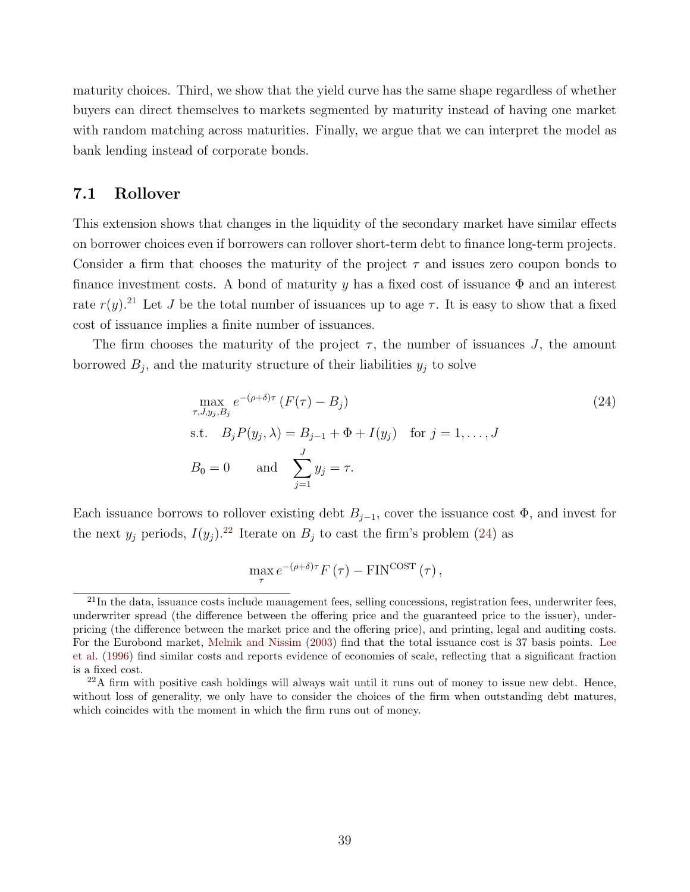maturity choices. Third, we show that the yield curve has the same shape regardless of whether buyers can direct themselves to markets segmented by maturity instead of having one market with random matching across maturities. Finally, we argue that we can interpret the model as bank lending instead of corporate bonds.

### <span id="page-39-0"></span>7.1 Rollover

This extension shows that changes in the liquidity of the secondary market have similar effects on borrower choices even if borrowers can rollover short-term debt to finance long-term projects. Consider a firm that chooses the maturity of the project  $\tau$  and issues zero coupon bonds to finance investment costs. A bond of maturity y has a fixed cost of issuance  $\Phi$  and an interest rate  $r(y)$ .<sup>[21](#page-39-1)</sup> Let J be the total number of issuances up to age  $\tau$ . It is easy to show that a fixed cost of issuance implies a finite number of issuances.

The firm chooses the maturity of the project  $\tau$ , the number of issuances J, the amount borrowed  $B_j$ , and the maturity structure of their liabilities  $y_j$  to solve

$$
\max_{\tau, J, y_j, B_j} e^{-(\rho + \delta)\tau} (F(\tau) - B_j)
$$
\n
$$
\text{s.t.} \quad B_j P(y_j, \lambda) = B_{j-1} + \Phi + I(y_j) \quad \text{for } j = 1, \dots, J
$$
\n
$$
B_0 = 0 \qquad \text{and} \quad \sum_{j=1}^J y_j = \tau.
$$
\n(24)

Each issuance borrows to rollover existing debt  $B_{j-1}$ , cover the issuance cost  $\Phi$ , and invest for the next  $y_j$  periods,  $I(y_j)$ .<sup>[22](#page-39-2)</sup> Iterate on  $B_j$  to cast the firm's problem [\(24\)](#page-39-3) as

<span id="page-39-3"></span>
$$
\max_{\tau} e^{-(\rho+\delta)\tau} F(\tau) - \text{FIN}^{\text{COST}}(\tau) ,
$$

<span id="page-39-1"></span> $^{21}$ In the data, issuance costs include management fees, selling concessions, registration fees, underwriter fees, underwriter spread (the difference between the offering price and the guaranteed price to the issuer), underpricing (the difference between the market price and the offering price), and printing, legal and auditing costs. For the Eurobond market, [Melnik and Nissim](#page-51-11) [\(2003\)](#page-51-11) find that the total issuance cost is 37 basis points. [Lee](#page-51-12) [et al.](#page-51-12) [\(1996\)](#page-51-12) find similar costs and reports evidence of economies of scale, reflecting that a significant fraction is a fixed cost.

<span id="page-39-2"></span> $22A$  firm with positive cash holdings will always wait until it runs out of money to issue new debt. Hence, without loss of generality, we only have to consider the choices of the firm when outstanding debt matures, which coincides with the moment in which the firm runs out of money.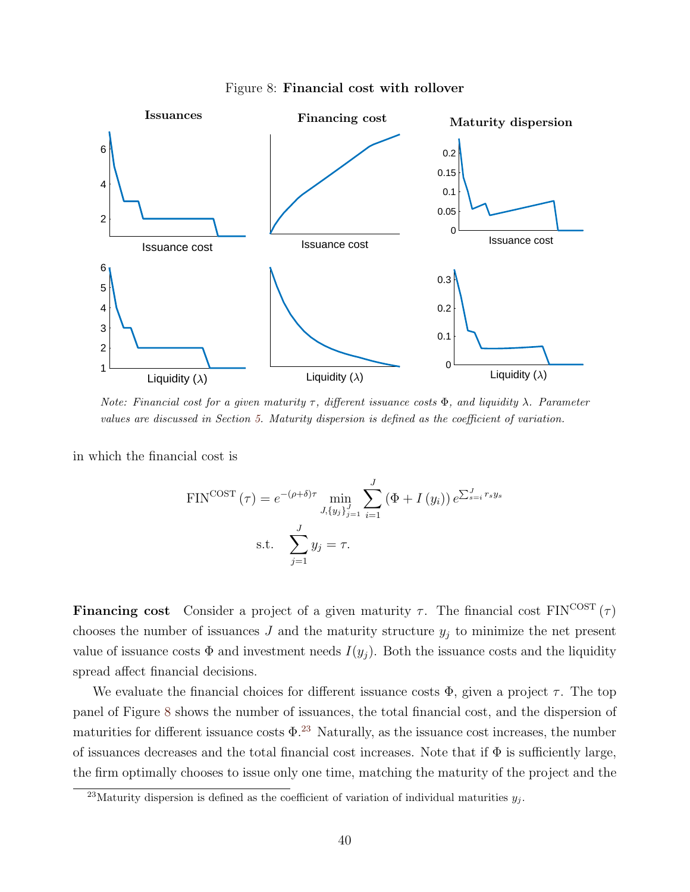<span id="page-40-0"></span>

Figure 8: Financial cost with rollover

Note: Financial cost for a given maturity  $\tau$ , different issuance costs  $\Phi$ , and liquidity  $\lambda$ . Parameter values are discussed in Section [5.](#page-24-0) Maturity dispersion is defined as the coefficient of variation.

in which the financial cost is

$$
\text{FIN}^{\text{COST}}(\tau) = e^{-(\rho+\delta)\tau} \min_{J, \{y_j\}_{j=1}^J} \sum_{i=1}^J \left(\Phi + I\left(y_i\right)\right) e^{\sum_{s=i}^J r_s y_s}
$$
\n
$$
\text{s.t.} \quad \sum_{j=1}^J y_j = \tau.
$$

**Financing cost** Consider a project of a given maturity  $\tau$ . The financial cost FIN<sup>COST</sup> ( $\tau$ ) chooses the number of issuances  $J$  and the maturity structure  $y_j$  to minimize the net present value of issuance costs  $\Phi$  and investment needs  $I(y_i)$ . Both the issuance costs and the liquidity spread affect financial decisions.

We evaluate the financial choices for different issuance costs  $\Phi$ , given a project  $\tau$ . The top panel of Figure [8](#page-40-0) shows the number of issuances, the total financial cost, and the dispersion of maturities for different issuance costs  $\Phi$ .<sup>[23](#page-40-1)</sup> Naturally, as the issuance cost increases, the number of issuances decreases and the total financial cost increases. Note that if  $\Phi$  is sufficiently large, the firm optimally chooses to issue only one time, matching the maturity of the project and the

<span id="page-40-1"></span><sup>&</sup>lt;sup>23</sup>Maturity dispersion is defined as the coefficient of variation of individual maturities  $y_j$ .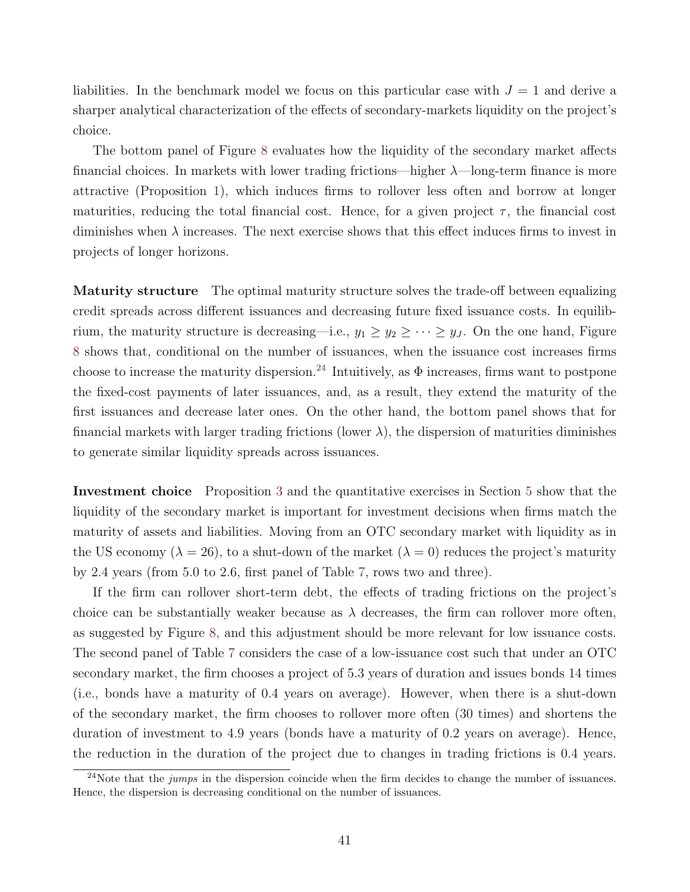liabilities. In the benchmark model we focus on this particular case with  $J = 1$  and derive a sharper analytical characterization of the effects of secondary-markets liquidity on the project's choice.

The bottom panel of Figure [8](#page-40-0) evaluates how the liquidity of the secondary market affects financial choices. In markets with lower trading frictions—higher  $\lambda$ —long-term finance is more attractive (Proposition [1\)](#page-10-0), which induces firms to rollover less often and borrow at longer maturities, reducing the total financial cost. Hence, for a given project  $\tau$ , the financial cost diminishes when  $\lambda$  increases. The next exercise shows that this effect induces firms to invest in projects of longer horizons.

Maturity structure The optimal maturity structure solves the trade-off between equalizing credit spreads across different issuances and decreasing future fixed issuance costs. In equilibrium, the maturity structure is decreasing—i.e.,  $y_1 \ge y_2 \ge \cdots \ge y_J$ . On the one hand, Figure [8](#page-40-0) shows that, conditional on the number of issuances, when the issuance cost increases firms choose to increase the maturity dispersion.<sup>[24](#page-41-0)</sup> Intuitively, as  $\Phi$  increases, firms want to postpone the fixed-cost payments of later issuances, and, as a result, they extend the maturity of the first issuances and decrease later ones. On the other hand, the bottom panel shows that for financial markets with larger trading frictions (lower  $\lambda$ ), the dispersion of maturities diminishes to generate similar liquidity spreads across issuances.

Investment choice Proposition [3](#page-16-2) and the quantitative exercises in Section [5](#page-24-0) show that the liquidity of the secondary market is important for investment decisions when firms match the maturity of assets and liabilities. Moving from an OTC secondary market with liquidity as in the US economy ( $\lambda = 26$ ), to a shut-down of the market ( $\lambda = 0$ ) reduces the project's maturity by 2.4 years (from 5.0 to 2.6, first panel of Table [7,](#page-42-0) rows two and three).

If the firm can rollover short-term debt, the effects of trading frictions on the project's choice can be substantially weaker because as  $\lambda$  decreases, the firm can rollover more often, as suggested by Figure [8,](#page-40-0) and this adjustment should be more relevant for low issuance costs. The second panel of Table [7](#page-42-0) considers the case of a low-issuance cost such that under an OTC secondary market, the firm chooses a project of 5.3 years of duration and issues bonds 14 times (i.e., bonds have a maturity of 0.4 years on average). However, when there is a shut-down of the secondary market, the firm chooses to rollover more often (30 times) and shortens the duration of investment to 4.9 years (bonds have a maturity of 0.2 years on average). Hence, the reduction in the duration of the project due to changes in trading frictions is 0.4 years.

<span id="page-41-0"></span><sup>&</sup>lt;sup>24</sup>Note that the *jumps* in the dispersion coincide when the firm decides to change the number of issuances. Hence, the dispersion is decreasing conditional on the number of issuances.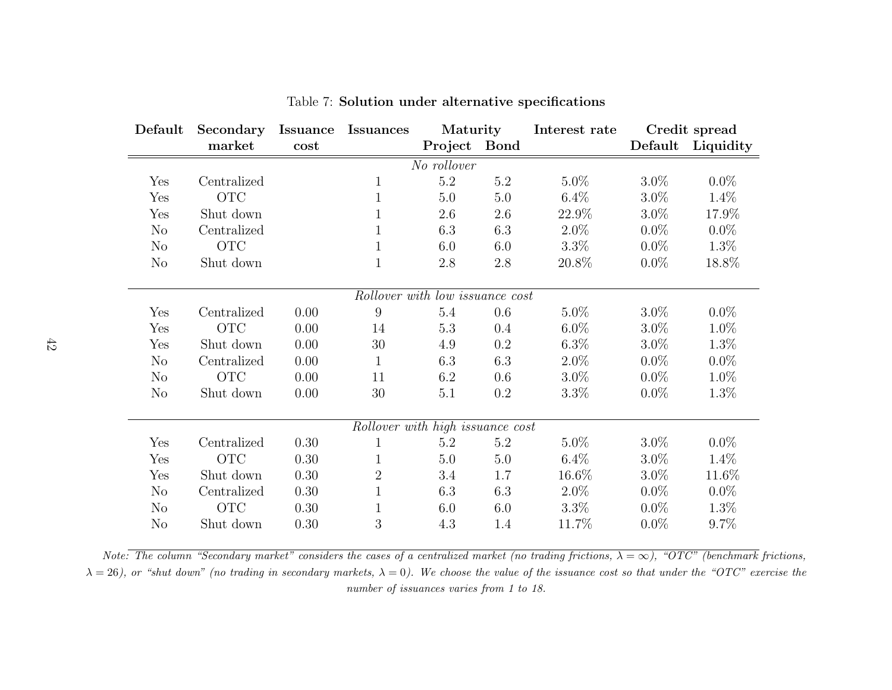| Default        | Secondary   | <b>Issuance</b> | <b>Issuances</b>                 | Maturity                        |             | Interest rate |         | Credit spread |
|----------------|-------------|-----------------|----------------------------------|---------------------------------|-------------|---------------|---------|---------------|
|                | market      | cost            |                                  | Project                         | <b>Bond</b> |               | Default | Liquidity     |
|                |             |                 |                                  | No rollover                     |             |               |         |               |
| Yes            | Centralized |                 | $\mathbf 1$                      | $5.2\,$                         | 5.2         | $5.0\%$       | $3.0\%$ | $0.0\%$       |
| Yes            | <b>OTC</b>  |                 | $\mathbf{1}$                     | 5.0                             | 5.0         | $6.4\%$       | $3.0\%$ | 1.4%          |
| Yes            | Shut down   |                 | 1                                | $2.6\,$                         | $2.6\,$     | 22.9%         | $3.0\%$ | 17.9%         |
| $\rm No$       | Centralized |                 | 1                                | 6.3                             | 6.3         | $2.0\%$       | $0.0\%$ | $0.0\%$       |
| No             | <b>OTC</b>  |                 | 1                                | 6.0                             | 6.0         | $3.3\%$       | $0.0\%$ | 1.3%          |
| No             | Shut down   |                 | $\mathbf{1}$                     | $2.8\,$                         | $2.8\,$     | 20.8%         | $0.0\%$ | 18.8%         |
|                |             |                 |                                  |                                 |             |               |         |               |
|                |             |                 |                                  | Rollover with low issuance cost |             |               |         |               |
| Yes            | Centralized | 0.00            | 9                                | $5.4\,$                         | $0.6\,$     | $5.0\%$       | $3.0\%$ | $0.0\%$       |
| Yes            | <b>OTC</b>  | 0.00            | 14                               | 5.3                             | 0.4         | $6.0\%$       | $3.0\%$ | 1.0%          |
| Yes            | Shut down   | 0.00            | $30\,$                           | 4.9                             | 0.2         | $6.3\%$       | $3.0\%$ | 1.3%          |
| N <sub>o</sub> | Centralized | 0.00            | 1                                | 6.3                             | 6.3         | $2.0\%$       | $0.0\%$ | $0.0\%$       |
| $\rm No$       | <b>OTC</b>  | 0.00            | 11                               | 6.2                             | 0.6         | $3.0\%$       | $0.0\%$ | 1.0%          |
| N <sub>o</sub> | Shut down   | 0.00            | 30                               | 5.1                             | 0.2         | $3.3\%$       | $0.0\%$ | 1.3%          |
|                |             |                 |                                  |                                 |             |               |         |               |
|                |             |                 | Rollover with high issuance cost |                                 |             |               |         |               |
| Yes            | Centralized | 0.30            | 1                                | 5.2                             | $5.2\,$     | 5.0%          | $3.0\%$ | $0.0\%$       |
| Yes            | <b>OTC</b>  | 0.30            |                                  | 5.0                             | 5.0         | $6.4\%$       | $3.0\%$ | 1.4%          |
| Yes            | Shut down   | 0.30            | $\overline{2}$                   | 3.4                             | 1.7         | 16.6%         | $3.0\%$ | 11.6%         |
| No             | Centralized | 0.30            | 1                                | 6.3                             | 6.3         | $2.0\%$       | $0.0\%$ | $0.0\%$       |
| $\rm No$       | <b>OTC</b>  | 0.30            |                                  | 6.0                             | 6.0         | $3.3\%$       | $0.0\%$ | 1.3%          |
| N <sub>o</sub> | Shut down   | 0.30            | 3                                | 4.3                             | 1.4         | 11.7%         | $0.0\%$ | $9.7\%$       |

<span id="page-42-0"></span>Table 7: Solution under alternative specifications

Note: The column "Secondary market" considers the cases of a centralized market (no trading frictions,  $\lambda = \infty$ ), "OTC" (benchmark frictions,  $\lambda=26$ ), or "shut down" (no trading in secondary markets,  $\lambda=0$ ). We choose the value of the issuance cost so that under the "OTC" exercise the number of issuances varies from 1 to 18.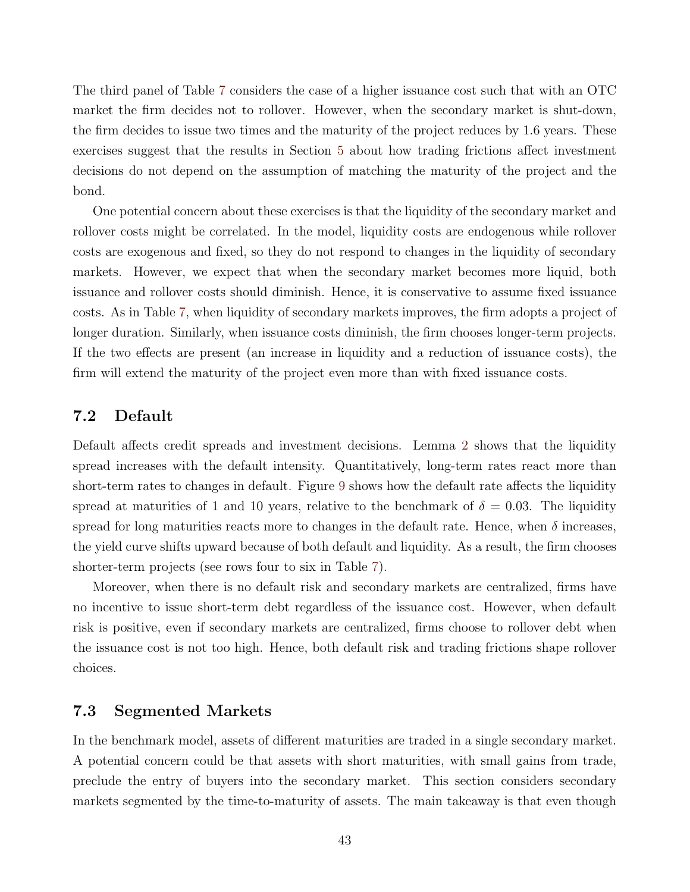The third panel of Table [7](#page-42-0) considers the case of a higher issuance cost such that with an OTC market the firm decides not to rollover. However, when the secondary market is shut-down, the firm decides to issue two times and the maturity of the project reduces by 1.6 years. These exercises suggest that the results in Section [5](#page-24-0) about how trading frictions affect investment decisions do not depend on the assumption of matching the maturity of the project and the bond.

One potential concern about these exercises is that the liquidity of the secondary market and rollover costs might be correlated. In the model, liquidity costs are endogenous while rollover costs are exogenous and fixed, so they do not respond to changes in the liquidity of secondary markets. However, we expect that when the secondary market becomes more liquid, both issuance and rollover costs should diminish. Hence, it is conservative to assume fixed issuance costs. As in Table [7,](#page-42-0) when liquidity of secondary markets improves, the firm adopts a project of longer duration. Similarly, when issuance costs diminish, the firm chooses longer-term projects. If the two effects are present (an increase in liquidity and a reduction of issuance costs), the firm will extend the maturity of the project even more than with fixed issuance costs.

# <span id="page-43-1"></span>7.2 Default

Default affects credit spreads and investment decisions. Lemma [2](#page-14-0) shows that the liquidity spread increases with the default intensity. Quantitatively, long-term rates react more than short-term rates to changes in default. Figure [9](#page-44-0) shows how the default rate affects the liquidity spread at maturities of 1 and 10 years, relative to the benchmark of  $\delta = 0.03$ . The liquidity spread for long maturities reacts more to changes in the default rate. Hence, when  $\delta$  increases, the yield curve shifts upward because of both default and liquidity. As a result, the firm chooses shorter-term projects (see rows four to six in Table [7\)](#page-42-0).

Moreover, when there is no default risk and secondary markets are centralized, firms have no incentive to issue short-term debt regardless of the issuance cost. However, when default risk is positive, even if secondary markets are centralized, firms choose to rollover debt when the issuance cost is not too high. Hence, both default risk and trading frictions shape rollover choices.

#### <span id="page-43-0"></span>7.3 Segmented Markets

In the benchmark model, assets of different maturities are traded in a single secondary market. A potential concern could be that assets with short maturities, with small gains from trade, preclude the entry of buyers into the secondary market. This section considers secondary markets segmented by the time-to-maturity of assets. The main takeaway is that even though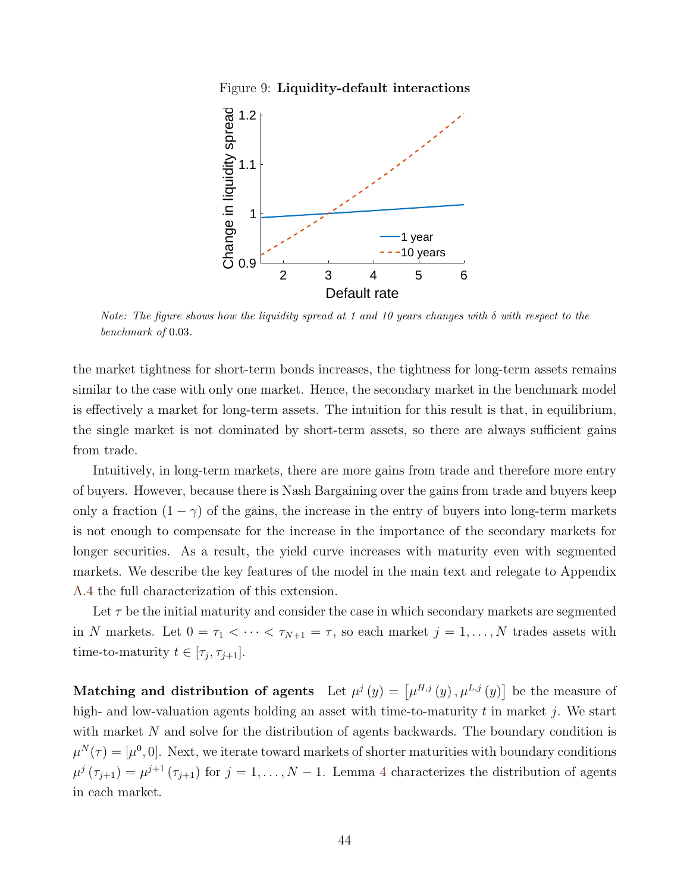Figure 9: Liquidity-default interactions

<span id="page-44-0"></span>

Note: The figure shows how the liquidity spread at 1 and 10 years changes with  $\delta$  with respect to the benchmark of 0.03.

the market tightness for short-term bonds increases, the tightness for long-term assets remains similar to the case with only one market. Hence, the secondary market in the benchmark model is effectively a market for long-term assets. The intuition for this result is that, in equilibrium, the single market is not dominated by short-term assets, so there are always sufficient gains from trade.

Intuitively, in long-term markets, there are more gains from trade and therefore more entry of buyers. However, because there is Nash Bargaining over the gains from trade and buyers keep only a fraction  $(1 - \gamma)$  of the gains, the increase in the entry of buyers into long-term markets is not enough to compensate for the increase in the importance of the secondary markets for longer securities. As a result, the yield curve increases with maturity even with segmented markets. We describe the key features of the model in the main text and relegate to Appendix [A.4](#page-61-0) the full characterization of this extension.

Let  $\tau$  be the initial maturity and consider the case in which secondary markets are segmented in N markets. Let  $0 = \tau_1 < \cdots < \tau_{N+1} = \tau$ , so each market  $j = 1, \ldots, N$  trades assets with time-to-maturity  $t \in [\tau_j, \tau_{j+1}].$ 

Matching and distribution of agents Let  $\mu^{j}(y) = [\mu^{H,j}(y), \mu^{L,j}(y)]$  be the measure of high- and low-valuation agents holding an asset with time-to-maturity  $t$  in market  $j$ . We start with market N and solve for the distribution of agents backwards. The boundary condition is  $\mu^{N}(\tau) = [\mu^{0}, 0].$  Next, we iterate toward markets of shorter maturities with boundary conditions  $\mu^{j}(\tau_{j+1}) = \mu^{j+1}(\tau_{j+1})$  for  $j = 1, ..., N-1$ . Lemma [4](#page-45-0) characterizes the distribution of agents in each market.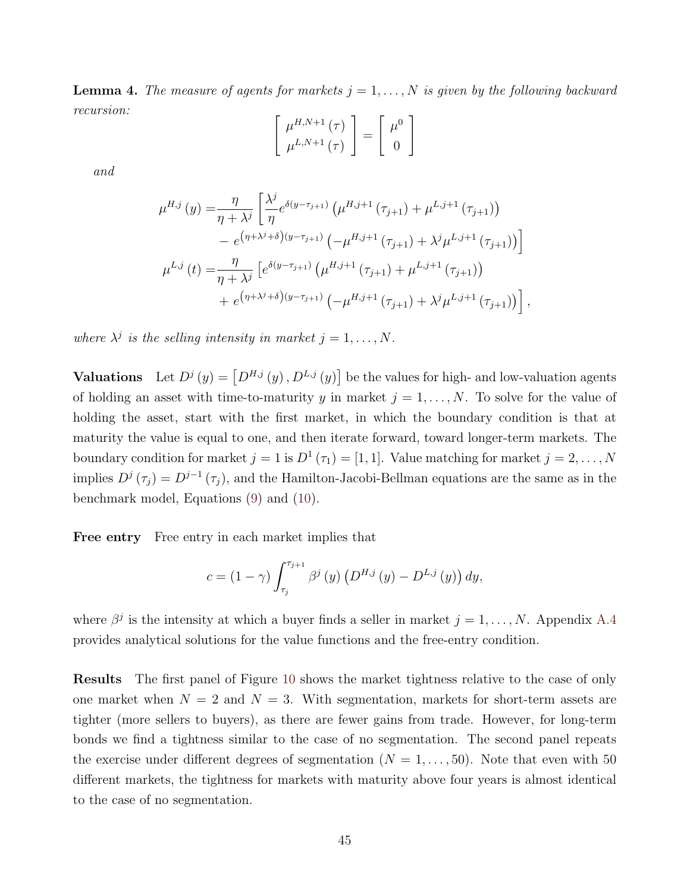<span id="page-45-0"></span>**Lemma 4.** The measure of agents for markets  $j = 1, ..., N$  is given by the following backward recursion:

$$
\left[\begin{array}{c} \mu^{H,N+1}(\tau) \\ \mu^{L,N+1}(\tau) \end{array}\right] = \left[\begin{array}{c} \mu^0 \\ 0 \end{array}\right]
$$

and

$$
\mu^{H,j}(y) = \frac{\eta}{\eta + \lambda^j} \left[ \frac{\lambda^j}{\eta} e^{\delta(y - \tau_{j+1})} \left( \mu^{H,j+1} \left( \tau_{j+1} \right) + \mu^{L,j+1} \left( \tau_{j+1} \right) \right) \right.\n- e^{\left( \eta + \lambda^j + \delta \right) \left( y - \tau_{j+1} \right)} \left( -\mu^{H,j+1} \left( \tau_{j+1} \right) + \lambda^j \mu^{L,j+1} \left( \tau_{j+1} \right) \right) \right] \n\mu^{L,j}(t) = \frac{\eta}{\eta + \lambda^j} \left[ e^{\delta(y - \tau_{j+1})} \left( \mu^{H,j+1} \left( \tau_{j+1} \right) + \mu^{L,j+1} \left( \tau_{j+1} \right) \right) \right.\n+ e^{\left( \eta + \lambda^j + \delta \right) \left( y - \tau_{j+1} \right)} \left( -\mu^{H,j+1} \left( \tau_{j+1} \right) + \lambda^j \mu^{L,j+1} \left( \tau_{j+1} \right) \right) \right],
$$

where  $\lambda^j$  is the selling intensity in market  $j = 1, \ldots, N$ .

**Valuations** Let  $D^j(y) = [D^{H,j}(y), D^{L,j}(y)]$  be the values for high- and low-valuation agents of holding an asset with time-to-maturity y in market  $j = 1, \ldots, N$ . To solve for the value of holding the asset, start with the first market, in which the boundary condition is that at maturity the value is equal to one, and then iterate forward, toward longer-term markets. The boundary condition for market  $j = 1$  is  $D^1(\tau_1) = [1, 1]$ . Value matching for market  $j = 2, ..., N$ implies  $D^{j}(\tau_j) = D^{j-1}(\tau_j)$ , and the Hamilton-Jacobi-Bellman equations are the same as in the benchmark model, Equations [\(9\)](#page-9-4) and [\(10\)](#page-9-5).

Free entry Free entry in each market implies that

$$
c = (1 - \gamma) \int_{\tau_j}^{\tau_{j+1}} \beta^j(y) \left( D^{H,j}(y) - D^{L,j}(y) \right) dy,
$$

where  $\beta^j$  is the intensity at which a buyer finds a seller in market  $j = 1, \ldots, N$ . Appendix [A.4](#page-62-0) provides analytical solutions for the value functions and the free-entry condition.

Results The first panel of Figure [10](#page-46-1) shows the market tightness relative to the case of only one market when  $N = 2$  and  $N = 3$ . With segmentation, markets for short-term assets are tighter (more sellers to buyers), as there are fewer gains from trade. However, for long-term bonds we find a tightness similar to the case of no segmentation. The second panel repeats the exercise under different degrees of segmentation  $(N = 1, \ldots, 50)$ . Note that even with 50 different markets, the tightness for markets with maturity above four years is almost identical to the case of no segmentation.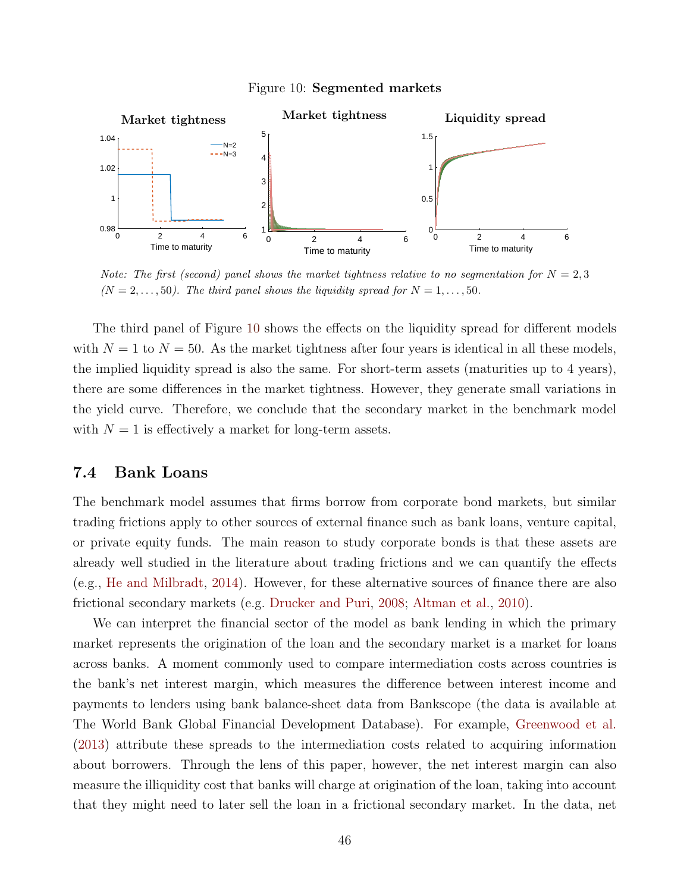

<span id="page-46-1"></span>

Note: The first (second) panel shows the market tightness relative to no segmentation for  $N = 2, 3$  $(N = 2, \ldots, 50)$ . The third panel shows the liquidity spread for  $N = 1, \ldots, 50$ .

The third panel of Figure [10](#page-46-1) shows the effects on the liquidity spread for different models with  $N = 1$  to  $N = 50$ . As the market tightness after four years is identical in all these models, the implied liquidity spread is also the same. For short-term assets (maturities up to 4 years), there are some differences in the market tightness. However, they generate small variations in the yield curve. Therefore, we conclude that the secondary market in the benchmark model with  $N = 1$  is effectively a market for long-term assets.

### <span id="page-46-0"></span>7.4 Bank Loans

The benchmark model assumes that firms borrow from corporate bond markets, but similar trading frictions apply to other sources of external finance such as bank loans, venture capital, or private equity funds. The main reason to study corporate bonds is that these assets are already well studied in the literature about trading frictions and we can quantify the effects (e.g., [He and Milbradt,](#page-50-1) [2014\)](#page-50-1). However, for these alternative sources of finance there are also frictional secondary markets (e.g. [Drucker and Puri,](#page-49-13) [2008;](#page-49-13) [Altman et al.,](#page-48-12) [2010\)](#page-48-12).

We can interpret the financial sector of the model as bank lending in which the primary market represents the origination of the loan and the secondary market is a market for loans across banks. A moment commonly used to compare intermediation costs across countries is the bank's net interest margin, which measures the difference between interest income and payments to lenders using bank balance-sheet data from Bankscope (the data is available at The World Bank Global Financial Development Database). For example, [Greenwood et al.](#page-50-12) [\(2013\)](#page-50-12) attribute these spreads to the intermediation costs related to acquiring information about borrowers. Through the lens of this paper, however, the net interest margin can also measure the illiquidity cost that banks will charge at origination of the loan, taking into account that they might need to later sell the loan in a frictional secondary market. In the data, net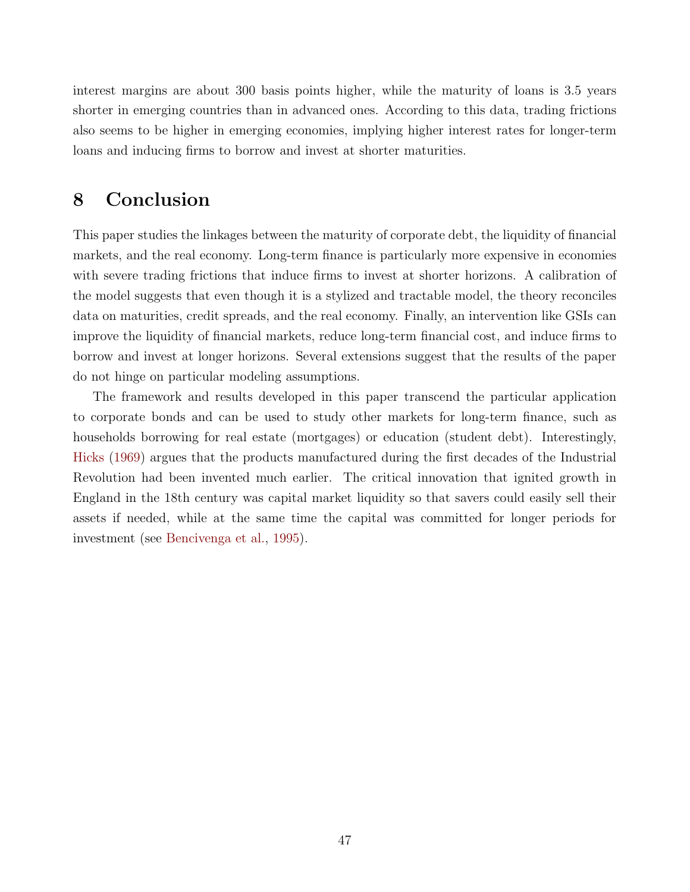interest margins are about 300 basis points higher, while the maturity of loans is 3.5 years shorter in emerging countries than in advanced ones. According to this data, trading frictions also seems to be higher in emerging economies, implying higher interest rates for longer-term loans and inducing firms to borrow and invest at shorter maturities.

# <span id="page-47-0"></span>8 Conclusion

This paper studies the linkages between the maturity of corporate debt, the liquidity of financial markets, and the real economy. Long-term finance is particularly more expensive in economies with severe trading frictions that induce firms to invest at shorter horizons. A calibration of the model suggests that even though it is a stylized and tractable model, the theory reconciles data on maturities, credit spreads, and the real economy. Finally, an intervention like GSIs can improve the liquidity of financial markets, reduce long-term financial cost, and induce firms to borrow and invest at longer horizons. Several extensions suggest that the results of the paper do not hinge on particular modeling assumptions.

The framework and results developed in this paper transcend the particular application to corporate bonds and can be used to study other markets for long-term finance, such as households borrowing for real estate (mortgages) or education (student debt). Interestingly, [Hicks](#page-51-13) [\(1969\)](#page-51-13) argues that the products manufactured during the first decades of the Industrial Revolution had been invented much earlier. The critical innovation that ignited growth in England in the 18th century was capital market liquidity so that savers could easily sell their assets if needed, while at the same time the capital was committed for longer periods for investment (see [Bencivenga et al.,](#page-48-13) [1995\)](#page-48-13).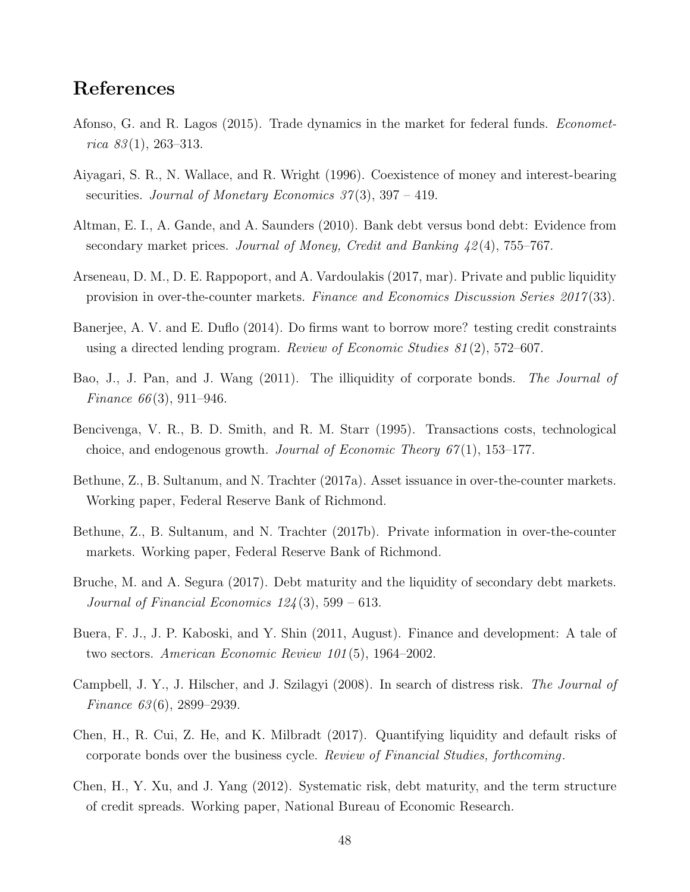# References

- <span id="page-48-9"></span>Afonso, G. and R. Lagos (2015). Trade dynamics in the market for federal funds. Econometrica  $83(1)$ , 263–313.
- <span id="page-48-11"></span>Aiyagari, S. R., N. Wallace, and R. Wright (1996). Coexistence of money and interest-bearing securities. Journal of Monetary Economics  $37(3)$ ,  $397 - 419$ .
- <span id="page-48-12"></span>Altman, E. I., A. Gande, and A. Saunders (2010). Bank debt versus bond debt: Evidence from secondary market prices. Journal of Money, Credit and Banking 42 (4), 755–767.
- <span id="page-48-3"></span>Arseneau, D. M., D. E. Rappoport, and A. Vardoulakis (2017, mar). Private and public liquidity provision in over-the-counter markets. Finance and Economics Discussion Series 2017 (33).
- <span id="page-48-10"></span>Banerjee, A. V. and E. Duflo (2014). Do firms want to borrow more? testing credit constraints using a directed lending program. Review of Economic Studies  $81(2)$ , 572–607.
- <span id="page-48-6"></span>Bao, J., J. Pan, and J. Wang (2011). The illiquidity of corporate bonds. The Journal of Finance  $66(3)$ , 911–946.
- <span id="page-48-13"></span>Bencivenga, V. R., B. D. Smith, and R. M. Starr (1995). Transactions costs, technological choice, and endogenous growth. Journal of Economic Theory  $67(1)$ , 153–177.
- <span id="page-48-4"></span>Bethune, Z., B. Sultanum, and N. Trachter (2017a). Asset issuance in over-the-counter markets. Working paper, Federal Reserve Bank of Richmond.
- <span id="page-48-8"></span>Bethune, Z., B. Sultanum, and N. Trachter (2017b). Private information in over-the-counter markets. Working paper, Federal Reserve Bank of Richmond.
- <span id="page-48-2"></span>Bruche, M. and A. Segura (2017). Debt maturity and the liquidity of secondary debt markets. Journal of Financial Economics  $124(3)$ , 599 – 613.
- <span id="page-48-5"></span>Buera, F. J., J. P. Kaboski, and Y. Shin (2011, August). Finance and development: A tale of two sectors. American Economic Review 101 (5), 1964–2002.
- <span id="page-48-7"></span>Campbell, J. Y., J. Hilscher, and J. Szilagyi (2008). In search of distress risk. The Journal of Finance 63 (6), 2899–2939.
- <span id="page-48-1"></span>Chen, H., R. Cui, Z. He, and K. Milbradt (2017). Quantifying liquidity and default risks of corporate bonds over the business cycle. Review of Financial Studies, forthcoming.
- <span id="page-48-0"></span>Chen, H., Y. Xu, and J. Yang (2012). Systematic risk, debt maturity, and the term structure of credit spreads. Working paper, National Bureau of Economic Research.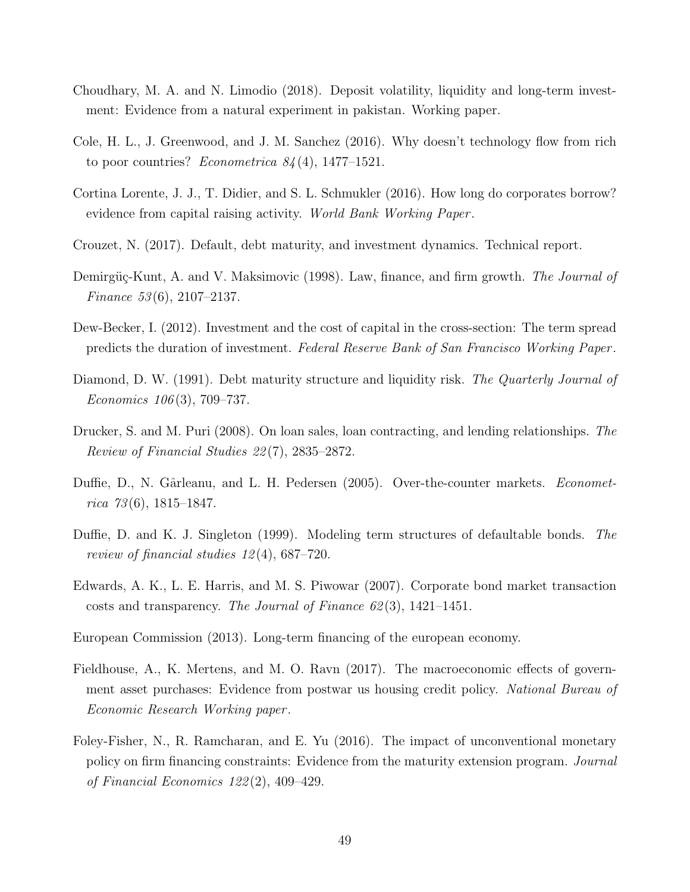- <span id="page-49-5"></span>Choudhary, M. A. and N. Limodio (2018). Deposit volatility, liquidity and long-term investment: Evidence from a natural experiment in pakistan. Working paper.
- <span id="page-49-4"></span>Cole, H. L., J. Greenwood, and J. M. Sanchez (2016). Why doesn't technology flow from rich to poor countries? *Econometrica*  $84(4)$ , 1477–1521.
- <span id="page-49-9"></span>Cortina Lorente, J. J., T. Didier, and S. L. Schmukler (2016). How long do corporates borrow? evidence from capital raising activity. World Bank Working Paper .
- <span id="page-49-8"></span>Crouzet, N. (2017). Default, debt maturity, and investment dynamics. Technical report.
- <span id="page-49-1"></span>Demirgüç-Kunt, A. and V. Maksimovic (1998). Law, finance, and firm growth. The Journal of Finance 53 (6), 2107–2137.
- <span id="page-49-10"></span>Dew-Becker, I. (2012). Investment and the cost of capital in the cross-section: The term spread predicts the duration of investment. Federal Reserve Bank of San Francisco Working Paper .
- <span id="page-49-3"></span>Diamond, D. W. (1991). Debt maturity structure and liquidity risk. The Quarterly Journal of Economics 106 (3), 709–737.
- <span id="page-49-13"></span>Drucker, S. and M. Puri (2008). On loan sales, loan contracting, and lending relationships. The Review of Financial Studies 22 (7), 2835–2872.
- <span id="page-49-0"></span>Duffie, D., N. Gârleanu, and L. H. Pedersen (2005). Over-the-counter markets. *Economet*rica  $73(6)$ , 1815–1847.
- <span id="page-49-7"></span>Duffie, D. and K. J. Singleton (1999). Modeling term structures of defaultable bonds. The review of financial studies 12 (4), 687–720.
- <span id="page-49-6"></span>Edwards, A. K., L. E. Harris, and M. S. Piwowar (2007). Corporate bond market transaction costs and transparency. The Journal of Finance  $62(3)$ , 1421–1451.
- <span id="page-49-2"></span>European Commission (2013). Long-term financing of the european economy.
- <span id="page-49-12"></span>Fieldhouse, A., K. Mertens, and M. O. Ravn (2017). The macroeconomic effects of government asset purchases: Evidence from postwar us housing credit policy. National Bureau of Economic Research Working paper .
- <span id="page-49-11"></span>Foley-Fisher, N., R. Ramcharan, and E. Yu (2016). The impact of unconventional monetary policy on firm financing constraints: Evidence from the maturity extension program. Journal of Financial Economics 122 (2), 409–429.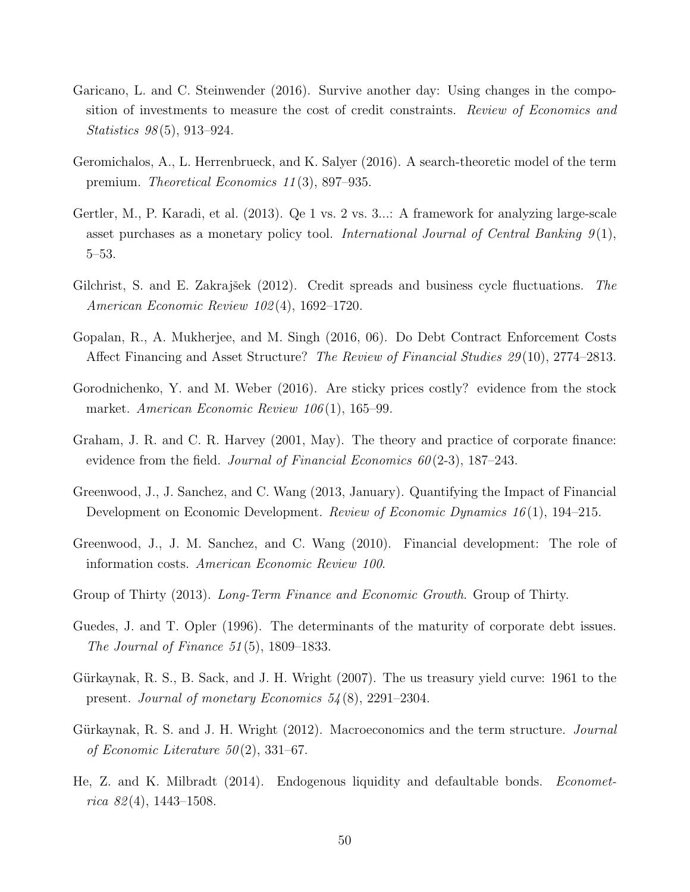- <span id="page-50-10"></span>Garicano, L. and C. Steinwender (2016). Survive another day: Using changes in the composition of investments to measure the cost of credit constraints. Review of Economics and Statistics 98 (5), 913–924.
- <span id="page-50-3"></span>Geromichalos, A., L. Herrenbrueck, and K. Salyer (2016). A search-theoretic model of the term premium. Theoretical Economics 11 (3), 897–935.
- <span id="page-50-11"></span>Gertler, M., P. Karadi, et al. (2013). Qe 1 vs. 2 vs. 3...: A framework for analyzing large-scale asset purchases as a monetary policy tool. International Journal of Central Banking  $9(1)$ , 5–53.
- <span id="page-50-5"></span>Gilchrist, S. and E. Zakrajšek  $(2012)$ . Credit spreads and business cycle fluctuations. The American Economic Review 102 (4), 1692–1720.
- <span id="page-50-8"></span>Gopalan, R., A. Mukherjee, and M. Singh (2016, 06). Do Debt Contract Enforcement Costs Affect Financing and Asset Structure? The Review of Financial Studies 29 (10), 2774–2813.
- <span id="page-50-9"></span>Gorodnichenko, Y. and M. Weber (2016). Are sticky prices costly? evidence from the stock market. American Economic Review 106(1), 165–99.
- <span id="page-50-7"></span>Graham, J. R. and C. R. Harvey (2001, May). The theory and practice of corporate finance: evidence from the field. Journal of Financial Economics  $60(2-3)$ , 187–243.
- <span id="page-50-12"></span>Greenwood, J., J. Sanchez, and C. Wang (2013, January). Quantifying the Impact of Financial Development on Economic Development. Review of Economic Dynamics 16 (1), 194–215.
- <span id="page-50-4"></span>Greenwood, J., J. M. Sanchez, and C. Wang (2010). Financial development: The role of information costs. American Economic Review 100.
- <span id="page-50-0"></span>Group of Thirty (2013). Long-Term Finance and Economic Growth. Group of Thirty.
- <span id="page-50-6"></span>Guedes, J. and T. Opler (1996). The determinants of the maturity of corporate debt issues. The Journal of Finance  $51(5)$ , 1809–1833.
- <span id="page-50-13"></span>Gürkaynak, R. S., B. Sack, and J. H. Wright (2007). The us treasury yield curve: 1961 to the present. Journal of monetary Economics 54 (8), 2291–2304.
- <span id="page-50-2"></span>Gürkaynak, R. S. and J. H. Wright (2012). Macroeconomics and the term structure. *Journal* of Economic Literature  $50(2)$ , 331–67.
- <span id="page-50-1"></span>He, Z. and K. Milbradt (2014). Endogenous liquidity and defaultable bonds. Economet $rica 82(4), 1443-1508.$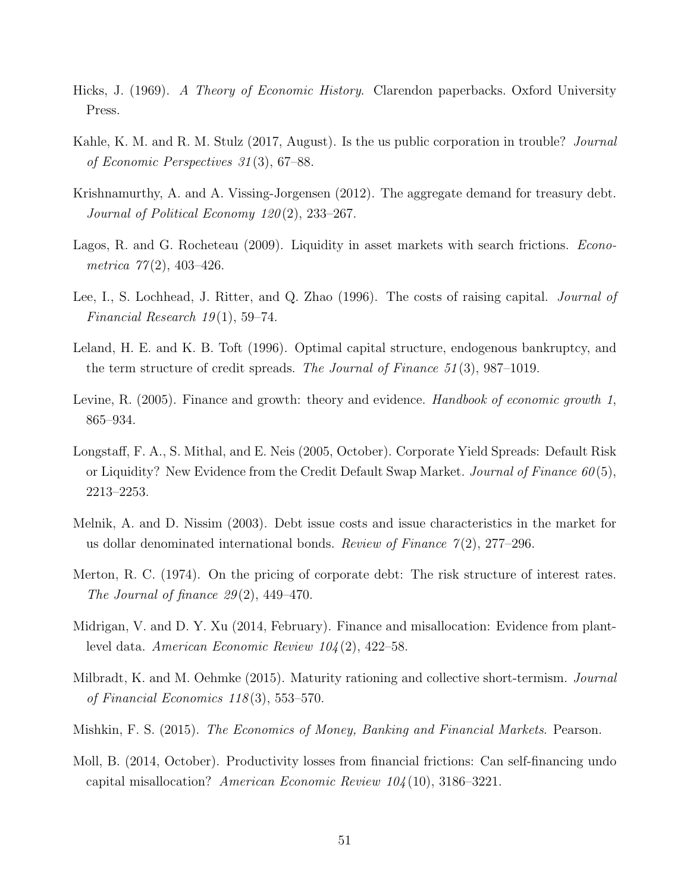- <span id="page-51-13"></span>Hicks, J. (1969). A Theory of Economic History. Clarendon paperbacks. Oxford University Press.
- <span id="page-51-10"></span>Kahle, K. M. and R. M. Stulz (2017, August). Is the us public corporation in trouble? Journal of Economic Perspectives 31 (3), 67–88.
- <span id="page-51-9"></span>Krishnamurthy, A. and A. Vissing-Jorgensen (2012). The aggregate demand for treasury debt. Journal of Political Economy 120(2), 233-267.
- <span id="page-51-6"></span>Lagos, R. and G. Rocheteau (2009). Liquidity in asset markets with search frictions. *Econo*metrica  $77(2)$ , 403-426.
- <span id="page-51-12"></span>Lee, I., S. Lochhead, J. Ritter, and Q. Zhao (1996). The costs of raising capital. *Journal of* Financial Research  $19(1)$ , 59–74.
- <span id="page-51-2"></span>Leland, H. E. and K. B. Toft (1996). Optimal capital structure, endogenous bankruptcy, and the term structure of credit spreads. The Journal of Finance 51 (3), 987–1019.
- <span id="page-51-0"></span>Levine, R. (2005). Finance and growth: theory and evidence. *Handbook of economic growth* 1, 865–934.
- <span id="page-51-8"></span>Longstaff, F. A., S. Mithal, and E. Neis (2005, October). Corporate Yield Spreads: Default Risk or Liquidity? New Evidence from the Credit Default Swap Market. Journal of Finance  $60(5)$ , 2213–2253.
- <span id="page-51-11"></span>Melnik, A. and D. Nissim (2003). Debt issue costs and issue characteristics in the market for us dollar denominated international bonds. Review of Finance  $\gamma(2)$ , 277–296.
- <span id="page-51-7"></span>Merton, R. C. (1974). On the pricing of corporate debt: The risk structure of interest rates. The Journal of finance  $29(2)$ , 449-470.
- <span id="page-51-5"></span>Midrigan, V. and D. Y. Xu (2014, February). Finance and misallocation: Evidence from plantlevel data. American Economic Review 104 (2), 422–58.
- <span id="page-51-3"></span>Milbradt, K. and M. Oehmke (2015). Maturity rationing and collective short-termism. *Journal* of Financial Economics 118 (3), 553–570.
- <span id="page-51-1"></span>Mishkin, F. S. (2015). *The Economics of Money, Banking and Financial Markets*. Pearson.
- <span id="page-51-4"></span>Moll, B. (2014, October). Productivity losses from financial frictions: Can self-financing undo capital misallocation? American Economic Review 104 (10), 3186–3221.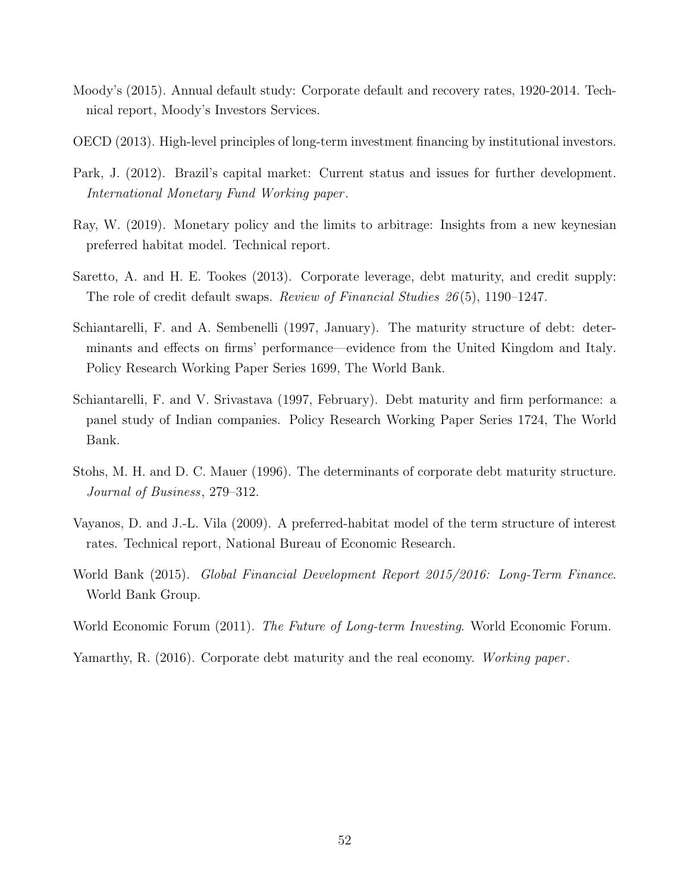- <span id="page-52-8"></span>Moody's (2015). Annual default study: Corporate default and recovery rates, 1920-2014. Technical report, Moody's Investors Services.
- <span id="page-52-1"></span>OECD (2013). High-level principles of long-term investment financing by institutional investors.
- <span id="page-52-11"></span>Park, J. (2012). Brazil's capital market: Current status and issues for further development. International Monetary Fund Working paper .
- <span id="page-52-10"></span>Ray, W. (2019). Monetary policy and the limits to arbitrage: Insights from a new keynesian preferred habitat model. Technical report.
- <span id="page-52-9"></span>Saretto, A. and H. E. Tookes (2013). Corporate leverage, debt maturity, and credit supply: The role of credit default swaps. Review of Financial Studies 26 (5), 1190–1247.
- <span id="page-52-5"></span>Schiantarelli, F. and A. Sembenelli (1997, January). The maturity structure of debt: determinants and effects on firms' performance—evidence from the United Kingdom and Italy. Policy Research Working Paper Series 1699, The World Bank.
- <span id="page-52-6"></span>Schiantarelli, F. and V. Srivastava (1997, February). Debt maturity and firm performance: a panel study of Indian companies. Policy Research Working Paper Series 1724, The World Bank.
- <span id="page-52-4"></span>Stohs, M. H. and D. C. Mauer (1996). The determinants of corporate debt maturity structure. Journal of Business, 279–312.
- <span id="page-52-3"></span>Vayanos, D. and J.-L. Vila (2009). A preferred-habitat model of the term structure of interest rates. Technical report, National Bureau of Economic Research.
- <span id="page-52-2"></span>World Bank (2015). Global Financial Development Report 2015/2016: Long-Term Finance. World Bank Group.
- <span id="page-52-0"></span>World Economic Forum (2011). The Future of Long-term Investing. World Economic Forum.

<span id="page-52-7"></span>Yamarthy, R. (2016). Corporate debt maturity and the real economy. Working paper.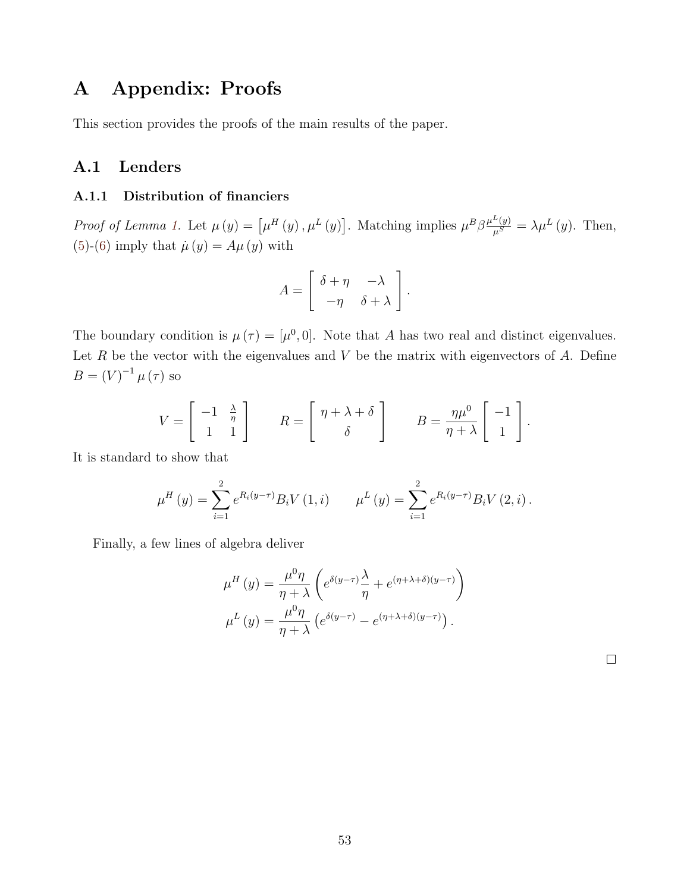# A Appendix: Proofs

This section provides the proofs of the main results of the paper.

## A.1 Lenders

#### A.1.1 Distribution of financiers

Proof of Lemma [1.](#page-9-2) Let  $\mu(y) = [\mu^H(y), \mu^L(y)]$ . Matching implies  $\mu^B \beta \frac{\mu^L(y)}{\mu^S} = \lambda \mu^L(y)$ . Then, [\(5\)](#page-9-0)-[\(6\)](#page-9-1) imply that  $\dot{\mu}(y) = A\mu(y)$  with

$$
A = \left[ \begin{array}{cc} \delta + \eta & -\lambda \\ -\eta & \delta + \lambda \end{array} \right].
$$

The boundary condition is  $\mu(\tau) = [\mu^0, 0]$ . Note that A has two real and distinct eigenvalues. Let  $R$  be the vector with the eigenvalues and  $V$  be the matrix with eigenvectors of  $A$ . Define  $B = (V)^{-1} \mu(\tau)$  so

$$
V = \begin{bmatrix} -1 & \frac{\lambda}{\eta} \\ 1 & 1 \end{bmatrix} \qquad R = \begin{bmatrix} \eta + \lambda + \delta \\ \delta \end{bmatrix} \qquad B = \frac{\eta \mu^0}{\eta + \lambda} \begin{bmatrix} -1 \\ 1 \end{bmatrix}.
$$

It is standard to show that

$$
\mu^{H}(y) = \sum_{i=1}^{2} e^{R_i(y-\tau)} B_i V(1,i) \qquad \mu^{L}(y) = \sum_{i=1}^{2} e^{R_i(y-\tau)} B_i V(2,i).
$$

Finally, a few lines of algebra deliver

$$
\mu^H(y) = \frac{\mu^0 \eta}{\eta + \lambda} \left( e^{\delta(y-\tau)} \frac{\lambda}{\eta} + e^{(\eta + \lambda + \delta)(y-\tau)} \right)
$$

$$
\mu^L(y) = \frac{\mu^0 \eta}{\eta + \lambda} \left( e^{\delta(y-\tau)} - e^{(\eta + \lambda + \delta)(y-\tau)} \right).
$$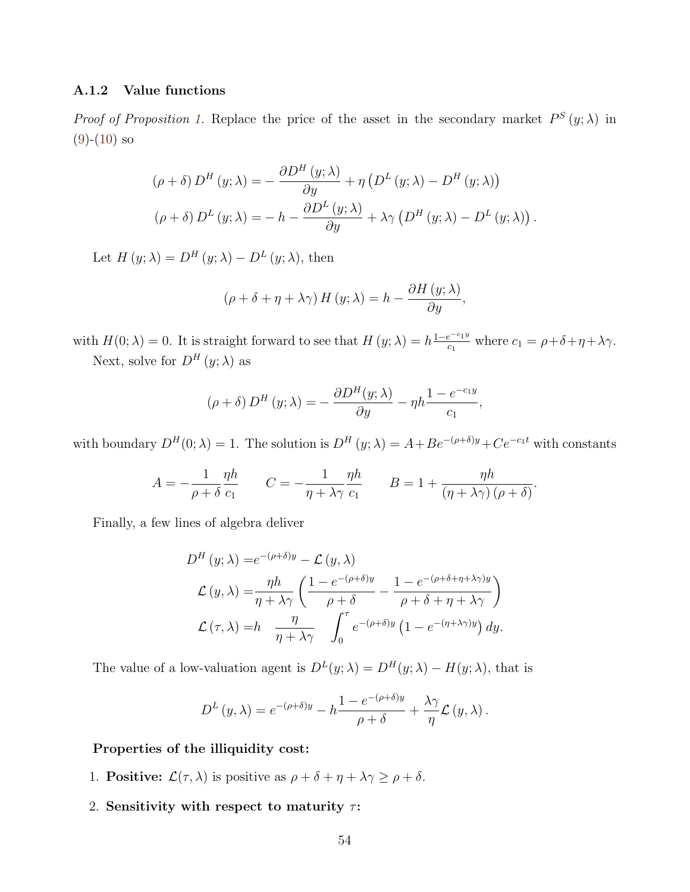#### A.1.2 Value functions

*Proof of Proposition [1.](#page-10-0)* Replace the price of the asset in the secondary market  $P^{S}(y; \lambda)$  in  $(9)-(10)$  $(9)-(10)$  $(9)-(10)$  so

$$
(\rho + \delta) D^{H} (y; \lambda) = - \frac{\partial D^{H} (y; \lambda)}{\partial y} + \eta \left( D^{L} (y; \lambda) - D^{H} (y; \lambda) \right)
$$

$$
(\rho + \delta) D^{L} (y; \lambda) = - h - \frac{\partial D^{L} (y; \lambda)}{\partial y} + \lambda \gamma \left( D^{H} (y; \lambda) - D^{L} (y; \lambda) \right).
$$

Let  $H(y; \lambda) = D^H(y; \lambda) - D^L(y; \lambda)$ , then

$$
(\rho + \delta + \eta + \lambda \gamma) H (y; \lambda) = h - \frac{\partial H (y; \lambda)}{\partial y},
$$

with  $H(0; \lambda) = 0$ . It is straight forward to see that  $H(y; \lambda) = h^{\frac{1-e^{-c_1 y}}{c_1}}$  $c_1$ <sup> $c_2$ </sup><sup> $-c_1$ </sup> $\leq$   $c_1$   $\leq$   $\rho + \delta + \eta + \lambda \gamma$ . Next, solve for  $D^{H}(y; \lambda)$  as

$$
(\rho + \delta) D^{H} (y; \lambda) = - \frac{\partial D^{H} (y; \lambda)}{\partial y} - \eta h \frac{1 - e^{-c_1 y}}{c_1},
$$

with boundary  $D^H(0; \lambda) = 1$ . The solution is  $D^H(y; \lambda) = A + Be^{-(\rho+\delta)y} + Ce^{-c_1t}$  with constants

$$
A = -\frac{1}{\rho + \delta} \frac{\eta h}{c_1} \qquad C = -\frac{1}{\eta + \lambda \gamma} \frac{\eta h}{c_1} \qquad B = 1 + \frac{\eta h}{(\eta + \lambda \gamma) (\rho + \delta)}.
$$

Finally, a few lines of algebra deliver

$$
D^{H}(y; \lambda) = e^{-(\rho + \delta)y} - \mathcal{L}(y, \lambda)
$$

$$
\mathcal{L}(y, \lambda) = \frac{\eta h}{\eta + \lambda \gamma} \left( \frac{1 - e^{-(\rho + \delta)y}}{\rho + \delta} - \frac{1 - e^{-(\rho + \delta + \eta + \lambda \gamma)y}}{\rho + \delta + \eta + \lambda \gamma} \right)
$$

$$
\mathcal{L}(\tau, \lambda) = h \frac{\eta}{\eta + \lambda \gamma} \int_{0}^{\tau} e^{-(\rho + \delta)y} \left( 1 - e^{-(\eta + \lambda \gamma)y} \right) dy.
$$

The value of a low-valuation agent is  $D^{L}(y; \lambda) = D^{H}(y; \lambda) - H(y; \lambda)$ , that is

$$
D^{L}(y,\lambda) = e^{-(\rho+\delta)y} - h \frac{1 - e^{-(\rho+\delta)y}}{\rho+\delta} + \frac{\lambda \gamma}{\eta} \mathcal{L}(y,\lambda).
$$

#### Properties of the illiquidity cost:

- 1. **Positive:**  $\mathcal{L}(\tau, \lambda)$  is positive as  $\rho + \delta + \eta + \lambda \gamma \ge \rho + \delta$ .
- 2. Sensitivity with respect to maturity  $\tau$ :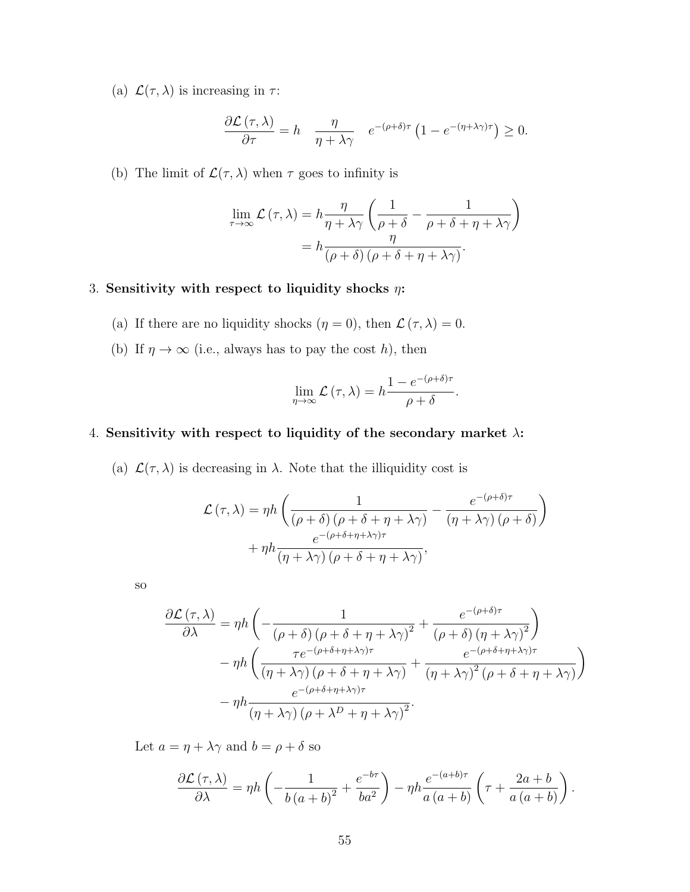(a)  $\mathcal{L}(\tau, \lambda)$  is increasing in  $\tau$ :

$$
\frac{\partial \mathcal{L}(\tau,\lambda)}{\partial \tau} = h \quad \frac{\eta}{\eta + \lambda \gamma} \quad e^{-(\rho+\delta)\tau} \left(1 - e^{-(\eta+\lambda\gamma)\tau}\right) \ge 0.
$$

(b) The limit of  $\mathcal{L}(\tau,\lambda)$  when  $\tau$  goes to infinity is

$$
\lim_{\tau \to \infty} \mathcal{L}(\tau, \lambda) = h \frac{\eta}{\eta + \lambda \gamma} \left( \frac{1}{\rho + \delta} - \frac{1}{\rho + \delta + \eta + \lambda \gamma} \right)
$$

$$
= h \frac{\eta}{(\rho + \delta) (\rho + \delta + \eta + \lambda \gamma)}.
$$

#### 3. Sensitivity with respect to liquidity shocks  $\eta$ :

- (a) If there are no liquidity shocks  $(\eta = 0)$ , then  $\mathcal{L}(\tau, \lambda) = 0$ .
- (b) If  $\eta \to \infty$  (i.e., always has to pay the cost h), then

$$
\lim_{\eta \to \infty} \mathcal{L}(\tau, \lambda) = h \frac{1 - e^{-(\rho + \delta)\tau}}{\rho + \delta}.
$$

#### 4. Sensitivity with respect to liquidity of the secondary market  $\lambda$ :

(a)  $\mathcal{L}(\tau, \lambda)$  is decreasing in  $\lambda$ . Note that the illiquidity cost is

$$
\mathcal{L}(\tau,\lambda) = \eta h \left( \frac{1}{(\rho+\delta)(\rho+\delta+\eta+\lambda\gamma)} - \frac{e^{-(\rho+\delta)\tau}}{(\eta+\lambda\gamma)(\rho+\delta)} \right) + \eta h \frac{e^{-(\rho+\delta+\eta+\lambda\gamma)\tau}}{(\eta+\lambda\gamma)(\rho+\delta+\eta+\lambda\gamma)},
$$

so

$$
\frac{\partial \mathcal{L}(\tau,\lambda)}{\partial \lambda} = \eta h \left( -\frac{1}{(\rho+\delta) \left(\rho+\delta+\eta+\lambda\gamma\right)^2} + \frac{e^{-(\rho+\delta)\tau}}{(\rho+\delta) \left(\eta+\lambda\gamma\right)^2} \right) \n- \eta h \left( \frac{\tau e^{-(\rho+\delta+\eta+\lambda\gamma)\tau}}{(\eta+\lambda\gamma) \left(\rho+\delta+\eta+\lambda\gamma\right)} + \frac{e^{-(\rho+\delta+\eta+\lambda\gamma)\tau}}{(\eta+\lambda\gamma)^2 \left(\rho+\delta+\eta+\lambda\gamma\right)} \right) \n- \eta h \frac{e^{-(\rho+\delta+\eta+\lambda\gamma)\tau}}{(\eta+\lambda\gamma) \left(\rho+\lambda^D+\eta+\lambda\gamma\right)^2}.
$$

Let  $a=\eta+\lambda\gamma$  and  $b=\rho+\delta$  so

$$
\frac{\partial \mathcal{L}(\tau,\lambda)}{\partial \lambda} = \eta h \left( -\frac{1}{b(a+b)^2} + \frac{e^{-b\tau}}{ba^2} \right) - \eta h \frac{e^{-(a+b)\tau}}{a(a+b)} \left( \tau + \frac{2a+b}{a(a+b)} \right).
$$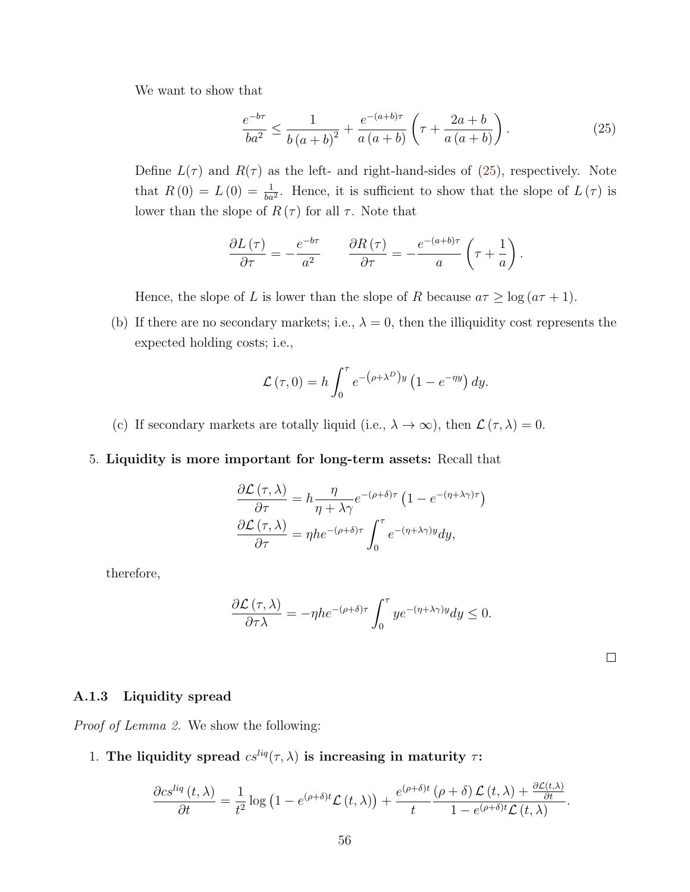We want to show that

<span id="page-56-0"></span>
$$
\frac{e^{-b\tau}}{ba^2} \le \frac{1}{b(a+b)^2} + \frac{e^{-(a+b)\tau}}{a(a+b)} \left(\tau + \frac{2a+b}{a(a+b)}\right). \tag{25}
$$

Define  $L(\tau)$  and  $R(\tau)$  as the left- and right-hand-sides of [\(25\)](#page-56-0), respectively. Note that  $R(0) = L(0) = \frac{1}{ba^2}$ . Hence, it is sufficient to show that the slope of  $L(\tau)$  is lower than the slope of  $R(\tau)$  for all  $\tau$ . Note that

$$
\frac{\partial L(\tau)}{\partial \tau} = -\frac{e^{-b\tau}}{a^2} \qquad \frac{\partial R(\tau)}{\partial \tau} = -\frac{e^{-(a+b)\tau}}{a} \left(\tau + \frac{1}{a}\right).
$$

Hence, the slope of L is lower than the slope of R because  $a\tau \ge \log(a\tau + 1)$ .

(b) If there are no secondary markets; i.e.,  $\lambda = 0$ , then the illiquidity cost represents the expected holding costs; i.e.,

$$
\mathcal{L}(\tau,0) = h \int_0^{\tau} e^{-(\rho + \lambda^D)y} \left(1 - e^{-\eta y}\right) dy.
$$

(c) If secondary markets are totally liquid (i.e.,  $\lambda \to \infty$ ), then  $\mathcal{L}(\tau, \lambda) = 0$ .

#### 5. Liquidity is more important for long-term assets: Recall that

$$
\frac{\partial \mathcal{L}(\tau,\lambda)}{\partial \tau} = h \frac{\eta}{\eta + \lambda \gamma} e^{-(\rho + \delta)\tau} \left(1 - e^{-(\eta + \lambda \gamma)\tau}\right)
$$

$$
\frac{\partial \mathcal{L}(\tau,\lambda)}{\partial \tau} = \eta h e^{-(\rho + \delta)\tau} \int_0^\tau e^{-(\eta + \lambda \gamma)y} dy,
$$

therefore,

$$
\frac{\partial \mathcal{L}(\tau,\lambda)}{\partial \tau \lambda} = -\eta h e^{-(\rho+\delta)\tau} \int_0^{\tau} y e^{-(\eta+\lambda \gamma)y} dy \le 0.
$$

#### A.1.3 Liquidity spread

Proof of Lemma [2.](#page-14-0) We show the following:

# 1. The liquidity spread  $cs^{liq}(\tau, \lambda)$  is increasing in maturity  $\tau$ :

$$
\frac{\partial c s^{liq}(t,\lambda)}{\partial t} = \frac{1}{t^2} \log \left(1 - e^{(\rho+\delta)t} \mathcal{L}(t,\lambda)\right) + \frac{e^{(\rho+\delta)t}(\rho+\delta) \mathcal{L}(t,\lambda) + \frac{\partial \mathcal{L}(t,\lambda)}{\partial t}}{1 - e^{(\rho+\delta)t} \mathcal{L}(t,\lambda)}.
$$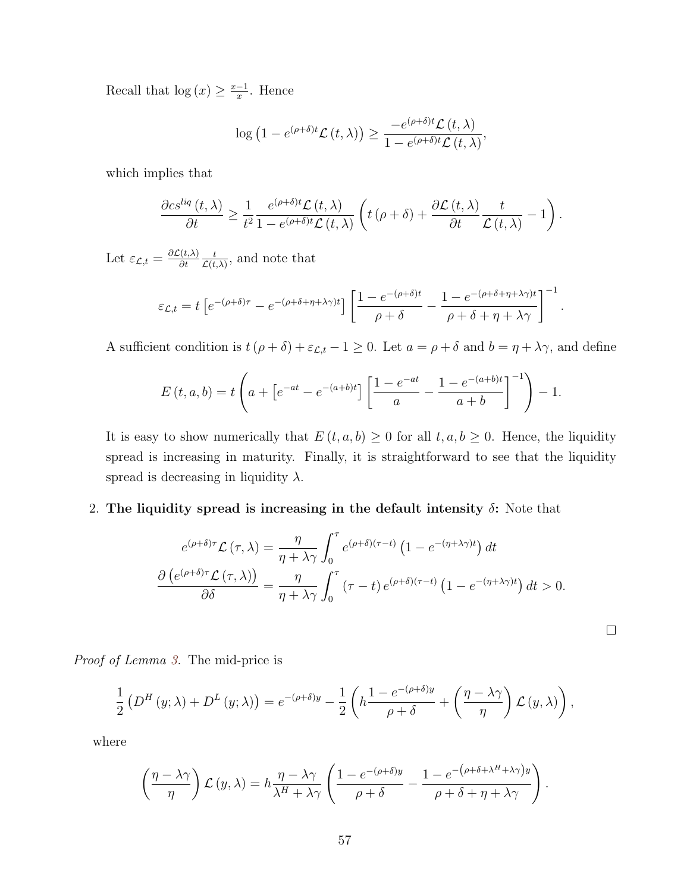Recall that  $log(x) \geq \frac{x-1}{x}$  $\frac{-1}{x}$ . Hence

$$
\log (1 - e^{(\rho + \delta)t} \mathcal{L}(t, \lambda)) \geq \frac{-e^{(\rho + \delta)t} \mathcal{L}(t, \lambda)}{1 - e^{(\rho + \delta)t} \mathcal{L}(t, \lambda)},
$$

which implies that

$$
\frac{\partial c s^{liq}\left(t,\lambda\right)}{\partial t}\geq\frac{1}{t^{2}}\frac{e^{\left(\rho+\delta\right)t}\mathcal{L}\left(t,\lambda\right)}{1-e^{\left(\rho+\delta\right)t}\mathcal{L}\left(t,\lambda\right)}\left(t\left(\rho+\delta\right)+\frac{\partial\mathcal{L}\left(t,\lambda\right)}{\partial t}\frac{t}{\mathcal{L}\left(t,\lambda\right)}-1\right).
$$

Let  $\varepsilon_{\mathcal{L},t} = \frac{\partial \mathcal{L}(t,\lambda)}{\partial t}$ ∂t t  $\frac{t}{\mathcal{L}(t,\lambda)}$ , and note that

$$
\varepsilon_{\mathcal{L},t} = t \left[ e^{-(\rho+\delta)\tau} - e^{-(\rho+\delta+\eta+\lambda\gamma)t} \right] \left[ \frac{1 - e^{-(\rho+\delta)t}}{\rho+\delta} - \frac{1 - e^{-(\rho+\delta+\eta+\lambda\gamma)t}}{\rho+\delta+\eta+\lambda\gamma} \right]^{-1}.
$$

A sufficient condition is  $t(\rho + \delta) + \varepsilon_{\mathcal{L},t} - 1 \ge 0$ . Let  $a = \rho + \delta$  and  $b = \eta + \lambda \gamma$ , and define

$$
E(t, a, b) = t \left( a + \left[ e^{-at} - e^{-(a+b)t} \right] \left[ \frac{1 - e^{-at}}{a} - \frac{1 - e^{-(a+b)t}}{a+b} \right]^{-1} \right) - 1.
$$

It is easy to show numerically that  $E(t, a, b) \geq 0$  for all  $t, a, b \geq 0$ . Hence, the liquidity spread is increasing in maturity. Finally, it is straightforward to see that the liquidity spread is decreasing in liquidity  $\lambda$ .

2. The liquidity spread is increasing in the default intensity  $\delta$ : Note that

$$
e^{(\rho+\delta)\tau} \mathcal{L}(\tau,\lambda) = \frac{\eta}{\eta+\lambda\gamma} \int_0^{\tau} e^{(\rho+\delta)(\tau-t)} \left(1 - e^{-(\eta+\lambda\gamma)t}\right) dt
$$

$$
\frac{\partial \left(e^{(\rho+\delta)\tau} \mathcal{L}(\tau,\lambda)\right)}{\partial \delta} = \frac{\eta}{\eta+\lambda\gamma} \int_0^{\tau} (\tau-t) e^{(\rho+\delta)(\tau-t)} \left(1 - e^{-(\eta+\lambda\gamma)t}\right) dt > 0.
$$

 $\Box$ 

Proof of Lemma [3.](#page-15-1) The mid-price is

$$
\frac{1}{2} \left( D^{H} (y; \lambda) + D^{L} (y; \lambda) \right) = e^{-(\rho + \delta)y} - \frac{1}{2} \left( h \frac{1 - e^{-(\rho + \delta)y}}{\rho + \delta} + \left( \frac{\eta - \lambda \gamma}{\eta} \right) \mathcal{L} (y, \lambda) \right),
$$

where

$$
\left(\frac{\eta-\lambda\gamma}{\eta}\right)\mathcal{L}(y,\lambda) = h\frac{\eta-\lambda\gamma}{\lambda^H+\lambda\gamma}\left(\frac{1-e^{-(\rho+\delta)y}}{\rho+\delta} - \frac{1-e^{-(\rho+\delta+\lambda^H+\lambda\gamma)y}}{\rho+\delta+\eta+\lambda\gamma}\right).
$$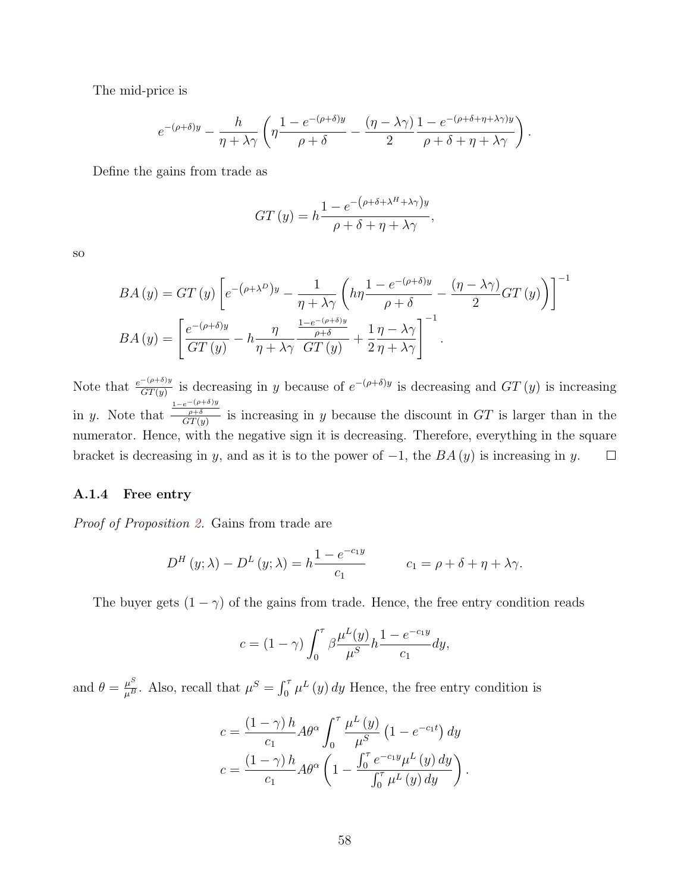The mid-price is

$$
e^{-(\rho+\delta)y} - \frac{h}{\eta+\lambda\gamma}\left(\eta\frac{1-e^{-(\rho+\delta)y}}{\rho+\delta} - \frac{(\eta-\lambda\gamma)}{2}\frac{1-e^{-(\rho+\delta+\eta+\lambda\gamma)y}}{\rho+\delta+\eta+\lambda\gamma}\right).
$$

Define the gains from trade as

$$
GT(y) = h \frac{1 - e^{-(\rho + \delta + \lambda^H + \lambda \gamma)y}}{\rho + \delta + \eta + \lambda \gamma},
$$

so

$$
BA(y) = GT(y) \left[ e^{-(\rho + \lambda^D)y} - \frac{1}{\eta + \lambda \gamma} \left( h\eta \frac{1 - e^{-(\rho + \delta)y}}{\rho + \delta} - \frac{(\eta - \lambda \gamma)}{2} GT(y) \right) \right]^{-1}
$$

$$
BA(y) = \left[ \frac{e^{-(\rho + \delta)y}}{GT(y)} - h\frac{\eta}{\eta + \lambda \gamma} \frac{\frac{1 - e^{-(\rho + \delta)y}}{\rho + \delta}}{GT(y)} + \frac{1}{2} \frac{\eta - \lambda \gamma}{\eta + \lambda \gamma} \right]^{-1}.
$$

Note that  $\frac{e^{-(\rho+\delta)y}}{GT(y)}$  is decreasing in y because of  $e^{-(\rho+\delta)y}$  is decreasing and  $GT(y)$  is increasing  $\frac{1-e^{-(\rho+\delta)y}}{\rho+\delta}$  is increasing in y because the discount in GT is larger than in the in y. Note that numerator. Hence, with the negative sign it is decreasing. Therefore, everything in the square bracket is decreasing in y, and as it is to the power of  $-1$ , the  $BA(y)$  is increasing in y.  $\Box$ 

#### A.1.4 Free entry

Proof of Proposition [2.](#page-15-2) Gains from trade are

$$
D^{H}(y; \lambda) - D^{L}(y; \lambda) = h \frac{1 - e^{-c_1 y}}{c_1} \qquad c_1 = \rho + \delta + \eta + \lambda \gamma.
$$

The buyer gets  $(1 - \gamma)$  of the gains from trade. Hence, the free entry condition reads

$$
c = (1 - \gamma) \int_0^{\tau} \beta \frac{\mu^L(y)}{\mu^S} h \frac{1 - e^{-c_1 y}}{c_1} dy,
$$

and  $\theta = \frac{\mu^S}{\mu^B}$ . Also, recall that  $\mu^S = \int_0^{\tau} \mu^L(y) dy$  Hence, the free entry condition is

$$
c = \frac{(1-\gamma)h}{c_1} A\theta^{\alpha} \int_0^{\tau} \frac{\mu^L(y)}{\mu^S} (1 - e^{-c_1 t}) dy
$$

$$
c = \frac{(1-\gamma)h}{c_1} A\theta^{\alpha} \left(1 - \frac{\int_0^{\tau} e^{-c_1 y} \mu^L(y) dy}{\int_0^{\tau} \mu^L(y) dy}\right).
$$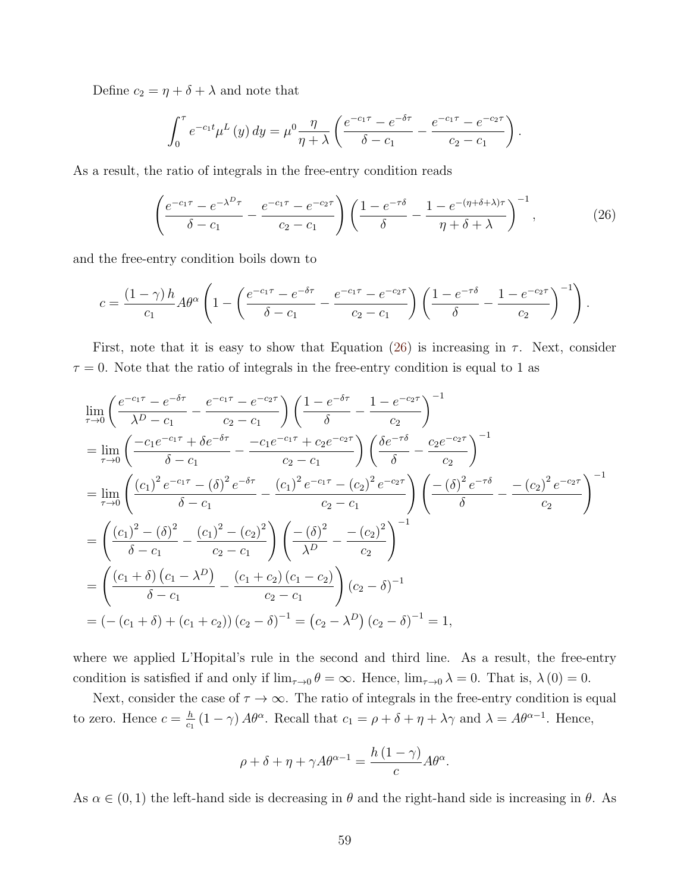Define  $c_2 = \eta + \delta + \lambda$  and note that

<span id="page-59-0"></span>
$$
\int_0^{\tau} e^{-c_1 t} \mu^{L}(y) dy = \mu^0 \frac{\eta}{\eta + \lambda} \left( \frac{e^{-c_1 \tau} - e^{-\delta \tau}}{\delta - c_1} - \frac{e^{-c_1 \tau} - e^{-c_2 \tau}}{c_2 - c_1} \right).
$$

As a result, the ratio of integrals in the free-entry condition reads

$$
\left(\frac{e^{-c_1\tau}-e^{-\lambda^{D}\tau}}{\delta-c_1}-\frac{e^{-c_1\tau}-e^{-c_2\tau}}{c_2-c_1}\right)\left(\frac{1-e^{-\tau\delta}}{\delta}-\frac{1-e^{-(\eta+\delta+\lambda)\tau}}{\eta+\delta+\lambda}\right)^{-1},\tag{26}
$$

and the free-entry condition boils down to

$$
c = \frac{(1-\gamma)h}{c_1} A \theta^{\alpha} \left( 1 - \left( \frac{e^{-c_1 \tau} - e^{-\delta \tau}}{\delta - c_1} - \frac{e^{-c_1 \tau} - e^{-c_2 \tau}}{c_2 - c_1} \right) \left( \frac{1 - e^{-\tau \delta}}{\delta} - \frac{1 - e^{-c_2 \tau}}{c_2} \right)^{-1} \right).
$$

First, note that it is easy to show that Equation [\(26\)](#page-59-0) is increasing in  $\tau$ . Next, consider  $\tau = 0$ . Note that the ratio of integrals in the free-entry condition is equal to 1 as

$$
\lim_{\tau \to 0} \left( \frac{e^{-c_1 \tau} - e^{-\delta \tau}}{\lambda^D - c_1} - \frac{e^{-c_1 \tau} - e^{-c_2 \tau}}{c_2 - c_1} \right) \left( \frac{1 - e^{-\delta \tau}}{\delta} - \frac{1 - e^{-c_2 \tau}}{c_2} \right)^{-1}
$$
\n
$$
= \lim_{\tau \to 0} \left( \frac{-c_1 e^{-c_1 \tau} + \delta e^{-\delta \tau}}{\delta - c_1} - \frac{-c_1 e^{-c_1 \tau} + c_2 e^{-c_2 \tau}}{c_2 - c_1} \right) \left( \frac{\delta e^{-\tau \delta}}{\delta} - \frac{c_2 e^{-c_2 \tau}}{c_2} \right)^{-1}
$$
\n
$$
= \lim_{\tau \to 0} \left( \frac{(c_1)^2 e^{-c_1 \tau} - (\delta)^2 e^{-\delta \tau}}{\delta - c_1} - \frac{(c_1)^2 e^{-c_1 \tau} - (c_2)^2 e^{-c_2 \tau}}{c_2 - c_1} \right) \left( \frac{-(\delta)^2 e^{-\tau \delta}}{\delta} - \frac{-(c_2)^2 e^{-c_2 \tau}}{c_2} \right)^{-1}
$$
\n
$$
= \left( \frac{(c_1)^2 - (\delta)^2}{\delta - c_1} - \frac{(c_1)^2 - (c_2)^2}{c_2 - c_1} \right) \left( \frac{-(\delta)^2}{\lambda^D} - \frac{-(c_2)^2}{c_2} \right)^{-1}
$$
\n
$$
= \left( \frac{(c_1 + \delta)(c_1 - \lambda^D)}{\delta - c_1} - \frac{(c_1 + c_2)(c_1 - c_2)}{c_2 - c_1} \right) (c_2 - \delta)^{-1}
$$
\n
$$
= (- (c_1 + \delta) + (c_1 + c_2)) (c_2 - \delta)^{-1} = (c_2 - \lambda^D) (c_2 - \delta)^{-1} = 1,
$$

where we applied L'Hopital's rule in the second and third line. As a result, the free-entry condition is satisfied if and only if  $\lim_{\tau\to 0} \theta = \infty$ . Hence,  $\lim_{\tau\to 0} \lambda = 0$ . That is,  $\lambda(0) = 0$ .

Next, consider the case of  $\tau \to \infty$ . The ratio of integrals in the free-entry condition is equal to zero. Hence  $c = \frac{h}{c}$  $\frac{h}{c_1}(1-\gamma) A\theta^{\alpha}$ . Recall that  $c_1 = \rho + \delta + \eta + \lambda\gamma$  and  $\lambda = A\theta^{\alpha-1}$ . Hence,

$$
\rho + \delta + \eta + \gamma A \theta^{\alpha - 1} = \frac{h(1 - \gamma)}{c} A \theta^{\alpha}.
$$

As  $\alpha \in (0, 1)$  the left-hand side is decreasing in  $\theta$  and the right-hand side is increasing in  $\theta$ . As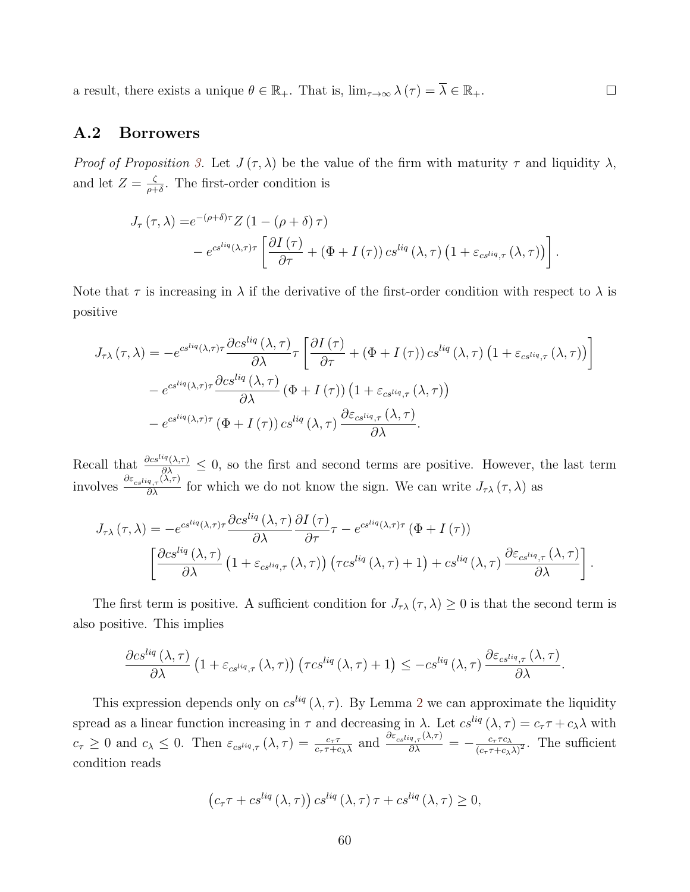a result, there exists a unique  $\theta \in \mathbb{R}_+$ . That is,  $\lim_{\tau \to \infty} \lambda(\tau) = \overline{\lambda} \in \mathbb{R}_+$ .  $\Box$ 

#### A.2 Borrowers

Proof of Proposition [3.](#page-16-2) Let  $J(\tau,\lambda)$  be the value of the firm with maturity  $\tau$  and liquidity  $\lambda$ , and let  $Z = \frac{\zeta}{a^+}$  $\frac{\zeta}{\rho+\delta}$ . The first-order condition is

$$
J_{\tau}(\tau,\lambda) = e^{-(\rho+\delta)\tau} Z (1 - (\rho+\delta)\tau)
$$
  
-  $e^{cs^{liq}(\lambda,\tau)\tau} \left[ \frac{\partial I(\tau)}{\partial \tau} + (\Phi + I(\tau)) cs^{liq}(\lambda,\tau) (1 + \varepsilon_{cs^{liq},\tau}(\lambda,\tau)) \right].$ 

Note that  $\tau$  is increasing in  $\lambda$  if the derivative of the first-order condition with respect to  $\lambda$  is positive

$$
J_{\tau\lambda}(\tau,\lambda) = -e^{cs^{liq}(\lambda,\tau)\tau} \frac{\partial cs^{liq}(\lambda,\tau)}{\partial\lambda} \tau \left[ \frac{\partial I(\tau)}{\partial\tau} + (\Phi + I(\tau)) cs^{liq}(\lambda,\tau) \left( 1 + \varepsilon_{cs^{liq},\tau}(\lambda,\tau) \right) \right]
$$

$$
-e^{cs^{liq}(\lambda,\tau)\tau} \frac{\partial cs^{liq}(\lambda,\tau)}{\partial\lambda} (\Phi + I(\tau)) \left( 1 + \varepsilon_{cs^{liq},\tau}(\lambda,\tau) \right)
$$

$$
-e^{cs^{liq}(\lambda,\tau)\tau} (\Phi + I(\tau)) cs^{liq}(\lambda,\tau) \frac{\partial \varepsilon_{cs^{liq},\tau}(\lambda,\tau)}{\partial\lambda}.
$$

Recall that  $\frac{\partial c s^{liq}(\lambda,\tau)}{\partial \lambda} \leq 0$ , so the first and second terms are positive. However, the last term involves  $\frac{\partial \varepsilon_{cs} I i q_{,\tau}(\lambda,\tau)}{\partial \lambda}$  for which we do not know the sign. We can write  $J_{\tau\lambda}(\tau,\lambda)$  as

$$
J_{\tau\lambda}(\tau,\lambda) = -e^{cs^{liq}(\lambda,\tau)\tau} \frac{\partial cs^{liq}(\lambda,\tau)}{\partial\lambda} \frac{\partial I(\tau)}{\partial\tau} \tau - e^{cs^{liq}(\lambda,\tau)\tau} (\Phi + I(\tau))
$$

$$
\left[ \frac{\partial cs^{liq}(\lambda,\tau)}{\partial\lambda} \left(1 + \varepsilon_{cs^{liq},\tau}(\lambda,\tau)\right) \left(\tau cs^{liq}(\lambda,\tau) + 1\right) + cs^{liq}(\lambda,\tau) \frac{\partial \varepsilon_{cs^{liq},\tau}(\lambda,\tau)}{\partial\lambda} \right].
$$

The first term is positive. A sufficient condition for  $J_{\tau\lambda}(\tau,\lambda) \geq 0$  is that the second term is also positive. This implies

$$
\frac{\partial c s^{liq}(\lambda,\tau)}{\partial \lambda}\left(1+\varepsilon_{cs^{liq},\tau}(\lambda,\tau)\right)\left(\tau cs^{liq}(\lambda,\tau)+1\right)\leq -cs^{liq}(\lambda,\tau)\frac{\partial \varepsilon_{cs^{liq},\tau}(\lambda,\tau)}{\partial \lambda}.
$$

This expression depends only on  $cs^{liq}(\lambda, \tau)$ . By Lemma [2](#page-14-0) we can approximate the liquidity spread as a linear function increasing in  $\tau$  and decreasing in  $\lambda$ . Let  $cs^{liq}(\lambda, \tau) = c_{\tau}\tau + c_{\lambda}\lambda$  with  $c_{\tau} \geq 0$  and  $c_{\lambda} \leq 0$ . Then  $\varepsilon_{cs} = \frac{c_{\tau} \tau}{c_{\tau} \tau + c_{\lambda} \lambda}$  and  $\frac{\partial \varepsilon_{cs} = \frac{\partial \varepsilon}{\partial \lambda}}{\partial \lambda} = -\frac{c_{\tau} \tau c_{\lambda}}{(c_{\tau} \tau + c_{\lambda})}$  $\frac{c_{\tau} \tau c_{\lambda}}{(c_{\tau} \tau + c_{\lambda} \lambda)^2}$ . The sufficient condition reads

$$
(c_{\tau}\tau + cs^{liq}(\lambda,\tau)) cs^{liq}(\lambda,\tau)\tau + cs^{liq}(\lambda,\tau) \geq 0,
$$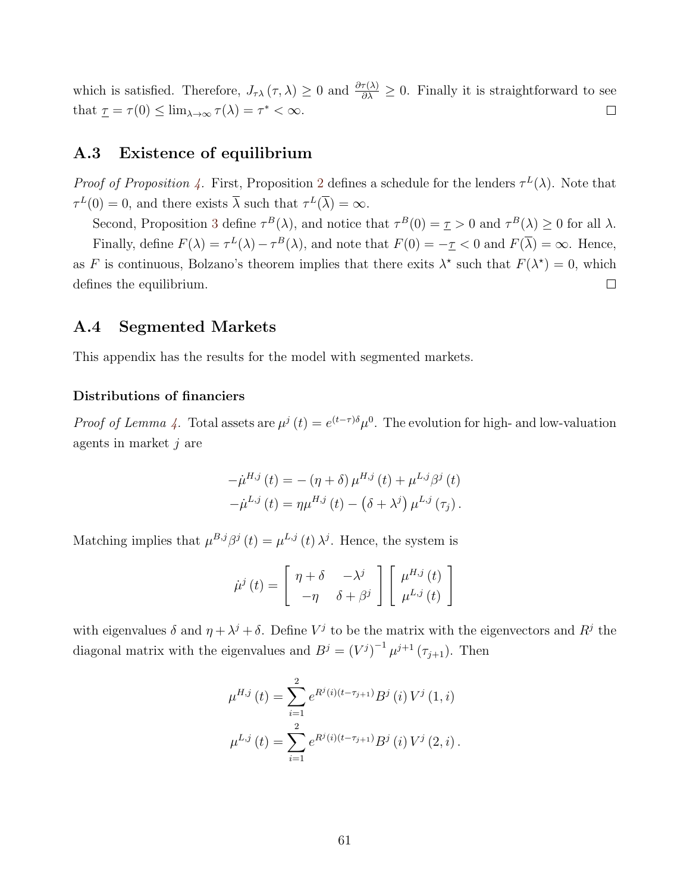which is satisfied. Therefore,  $J_{\tau\lambda}(\tau,\lambda) \geq 0$  and  $\frac{\partial \tau(\lambda)}{\partial \lambda} \geq 0$ . Finally it is straightforward to see that  $\underline{\tau} = \tau(0) \leq \lim_{\lambda \to \infty} \tau(\lambda) = \tau^* < \infty$ .  $\Box$ 

# A.3 Existence of equilibrium

*Proof of Proposition [4.](#page-17-0)* First, Proposition [2](#page-15-2) defines a schedule for the lenders  $\tau^L(\lambda)$ . Note that  $\tau^L(0) = 0$ , and there exists  $\overline{\lambda}$  such that  $\tau^L(\overline{\lambda}) = \infty$ .

Second, Proposition [3](#page-16-2) define  $\tau^{B}(\lambda)$ , and notice that  $\tau^{B}(0) = \tau > 0$  and  $\tau^{B}(\lambda) \ge 0$  for all  $\lambda$ . Finally, define  $F(\lambda) = \tau^L(\lambda) - \tau^B(\lambda)$ , and note that  $F(0) = -\tau < 0$  and  $F(\overline{\lambda}) = \infty$ . Hence, as F is continuous, Bolzano's theorem implies that there exits  $\lambda^*$  such that  $F(\lambda^*) = 0$ , which  $\Box$ defines the equilibrium.

### <span id="page-61-0"></span>A.4 Segmented Markets

This appendix has the results for the model with segmented markets.

#### Distributions of financiers

*Proof of Lemma [4.](#page-45-0)* Total assets are  $\mu^{j}(t) = e^{(t-\tau)\delta} \mu^{0}$ . The evolution for high- and low-valuation agents in market  $j$  are

$$
-\dot{\mu}^{H,j}(t) = -(\eta + \delta) \mu^{H,j}(t) + \mu^{L,j} \beta^j(t) -\dot{\mu}^{L,j}(t) = \eta \mu^{H,j}(t) - (\delta + \lambda^j) \mu^{L,j}(\tau_j).
$$

Matching implies that  $\mu^{B,j}\beta^j(t) = \mu^{L,j}(t)\lambda^j$ . Hence, the system is

$$
\dot{\mu}^{j}(t) = \begin{bmatrix} \eta + \delta & -\lambda^{j} \\ -\eta & \delta + \beta^{j} \end{bmatrix} \begin{bmatrix} \mu^{H,j}(t) \\ \mu^{L,j}(t) \end{bmatrix}
$$

with eigenvalues  $\delta$  and  $\eta + \lambda^j + \delta$ . Define  $V^j$  to be the matrix with the eigenvectors and  $R^j$  the diagonal matrix with the eigenvalues and  $B^j = (V^j)^{-1} \mu^{j+1} (\tau_{j+1})$ . Then

$$
\mu^{H,j}(t) = \sum_{i=1}^{2} e^{R^{j}(i)(t-\tau_{j+1})} B^{j}(i) V^{j}(1,i)
$$

$$
\mu^{L,j}(t) = \sum_{i=1}^{2} e^{R^{j}(i)(t-\tau_{j+1})} B^{j}(i) V^{j}(2,i).
$$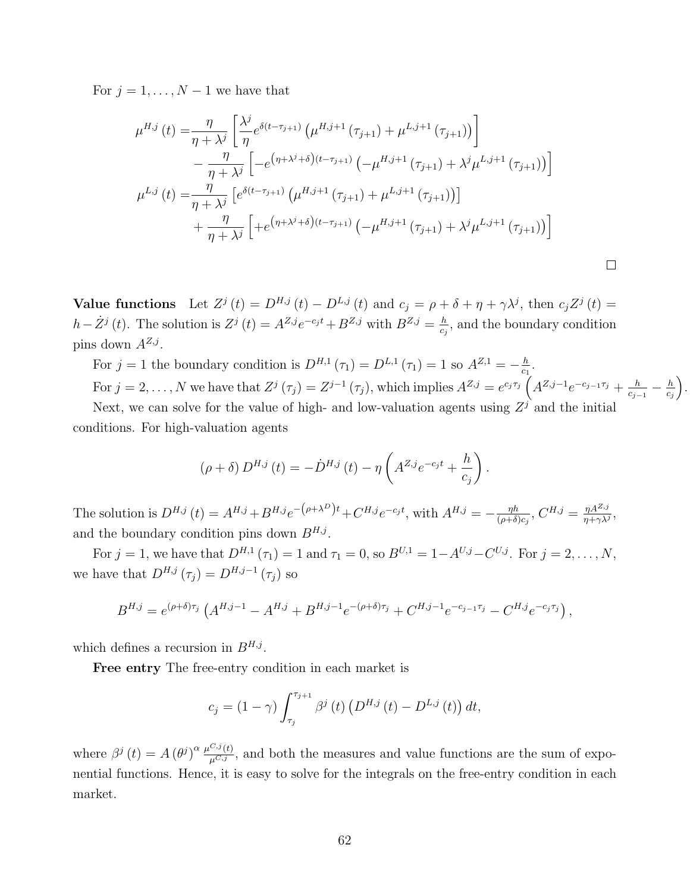For  $j = 1, \ldots, N - 1$  we have that

$$
\mu^{H,j}(t) = \frac{\eta}{\eta + \lambda^{j}} \left[ \frac{\lambda^{j}}{\eta} e^{\delta(t - \tau_{j+1})} \left( \mu^{H,j+1} \left( \tau_{j+1} \right) + \mu^{L,j+1} \left( \tau_{j+1} \right) \right) \right] \n- \frac{\eta}{\eta + \lambda^{j}} \left[ -e^{(\eta + \lambda^{j} + \delta)(t - \tau_{j+1})} \left( -\mu^{H,j+1} \left( \tau_{j+1} \right) + \lambda^{j} \mu^{L,j+1} \left( \tau_{j+1} \right) \right) \right] \n\mu^{L,j}(t) = \frac{\eta}{\eta + \lambda^{j}} \left[ e^{\delta(t - \tau_{j+1})} \left( \mu^{H,j+1} \left( \tau_{j+1} \right) + \mu^{L,j+1} \left( \tau_{j+1} \right) \right) \right] \n+ \frac{\eta}{\eta + \lambda^{j}} \left[ +e^{(\eta + \lambda^{j} + \delta)(t - \tau_{j+1})} \left( -\mu^{H,j+1} \left( \tau_{j+1} \right) + \lambda^{j} \mu^{L,j+1} \left( \tau_{j+1} \right) \right) \right]
$$

<span id="page-62-0"></span>Value functions Let  $Z^j(t) = D^{H,j}(t) - D^{L,j}(t)$  and  $c_j = \rho + \delta + \eta + \gamma \lambda^j$ , then  $c_j Z^j(t) =$  $h-\dot{Z}^j(t)$ . The solution is  $Z^j(t) = A^{Z,j}e^{-c_jt} + B^{Z,j}$  with  $B^{Z,j} = \frac{h}{c}$  $\frac{h}{c_j}$ , and the boundary condition pins down  $A^{Z,j}$ .

For  $j = 1$  the boundary condition is  $D^{H,1}(\tau_1) = D^{L,1}(\tau_1) = 1$  so  $A^{Z,1} = -\frac{h}{c_1}$  $\frac{h}{c_1}$ .

For  $j = 2, \ldots, N$  we have that  $Z^j(\tau_j) = Z^{j-1}(\tau_j)$ , which implies  $A^{Z,j} = e^{c_j \tau_j} \left( A^{Z,j-1} e^{-c_{j-1} \tau_j} + \frac{h}{c_j} \right)$  $\frac{h}{c_{j-1}}-\frac{h}{c_{j}}$  $c_j$ .

Next, we can solve for the value of high- and low-valuation agents using  $Z<sup>j</sup>$  and the initial conditions. For high-valuation agents

$$
(\rho + \delta) D^{H,j}(t) = -\dot{D}^{H,j}(t) - \eta \left( A^{Z,j} e^{-c_j t} + \frac{h}{c_j} \right).
$$

The solution is  $D^{H,j}(t) = A^{H,j} + B^{H,j}e^{-(\rho + \lambda^D)t} + C^{H,j}e^{-c_jt}$ , with  $A^{H,j} = -\frac{\eta h}{(\rho + \lambda^D)t}$  $\frac{\eta h}{(\rho+\delta)c_j},\,C^{H,j}=\frac{\eta A^{Z,j}}{\eta+\gamma\lambda^j}$  $\frac{\eta A^{\omega, j}}{\eta + \gamma \lambda^j},$ and the boundary condition pins down  $B^{H,j}$ .

For  $j = 1$ , we have that  $D^{H,1}(\tau_1) = 1$  and  $\tau_1 = 0$ , so  $B^{U,1} = 1 - A^{U,j} - C^{U,j}$ . For  $j = 2, ..., N$ , we have that  $D^{H,j}(\tau_j) = D^{H,j-1}(\tau_j)$  so

$$
B^{H,j} = e^{(\rho+\delta)\tau_j} \left( A^{H,j-1} - A^{H,j} + B^{H,j-1} e^{-(\rho+\delta)\tau_j} + C^{H,j-1} e^{-c_{j-1}\tau_j} - C^{H,j} e^{-c_j\tau_j} \right),
$$

which defines a recursion in  $B^{H,j}$ .

Free entry The free-entry condition in each market is

$$
c_j = (1 - \gamma) \int_{\tau_j}^{\tau_{j+1}} \beta^j(t) \left( D^{H,j}(t) - D^{L,j}(t) \right) dt,
$$

where  $\beta^j(t) = A(\theta^j)^{\alpha} \frac{\mu^{C,j}(t)}{\mu^{C,j}}$ , and both the measures and value functions are the sum of exponential functions. Hence, it is easy to solve for the integrals on the free-entry condition in each market.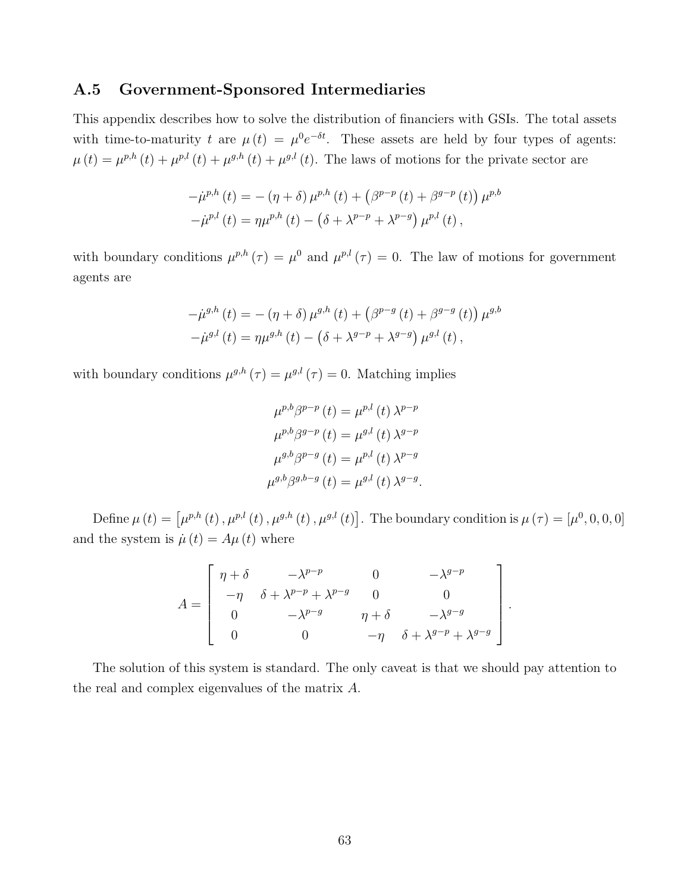### <span id="page-63-0"></span>A.5 Government-Sponsored Intermediaries

This appendix describes how to solve the distribution of financiers with GSIs. The total assets with time-to-maturity t are  $\mu(t) = \mu^0 e^{-\delta t}$ . These assets are held by four types of agents:  $\mu(t) = \mu^{p,h}(t) + \mu^{p,l}(t) + \mu^{g,h}(t) + \mu^{g,l}(t)$ . The laws of motions for the private sector are

$$
-\dot{\mu}^{p,h}(t) = -(\eta + \delta) \mu^{p,h}(t) + (\beta^{p-p}(t) + \beta^{g-p}(t)) \mu^{p,h} -\dot{\mu}^{p,l}(t) = \eta \mu^{p,h}(t) - (\delta + \lambda^{p-p} + \lambda^{p-g}) \mu^{p,l}(t),
$$

with boundary conditions  $\mu^{p,h}(\tau) = \mu^0$  and  $\mu^{p,l}(\tau) = 0$ . The law of motions for government agents are

$$
-\dot{\mu}^{g,h}(t) = -(\eta + \delta) \mu^{g,h}(t) + (\beta^{p-g}(t) + \beta^{g-g}(t)) \mu^{g,h} -\dot{\mu}^{g,l}(t) = \eta \mu^{g,h}(t) - (\delta + \lambda^{g-p} + \lambda^{g-g}) \mu^{g,l}(t),
$$

with boundary conditions  $\mu^{g,h}(\tau) = \mu^{g,h}(\tau) = 0$ . Matching implies

$$
\mu^{p,b}\beta^{p-p}(t) = \mu^{p,l}(t)\lambda^{p-p}
$$

$$
\mu^{p,b}\beta^{g-p}(t) = \mu^{g,l}(t)\lambda^{g-p}
$$

$$
\mu^{g,b}\beta^{p-g}(t) = \mu^{p,l}(t)\lambda^{p-g}
$$

$$
\mu^{g,b}\beta^{g,b-g}(t) = \mu^{g,l}(t)\lambda^{g-g}.
$$

Define  $\mu(t) = [\mu^{p,h}(t), \mu^{p,l}(t), \mu^{g,h}(t), \mu^{g,l}(t)]$ . The boundary condition is  $\mu(\tau) = [\mu^0, 0, 0, 0]$ and the system is  $\dot{\mu}(t) = A\mu(t)$  where

$$
A = \begin{bmatrix} \eta + \delta & -\lambda^{p-p} & 0 & -\lambda^{g-p} \\ -\eta & \delta + \lambda^{p-p} + \lambda^{p-g} & 0 & 0 \\ 0 & -\lambda^{p-g} & \eta + \delta & -\lambda^{g-g} \\ 0 & 0 & -\eta & \delta + \lambda^{g-p} + \lambda^{g-g} \end{bmatrix}.
$$

The solution of this system is standard. The only caveat is that we should pay attention to the real and complex eigenvalues of the matrix A.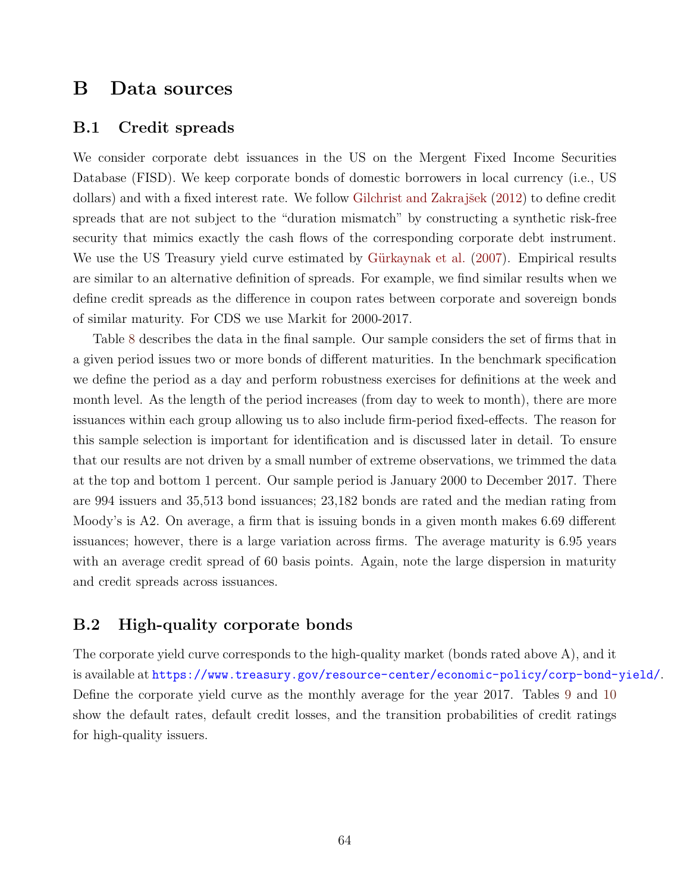# B Data sources

#### <span id="page-64-0"></span>B.1 Credit spreads

We consider corporate debt issuances in the US on the Mergent Fixed Income Securities Database (FISD). We keep corporate bonds of domestic borrowers in local currency (i.e., US dollars) and with a fixed interest rate. We follow Gilchrist and Zakrajšek  $(2012)$  to define credit spreads that are not subject to the "duration mismatch" by constructing a synthetic risk-free security that mimics exactly the cash flows of the corresponding corporate debt instrument. We use the US Treasury yield curve estimated by Gürkaynak et al. [\(2007\)](#page-50-13). Empirical results are similar to an alternative definition of spreads. For example, we find similar results when we define credit spreads as the difference in coupon rates between corporate and sovereign bonds of similar maturity. For CDS we use Markit for 2000-2017.

Table [8](#page-65-1) describes the data in the final sample. Our sample considers the set of firms that in a given period issues two or more bonds of different maturities. In the benchmark specification we define the period as a day and perform robustness exercises for definitions at the week and month level. As the length of the period increases (from day to week to month), there are more issuances within each group allowing us to also include firm-period fixed-effects. The reason for this sample selection is important for identification and is discussed later in detail. To ensure that our results are not driven by a small number of extreme observations, we trimmed the data at the top and bottom 1 percent. Our sample period is January 2000 to December 2017. There are 994 issuers and 35,513 bond issuances; 23,182 bonds are rated and the median rating from Moody's is A2. On average, a firm that is issuing bonds in a given month makes 6.69 different issuances; however, there is a large variation across firms. The average maturity is 6.95 years with an average credit spread of 60 basis points. Again, note the large dispersion in maturity and credit spreads across issuances.

# <span id="page-64-1"></span>B.2 High-quality corporate bonds

The corporate yield curve corresponds to the high-quality market (bonds rated above A), and it is available at <https://www.treasury.gov/resource-center/economic-policy/corp-bond-yield/>. Define the corporate yield curve as the monthly average for the year 2017. Tables [9](#page-65-2) and [10](#page-65-3) show the default rates, default credit losses, and the transition probabilities of credit ratings for high-quality issuers.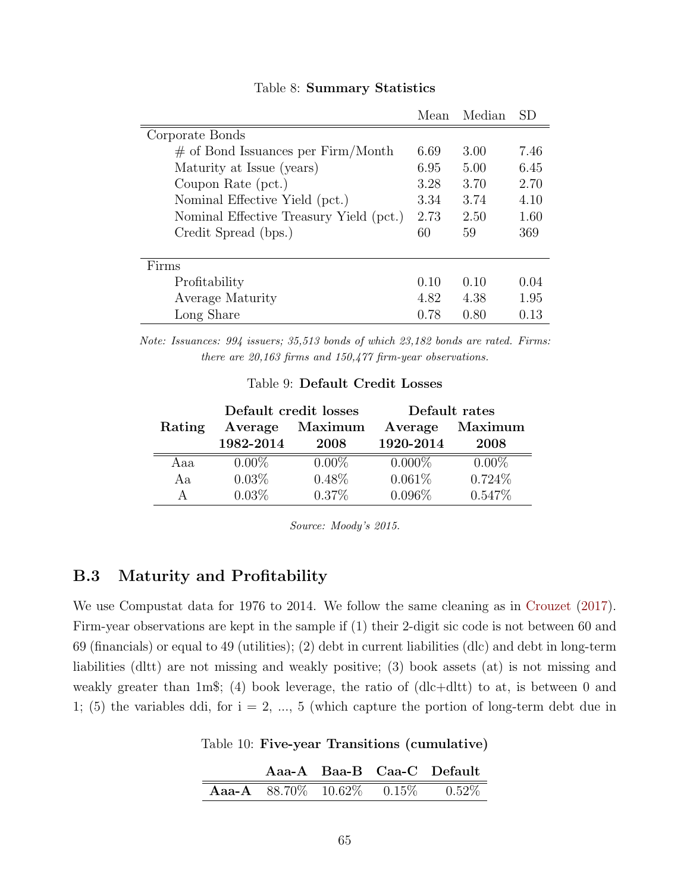<span id="page-65-1"></span>

|                                         | Mean | Median | SD   |
|-----------------------------------------|------|--------|------|
| Corporate Bonds                         |      |        |      |
| $\#$ of Bond Issuances per Firm/Month   | 6.69 | 3.00   | 7.46 |
| Maturity at Issue (years)               | 6.95 | 5.00   | 6.45 |
| Coupon Rate (pct.)                      | 3.28 | 3.70   | 2.70 |
| Nominal Effective Yield (pct.)          | 3.34 | 3.74   | 4.10 |
| Nominal Effective Treasury Yield (pct.) | 2.73 | 2.50   | 1.60 |
| Credit Spread (bps.)                    | 60   | 59     | 369  |
|                                         |      |        |      |
| Firms                                   |      |        |      |
| Profitability                           | 0.10 | 0.10   | 0.04 |
| Average Maturity                        | 4.82 | 4.38   | 1.95 |
| Long Share                              | 0.78 | 0.80   | 0.13 |

#### Table 8: Summary Statistics

<span id="page-65-2"></span>Note: Issuances: 994 issuers; 35,513 bonds of which 23,182 bonds are rated. Firms: there are 20,163 firms and 150,477 firm-year observations.

|        |           | Default credit losses | Default rates |           |  |
|--------|-----------|-----------------------|---------------|-----------|--|
| Rating | Average   | Maximum               | Average       | Maximum   |  |
|        | 1982-2014 | 2008                  | 1920-2014     | 2008      |  |
| Aaa    | $0.00\%$  | $0.00\%$              | $0.000\%$     | $0.00\%$  |  |
| Aa     | $0.03\%$  | $0.48\%$              | 0.061%        | $0.724\%$ |  |
| A      | $0.03\%$  | $0.37\%$              | 0.096%        | $0.547\%$ |  |

Source: Moody's 2015.

# <span id="page-65-0"></span>B.3 Maturity and Profitability

We use Compustat data for 1976 to 2014. We follow the same cleaning as in [Crouzet](#page-49-8) [\(2017\)](#page-49-8). Firm-year observations are kept in the sample if (1) their 2-digit sic code is not between 60 and 69 (financials) or equal to 49 (utilities); (2) debt in current liabilities (dlc) and debt in long-term liabilities (dltt) are not missing and weakly positive; (3) book assets (at) is not missing and weakly greater than 1m\$; (4) book leverage, the ratio of (dlc+dltt) to at, is between 0 and 1; (5) the variables ddi, for  $i = 2, ..., 5$  (which capture the portion of long-term debt due in

<span id="page-65-3"></span>Table 10: Five-year Transitions (cumulative)

|  |  | Aaa-A Baa-B Caa-C Default                  |
|--|--|--------------------------------------------|
|  |  | <b>Aaa-A</b> 88.70\% 10.62\% 0.15\% 0.52\% |